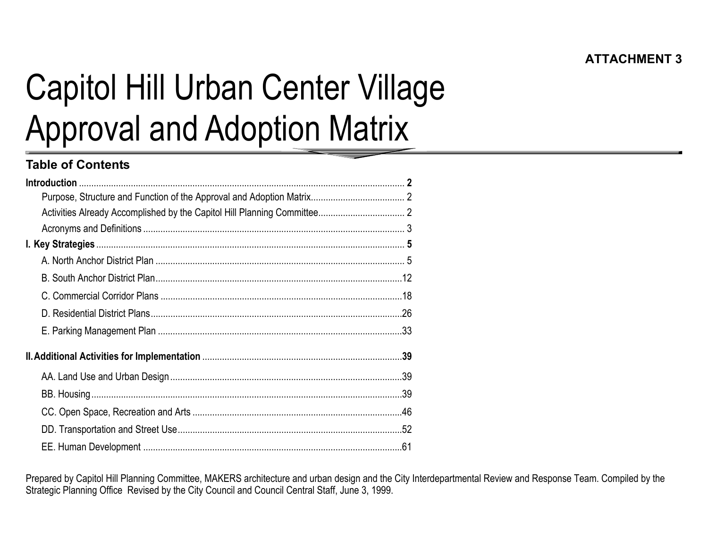# Capitol Hill Urban Center Village Approval and Adoption Matrix

## **Table of Contents**

Prepared by Capitol Hill Planning Committee, MAKERS architecture and urban design and the City Interdepartmental Review and Response Team. Compiled by the Strategic Planning Office Revised by the City Council and Council Central Staff, June 3, 1999.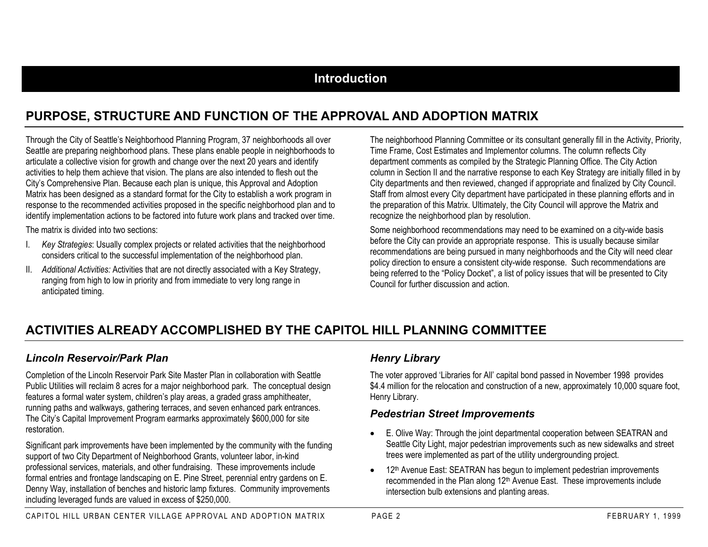#### **Introduction**

## **PURPOSE, STRUCTURE AND FUNCTION OF THE APPROVAL AND ADOPTION MATRIX**

Through the City of Seattle's Neighborhood Planning Program, 37 neighborhoods all over Seattle are preparing neighborhood plans. These plans enable people in neighborhoods to articulate a collective vision for growth and change over the next 20 years and identify activities to help them achieve that vision. The plans are also intended to flesh out the City's Comprehensive Plan. Because each plan is unique, this Approval and Adoption Matrix has been designed as a standard format for the City to establish a work program in response to the recommended activities proposed in the specific neighborhood plan and to identify implementation actions to be factored into future work plans and tracked over time.

The matrix is divided into two sections:

- I. *Key Strategies*: Usually complex projects or related activities that the neighborhood considers critical to the successful implementation of the neighborhood plan.
- II. *Additional Activities:* Activities that are not directly associated with a Key Strategy, ranging from high to low in priority and from immediate to very long range in anticipated timing.

The neighborhood Planning Committee or its consultant generally fill in the Activity, Priority, Time Frame, Cost Estimates and Implementor columns. The column reflects City department comments as compiled by the Strategic Planning Office. The City Action column in Section II and the narrative response to each Key Strategy are initially filled in by City departments and then reviewed, changed if appropriate and finalized by City Council. Staff from almost every City department have participated in these planning efforts and in the preparation of this Matrix. Ultimately, the City Council will approve the Matrix and recognize the neighborhood plan by resolution.

Some neighborhood recommendations may need to be examined on a city-wide basis before the City can provide an appropriate response. This is usually because similar recommendations are being pursued in many neighborhoods and the City will need clear policy direction to ensure a consistent city-wide response. Such recommendations are being referred to the "Policy Docket", a list of policy issues that will be presented to City Council for further discussion and action.

## **ACTIVITIES ALREADY ACCOMPLISHED BY THE CAPITOL HILL PLANNING COMMITTEE**

#### *Lincoln Reservoir/Park Plan*

Completion of the Lincoln Reservoir Park Site Master Plan in collaboration with Seattle Public Utilities will reclaim 8 acres for a major neighborhood park. The conceptual design features a formal water system, children's play areas, a graded grass amphitheater, running paths and walkways, gathering terraces, and seven enhanced park entrances. The City's Capital Improvement Program earmarks approximately \$600,000 for site restoration.

Significant park improvements have been implemented by the community with the funding support of two City Department of Neighborhood Grants, volunteer labor, in-kind professional services, materials, and other fundraising. These improvements include formal entries and frontage landscaping on E. Pine Street, perennial entry gardens on E. Denny Way, installation of benches and historic lamp fixtures. Community improvements including leveraged funds are valued in excess of \$250,000.

#### *Henry Library*

The voter approved 'Libraries for All' capital bond passed in November 1998 provides \$4.4 million for the relocation and construction of a new, approximately 10,000 square foot, Henry Library.

#### *Pedestrian Street Improvements*

- E. Olive Way: Through the joint departmental cooperation between SEATRAN and Seattle City Light, major pedestrian improvements such as new sidewalks and street trees were implemented as part of the utility undergrounding project.
- •12<sup>th</sup> Avenue East: SEATRAN has begun to implement pedestrian improvements recommended in the Plan along 12th Avenue East. These improvements include intersection bulb extensions and planting areas.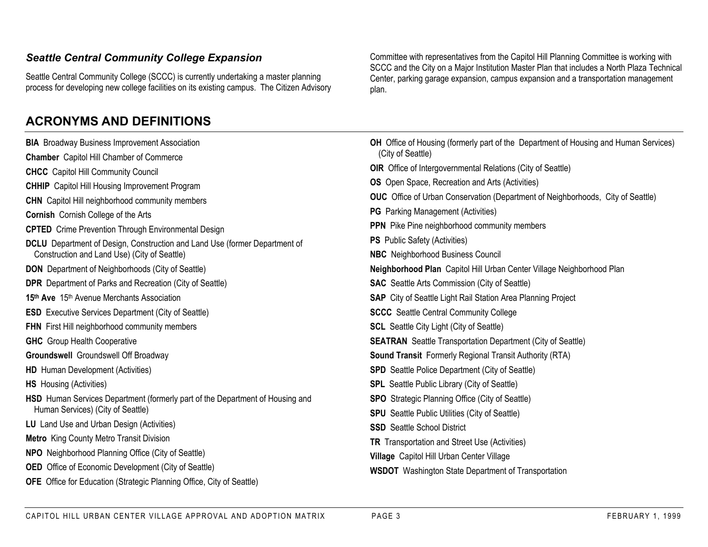#### *Seattle Central Community College Expansion*

Seattle Central Community College (SCCC) is currently undertaking a master planning process for developing new college facilities on its existing campus. The Citizen Advisory

## **ACRONYMS AND DEFINITIONS**

Committee with representatives from the Capitol Hill Planning Committee is working with SCCC and the City on a Major Institution Master Plan that includes a North Plaza Technical Center, parking garage expansion, campus expansion and a transportation management plan.

| <b>BIA</b> Broadway Business Improvement Association                          | OH Office of Housing (formerly part of the Department of Housing and Human Services)   |
|-------------------------------------------------------------------------------|----------------------------------------------------------------------------------------|
| <b>Chamber</b> Capitol Hill Chamber of Commerce                               | (City of Seattle)                                                                      |
| <b>CHCC</b> Capitol Hill Community Council                                    | <b>OIR</b> Office of Intergovernmental Relations (City of Seattle)                     |
| <b>CHHIP</b> Capitol Hill Housing Improvement Program                         | <b>OS</b> Open Space, Recreation and Arts (Activities)                                 |
| <b>CHN</b> Capitol Hill neighborhood community members                        | <b>OUC</b> Office of Urban Conservation (Department of Neighborhoods, City of Seattle) |
| <b>Cornish Cornish College of the Arts</b>                                    | <b>PG</b> Parking Management (Activities)                                              |
| <b>CPTED</b> Crime Prevention Through Environmental Design                    | <b>PPN</b> Pike Pine neighborhood community members                                    |
| DCLU Department of Design, Construction and Land Use (former Department of    | <b>PS</b> Public Safety (Activities)                                                   |
| Construction and Land Use) (City of Seattle)                                  | <b>NBC</b> Neighborhood Business Council                                               |
| <b>DON</b> Department of Neighborhoods (City of Seattle)                      | Neighborhood Plan Capitol Hill Urban Center Village Neighborhood Plan                  |
| <b>DPR</b> Department of Parks and Recreation (City of Seattle)               | <b>SAC</b> Seattle Arts Commission (City of Seattle)                                   |
| 15th Ave 15th Avenue Merchants Association                                    | <b>SAP</b> City of Seattle Light Rail Station Area Planning Project                    |
| <b>ESD</b> Executive Services Department (City of Seattle)                    | <b>SCCC</b> Seattle Central Community College                                          |
| <b>FHN</b> First Hill neighborhood community members                          | <b>SCL</b> Seattle City Light (City of Seattle)                                        |
| <b>GHC</b> Group Health Cooperative                                           | <b>SEATRAN</b> Seattle Transportation Department (City of Seattle)                     |
| <b>Groundswell</b> Groundswell Off Broadway                                   | <b>Sound Transit</b> Formerly Regional Transit Authority (RTA)                         |
| <b>HD</b> Human Development (Activities)                                      | <b>SPD</b> Seattle Police Department (City of Seattle)                                 |
| <b>HS</b> Housing (Activities)                                                | <b>SPL</b> Seattle Public Library (City of Seattle)                                    |
| HSD Human Services Department (formerly part of the Department of Housing and | <b>SPO</b> Strategic Planning Office (City of Seattle)                                 |
| Human Services) (City of Seattle)                                             | <b>SPU</b> Seattle Public Utilities (City of Seattle)                                  |
| LU Land Use and Urban Design (Activities)                                     | <b>SSD</b> Seattle School District                                                     |
| <b>Metro</b> King County Metro Transit Division                               | TR Transportation and Street Use (Activities)                                          |
| <b>NPO</b> Neighborhood Planning Office (City of Seattle)                     | Village Capitol Hill Urban Center Village                                              |
| <b>OED</b> Office of Economic Development (City of Seattle)                   | <b>WSDOT</b> Washington State Department of Transportation                             |
| <b>OFE</b> Office for Education (Strategic Planning Office, City of Seattle)  |                                                                                        |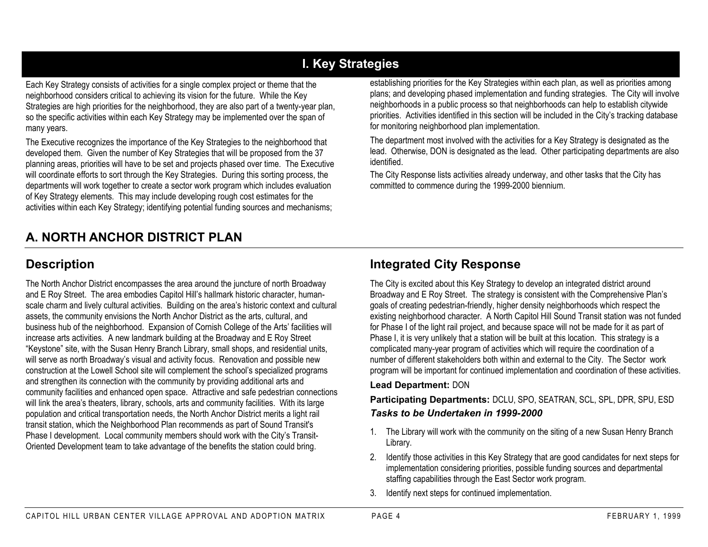# **I. Key Strategies**

Each Key Strategy consists of activities for a single complex project or theme that the neighborhood considers critical to achieving its vision for the future. While the Key Strategies are high priorities for the neighborhood, they are also part of a twenty-year plan, so the specific activities within each Key Strategy may be implemented over the span of many years.

The Executive recognizes the importance of the Key Strategies to the neighborhood that developed them. Given the number of Key Strategies that will be proposed from the 37 planning areas, priorities will have to be set and projects phased over time. The Executive will coordinate efforts to sort through the Key Strategies. During this sorting process, the departments will work together to create a sector work program which includes evaluation of Key Strategy elements. This may include developing rough cost estimates for the activities within each Key Strategy; identifying potential funding sources and mechanisms;

# **A. NORTH ANCHOR DISTRICT PLAN**

establishing priorities for the Key Strategies within each plan, as well as priorities among plans; and developing phased implementation and funding strategies. The City will involve neighborhoods in a public process so that neighborhoods can help to establish citywide priorities. Activities identified in this section will be included in the City's tracking database for monitoring neighborhood plan implementation.

The department most involved with the activities for a Key Strategy is designated as the lead. Otherwise, DON is designated as the lead. Other participating departments are also identified.

The City Response lists activities already underway, and other tasks that the City has committed to commence during the 1999-2000 biennium.

## **Description**

The North Anchor District encompasses the area around the juncture of north Broadway and E Roy Street. The area embodies Capitol Hill's hallmark historic character, humanscale charm and lively cultural activities. Building on the area's historic context and cultural assets, the community envisions the North Anchor District as the arts, cultural, and business hub of the neighborhood. Expansion of Cornish College of the Arts' facilities will increase arts activities. A new landmark building at the Broadway and E Roy Street "Keystone" site, with the Susan Henry Branch Library, small shops, and residential units, will serve as north Broadway's visual and activity focus. Renovation and possible new construction at the Lowell School site will complement the school's specialized programs and strengthen its connection with the community by providing additional arts and community facilities and enhanced open space. Attractive and safe pedestrian connections will link the area's theaters, library, schools, arts and community facilities. With its large population and critical transportation needs, the North Anchor District merits a light rail transit station, which the Neighborhood Plan recommends as part of Sound Transit's Phase I development. Local community members should work with the City's Transit-Oriented Development team to take advantage of the benefits the station could bring.

## **Integrated City Response**

The City is excited about this Key Strategy to develop an integrated district around Broadway and E Roy Street. The strategy is consistent with the Comprehensive Plan's goals of creating pedestrian-friendly, higher density neighborhoods which respect the existing neighborhood character. A North Capitol Hill Sound Transit station was not funded for Phase I of the light rail project, and because space will not be made for it as part of Phase I, it is very unlikely that a station will be built at this location. This strategy is a complicated many-year program of activities which will require the coordination of a number of different stakeholders both within and external to the City. The Sector work program will be important for continued implementation and coordination of these activities.

#### **Lead Department:** DON

**Participating Departments:** DCLU, SPO, SEATRAN, SCL, SPL, DPR, SPU, ESD *Tasks to be Undertaken in 1999-2000*

- 1. The Library will work with the community on the siting of a new Susan Henry Branch Library.
- 2. Identify those activities in this Key Strategy that are good candidates for next steps for implementation considering priorities, possible funding sources and departmental staffing capabilities through the East Sector work program.
- 3. Identify next steps for continued implementation.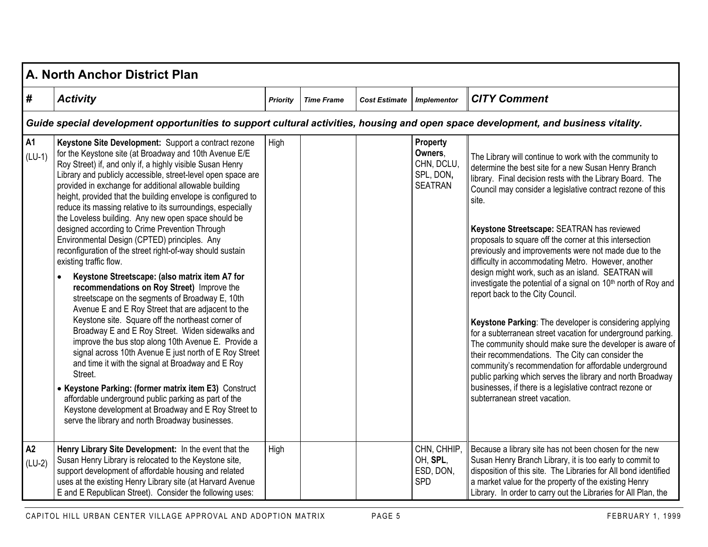|                       | A. North Anchor District Plan                                                                                                                                                                                                                                                                                                                                                                                                                                                                                                                                                                                                                                                                                                                                                                                                                                                                                                                                                                                                                                                                                                                                                                                                                                                                                                                                                                                                     |                 |                   |                      |                                                                  |                                                                                                                                                                                                                                                                                                                                                                                                                                                                                                                                                                                                                                                                                                                                                                                                                                                                                                                                                                                                                                                                                                                   |  |  |  |  |  |
|-----------------------|-----------------------------------------------------------------------------------------------------------------------------------------------------------------------------------------------------------------------------------------------------------------------------------------------------------------------------------------------------------------------------------------------------------------------------------------------------------------------------------------------------------------------------------------------------------------------------------------------------------------------------------------------------------------------------------------------------------------------------------------------------------------------------------------------------------------------------------------------------------------------------------------------------------------------------------------------------------------------------------------------------------------------------------------------------------------------------------------------------------------------------------------------------------------------------------------------------------------------------------------------------------------------------------------------------------------------------------------------------------------------------------------------------------------------------------|-----------------|-------------------|----------------------|------------------------------------------------------------------|-------------------------------------------------------------------------------------------------------------------------------------------------------------------------------------------------------------------------------------------------------------------------------------------------------------------------------------------------------------------------------------------------------------------------------------------------------------------------------------------------------------------------------------------------------------------------------------------------------------------------------------------------------------------------------------------------------------------------------------------------------------------------------------------------------------------------------------------------------------------------------------------------------------------------------------------------------------------------------------------------------------------------------------------------------------------------------------------------------------------|--|--|--|--|--|
| #                     | <b>Activity</b>                                                                                                                                                                                                                                                                                                                                                                                                                                                                                                                                                                                                                                                                                                                                                                                                                                                                                                                                                                                                                                                                                                                                                                                                                                                                                                                                                                                                                   | <b>Priority</b> | <b>Time Frame</b> | <b>Cost Estimate</b> | <b>Implementor</b>                                               | <b>CITY Comment</b>                                                                                                                                                                                                                                                                                                                                                                                                                                                                                                                                                                                                                                                                                                                                                                                                                                                                                                                                                                                                                                                                                               |  |  |  |  |  |
|                       | Guide special development opportunities to support cultural activities, housing and open space development, and business vitality.                                                                                                                                                                                                                                                                                                                                                                                                                                                                                                                                                                                                                                                                                                                                                                                                                                                                                                                                                                                                                                                                                                                                                                                                                                                                                                |                 |                   |                      |                                                                  |                                                                                                                                                                                                                                                                                                                                                                                                                                                                                                                                                                                                                                                                                                                                                                                                                                                                                                                                                                                                                                                                                                                   |  |  |  |  |  |
| <b>A1</b><br>$(LU-1)$ | Keystone Site Development: Support a contract rezone<br>for the Keystone site (at Broadway and 10th Avenue E/E<br>Roy Street) if, and only if, a highly visible Susan Henry<br>Library and publicly accessible, street-level open space are<br>provided in exchange for additional allowable building<br>height, provided that the building envelope is configured to<br>reduce its massing relative to its surroundings, especially<br>the Loveless building. Any new open space should be<br>designed according to Crime Prevention Through<br>Environmental Design (CPTED) principles. Any<br>reconfiguration of the street right-of-way should sustain<br>existing traffic flow.<br>Keystone Streetscape: (also matrix item A7 for<br>$\bullet$<br>recommendations on Roy Street) Improve the<br>streetscape on the segments of Broadway E, 10th<br>Avenue E and E Roy Street that are adjacent to the<br>Keystone site. Square off the northeast corner of<br>Broadway E and E Roy Street. Widen sidewalks and<br>improve the bus stop along 10th Avenue E. Provide a<br>signal across 10th Avenue E just north of E Roy Street<br>and time it with the signal at Broadway and E Roy<br>Street.<br>• Keystone Parking: (former matrix item E3) Construct<br>affordable underground public parking as part of the<br>Keystone development at Broadway and E Roy Street to<br>serve the library and north Broadway businesses. | High            |                   |                      | Property<br>Owners,<br>CHN, DCLU,<br>SPL, DON,<br><b>SEATRAN</b> | The Library will continue to work with the community to<br>determine the best site for a new Susan Henry Branch<br>library. Final decision rests with the Library Board. The<br>Council may consider a legislative contract rezone of this<br>site.<br>Keystone Streetscape: SEATRAN has reviewed<br>proposals to square off the corner at this intersection<br>previously and improvements were not made due to the<br>difficulty in accommodating Metro. However, another<br>design might work, such as an island. SEATRAN will<br>investigate the potential of a signal on 10 <sup>th</sup> north of Roy and<br>report back to the City Council.<br>Keystone Parking: The developer is considering applying<br>for a subterranean street vacation for underground parking.<br>The community should make sure the developer is aware of<br>their recommendations. The City can consider the<br>community's recommendation for affordable underground<br>public parking which serves the library and north Broadway<br>businesses, if there is a legislative contract rezone or<br>subterranean street vacation. |  |  |  |  |  |
| A2<br>$(LU-2)$        | Henry Library Site Development: In the event that the<br>Susan Henry Library is relocated to the Keystone site,<br>support development of affordable housing and related<br>uses at the existing Henry Library site (at Harvard Avenue<br>E and E Republican Street). Consider the following uses:                                                                                                                                                                                                                                                                                                                                                                                                                                                                                                                                                                                                                                                                                                                                                                                                                                                                                                                                                                                                                                                                                                                                | High            |                   |                      | CHN, CHHIP,<br>OH, SPL,<br>ESD, DON,<br><b>SPD</b>               | Because a library site has not been chosen for the new<br>Susan Henry Branch Library, it is too early to commit to<br>disposition of this site. The Libraries for All bond identified<br>a market value for the property of the existing Henry<br>Library. In order to carry out the Libraries for All Plan, the                                                                                                                                                                                                                                                                                                                                                                                                                                                                                                                                                                                                                                                                                                                                                                                                  |  |  |  |  |  |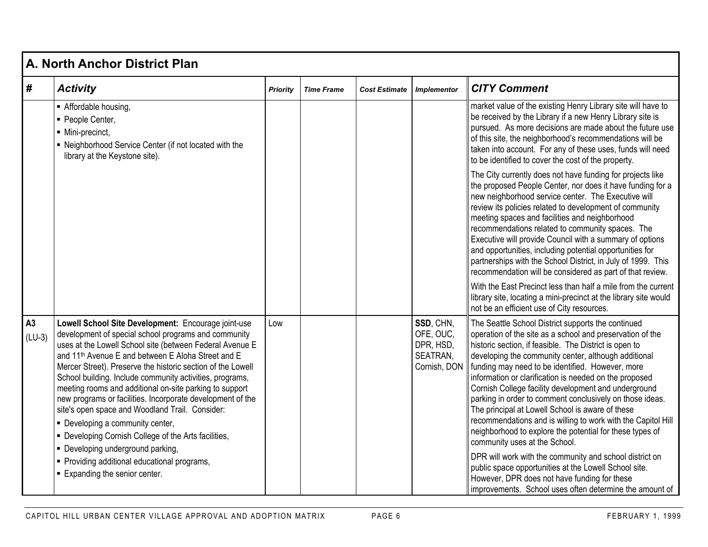|                | A. North Anchor District Plan                                                                                                                                                                                                                                                                                                                                                                                                                                                                                                                                                                                                                                                                                                                                     |                 |                   |                      |                                                                 |                                                                                                                                                                                                                                                                                                                                                                                                                                                                                                                                                                                                                                                                                                                                                                                                                                                                                                                     |  |  |  |  |  |
|----------------|-------------------------------------------------------------------------------------------------------------------------------------------------------------------------------------------------------------------------------------------------------------------------------------------------------------------------------------------------------------------------------------------------------------------------------------------------------------------------------------------------------------------------------------------------------------------------------------------------------------------------------------------------------------------------------------------------------------------------------------------------------------------|-----------------|-------------------|----------------------|-----------------------------------------------------------------|---------------------------------------------------------------------------------------------------------------------------------------------------------------------------------------------------------------------------------------------------------------------------------------------------------------------------------------------------------------------------------------------------------------------------------------------------------------------------------------------------------------------------------------------------------------------------------------------------------------------------------------------------------------------------------------------------------------------------------------------------------------------------------------------------------------------------------------------------------------------------------------------------------------------|--|--|--|--|--|
| #              | <b>Activity</b>                                                                                                                                                                                                                                                                                                                                                                                                                                                                                                                                                                                                                                                                                                                                                   | <b>Priority</b> | <b>Time Frame</b> | <b>Cost Estimate</b> | <b>Implementor</b>                                              | <b>CITY Comment</b>                                                                                                                                                                                                                                                                                                                                                                                                                                                                                                                                                                                                                                                                                                                                                                                                                                                                                                 |  |  |  |  |  |
|                | Affordable housing,<br>· People Center,<br>· Mini-precinct,<br>- Neighborhood Service Center (if not located with the<br>library at the Keystone site).                                                                                                                                                                                                                                                                                                                                                                                                                                                                                                                                                                                                           |                 |                   |                      |                                                                 | market value of the existing Henry Library site will have to<br>be received by the Library if a new Henry Library site is<br>pursued. As more decisions are made about the future use<br>of this site, the neighborhood's recommendations will be<br>taken into account. For any of these uses, funds will need<br>to be identified to cover the cost of the property.                                                                                                                                                                                                                                                                                                                                                                                                                                                                                                                                              |  |  |  |  |  |
|                |                                                                                                                                                                                                                                                                                                                                                                                                                                                                                                                                                                                                                                                                                                                                                                   |                 |                   |                      |                                                                 | The City currently does not have funding for projects like<br>the proposed People Center, nor does it have funding for a<br>new neighborhood service center. The Executive will<br>review its policies related to development of community<br>meeting spaces and facilities and neighborhood<br>recommendations related to community spaces. The<br>Executive will provide Council with a summary of options<br>and opportunities, including potential opportunities for<br>partnerships with the School District, in July of 1999. This<br>recommendation will be considered as part of that review.<br>With the East Precinct less than half a mile from the current<br>library site, locating a mini-precinct at the library site would<br>not be an efficient use of City resources.                                                                                                                            |  |  |  |  |  |
| A3<br>$(LU-3)$ | Lowell School Site Development: Encourage joint-use<br>development of special school programs and community<br>uses at the Lowell School site (between Federal Avenue E<br>and 11 <sup>th</sup> Avenue E and between E Aloha Street and E<br>Mercer Street). Preserve the historic section of the Lowell<br>School building. Include community activities, programs,<br>meeting rooms and additional on-site parking to support<br>new programs or facilities. Incorporate development of the<br>site's open space and Woodland Trail. Consider:<br>• Developing a community center,<br>• Developing Cornish College of the Arts facilities,<br>· Developing underground parking,<br>• Providing additional educational programs,<br>Expanding the senior center. | Low             |                   |                      | SSD, CHN,<br>OFE, OUC,<br>DPR, HSD,<br>SEATRAN,<br>Cornish, DON | The Seattle School District supports the continued<br>operation of the site as a school and preservation of the<br>historic section, if feasible. The District is open to<br>developing the community center, although additional<br>funding may need to be identified. However, more<br>information or clarification is needed on the proposed<br>Cornish College facility development and underground<br>parking in order to comment conclusively on those ideas.<br>The principal at Lowell School is aware of these<br>recommendations and is willing to work with the Capitol Hill<br>neighborhood to explore the potential for these types of<br>community uses at the School.<br>DPR will work with the community and school district on<br>public space opportunities at the Lowell School site.<br>However, DPR does not have funding for these<br>improvements. School uses often determine the amount of |  |  |  |  |  |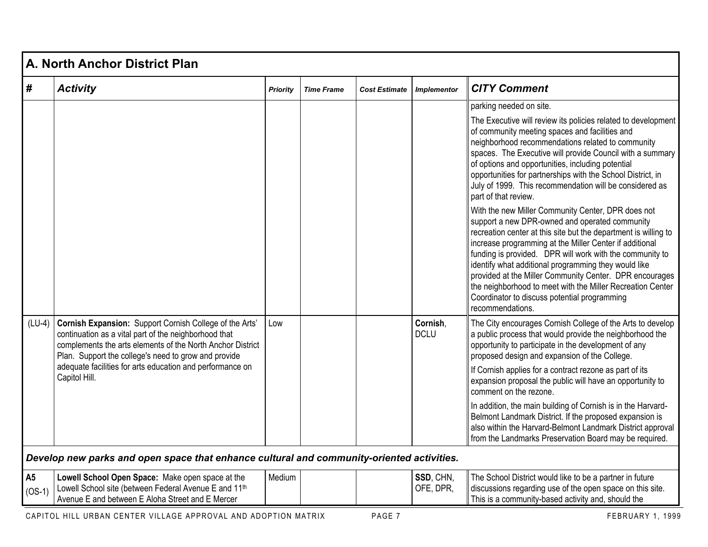|                            | A. North Anchor District Plan                                                                                                                                                                                                                                                                                        |                 |                   |                      |                         |                                                                                                                                                                                                                                                                                                                                                                                                                                                                                                                                                                                                                                                                                                                                                                                                                                                                                                                                                                                                        |  |  |  |  |  |
|----------------------------|----------------------------------------------------------------------------------------------------------------------------------------------------------------------------------------------------------------------------------------------------------------------------------------------------------------------|-----------------|-------------------|----------------------|-------------------------|--------------------------------------------------------------------------------------------------------------------------------------------------------------------------------------------------------------------------------------------------------------------------------------------------------------------------------------------------------------------------------------------------------------------------------------------------------------------------------------------------------------------------------------------------------------------------------------------------------------------------------------------------------------------------------------------------------------------------------------------------------------------------------------------------------------------------------------------------------------------------------------------------------------------------------------------------------------------------------------------------------|--|--|--|--|--|
| #                          | <b>Activity</b>                                                                                                                                                                                                                                                                                                      | <b>Priority</b> | <b>Time Frame</b> | <b>Cost Estimate</b> | <b>Implementor</b>      | <b>CITY Comment</b>                                                                                                                                                                                                                                                                                                                                                                                                                                                                                                                                                                                                                                                                                                                                                                                                                                                                                                                                                                                    |  |  |  |  |  |
|                            |                                                                                                                                                                                                                                                                                                                      |                 |                   |                      |                         | parking needed on site.<br>The Executive will review its policies related to development<br>of community meeting spaces and facilities and<br>neighborhood recommendations related to community<br>spaces. The Executive will provide Council with a summary<br>of options and opportunities, including potential<br>opportunities for partnerships with the School District, in<br>July of 1999. This recommendation will be considered as<br>part of that review.<br>With the new Miller Community Center, DPR does not<br>support a new DPR-owned and operated community<br>recreation center at this site but the department is willing to<br>increase programming at the Miller Center if additional<br>funding is provided. DPR will work with the community to<br>identify what additional programming they would like<br>provided at the Miller Community Center. DPR encourages<br>the neighborhood to meet with the Miller Recreation Center<br>Coordinator to discuss potential programming |  |  |  |  |  |
| $(LU-4)$                   | Cornish Expansion: Support Cornish College of the Arts'<br>continuation as a vital part of the neighborhood that<br>complements the arts elements of the North Anchor District<br>Plan. Support the college's need to grow and provide<br>adequate facilities for arts education and performance on<br>Capitol Hill. | Low             |                   |                      | Cornish,<br><b>DCLU</b> | recommendations.<br>The City encourages Cornish College of the Arts to develop<br>a public process that would provide the neighborhood the<br>opportunity to participate in the development of any<br>proposed design and expansion of the College.<br>If Cornish applies for a contract rezone as part of its<br>expansion proposal the public will have an opportunity to<br>comment on the rezone.<br>In addition, the main building of Cornish is in the Harvard-<br>Belmont Landmark District. If the proposed expansion is<br>also within the Harvard-Belmont Landmark District approval<br>from the Landmarks Preservation Board may be required.                                                                                                                                                                                                                                                                                                                                               |  |  |  |  |  |
|                            | Develop new parks and open space that enhance cultural and community-oriented activities.                                                                                                                                                                                                                            |                 |                   |                      |                         |                                                                                                                                                                                                                                                                                                                                                                                                                                                                                                                                                                                                                                                                                                                                                                                                                                                                                                                                                                                                        |  |  |  |  |  |
| A <sub>5</sub><br>$(OS-1)$ | Lowell School Open Space: Make open space at the<br>Lowell School site (between Federal Avenue E and 11th<br>Avenue E and between E Aloha Street and E Mercer                                                                                                                                                        | Medium          |                   |                      | SSD, CHN,<br>OFE, DPR,  | The School District would like to be a partner in future<br>discussions regarding use of the open space on this site.<br>This is a community-based activity and, should the                                                                                                                                                                                                                                                                                                                                                                                                                                                                                                                                                                                                                                                                                                                                                                                                                            |  |  |  |  |  |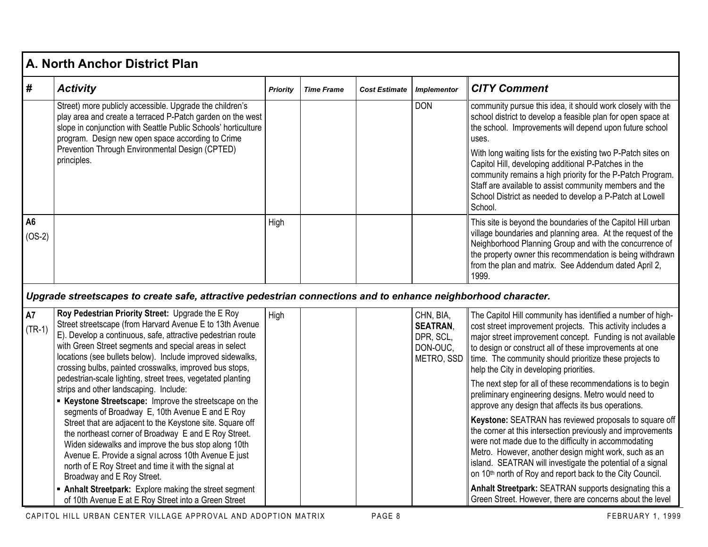|                            | A. North Anchor District Plan                                                                                                                                                                                                                                                                                                                                                                                                                                                                                                                                                                                                                                                                                                                                                                                                                                                            |                 |                   |                      |                                                                     |                                                                                                                                                                                                                                                                                                                                                                                                                                                                                                                                                                                                                                                                                                                                                                                                                                                                                                                        |  |  |  |  |  |
|----------------------------|------------------------------------------------------------------------------------------------------------------------------------------------------------------------------------------------------------------------------------------------------------------------------------------------------------------------------------------------------------------------------------------------------------------------------------------------------------------------------------------------------------------------------------------------------------------------------------------------------------------------------------------------------------------------------------------------------------------------------------------------------------------------------------------------------------------------------------------------------------------------------------------|-----------------|-------------------|----------------------|---------------------------------------------------------------------|------------------------------------------------------------------------------------------------------------------------------------------------------------------------------------------------------------------------------------------------------------------------------------------------------------------------------------------------------------------------------------------------------------------------------------------------------------------------------------------------------------------------------------------------------------------------------------------------------------------------------------------------------------------------------------------------------------------------------------------------------------------------------------------------------------------------------------------------------------------------------------------------------------------------|--|--|--|--|--|
| $\#$                       | <b>Activity</b>                                                                                                                                                                                                                                                                                                                                                                                                                                                                                                                                                                                                                                                                                                                                                                                                                                                                          | <b>Priority</b> | <b>Time Frame</b> | <b>Cost Estimate</b> | <b>Implementor</b>                                                  | <b>CITY Comment</b>                                                                                                                                                                                                                                                                                                                                                                                                                                                                                                                                                                                                                                                                                                                                                                                                                                                                                                    |  |  |  |  |  |
|                            | Street) more publicly accessible. Upgrade the children's<br>play area and create a terraced P-Patch garden on the west<br>slope in conjunction with Seattle Public Schools' horticulture<br>program. Design new open space according to Crime<br>Prevention Through Environmental Design (CPTED)<br>principles.                                                                                                                                                                                                                                                                                                                                                                                                                                                                                                                                                                          |                 |                   |                      | <b>DON</b>                                                          | community pursue this idea, it should work closely with the<br>school district to develop a feasible plan for open space at<br>the school. Improvements will depend upon future school<br>uses.<br>With long waiting lists for the existing two P-Patch sites on<br>Capitol Hill, developing additional P-Patches in the<br>community remains a high priority for the P-Patch Program.<br>Staff are available to assist community members and the<br>School District as needed to develop a P-Patch at Lowell<br>School.                                                                                                                                                                                                                                                                                                                                                                                               |  |  |  |  |  |
| A <sub>6</sub><br>$(OS-2)$ |                                                                                                                                                                                                                                                                                                                                                                                                                                                                                                                                                                                                                                                                                                                                                                                                                                                                                          | High            |                   |                      |                                                                     | This site is beyond the boundaries of the Capitol Hill urban<br>village boundaries and planning area. At the request of the<br>Neighborhood Planning Group and with the concurrence of<br>the property owner this recommendation is being withdrawn<br>from the plan and matrix. See Addendum dated April 2,<br>1999.                                                                                                                                                                                                                                                                                                                                                                                                                                                                                                                                                                                                  |  |  |  |  |  |
|                            | Upgrade streetscapes to create safe, attractive pedestrian connections and to enhance neighborhood character.                                                                                                                                                                                                                                                                                                                                                                                                                                                                                                                                                                                                                                                                                                                                                                            |                 |                   |                      |                                                                     |                                                                                                                                                                                                                                                                                                                                                                                                                                                                                                                                                                                                                                                                                                                                                                                                                                                                                                                        |  |  |  |  |  |
| <b>A7</b><br>$(TR-1)$      | Roy Pedestrian Priority Street: Upgrade the E Roy<br>Street streetscape (from Harvard Avenue E to 13th Avenue<br>E). Develop a continuous, safe, attractive pedestrian route<br>with Green Street segments and special areas in select<br>locations (see bullets below). Include improved sidewalks,<br>crossing bulbs, painted crosswalks, improved bus stops,<br>pedestrian-scale lighting, street trees, vegetated planting<br>strips and other landscaping. Include:<br><b>E</b> Keystone Streetscape: Improve the streetscape on the<br>segments of Broadway E, 10th Avenue E and E Roy<br>Street that are adjacent to the Keystone site. Square off<br>the northeast corner of Broadway E and E Roy Street.<br>Widen sidewalks and improve the bus stop along 10th<br>Avenue E. Provide a signal across 10th Avenue E just<br>north of E Roy Street and time it with the signal at | High            |                   |                      | CHN, BIA,<br><b>SEATRAN,</b><br>DPR, SCL,<br>DON-OUC,<br>METRO, SSD | The Capitol Hill community has identified a number of high-<br>cost street improvement projects. This activity includes a<br>major street improvement concept. Funding is not available<br>to design or construct all of these improvements at one<br>time. The community should prioritize these projects to<br>help the City in developing priorities.<br>The next step for all of these recommendations is to begin<br>preliminary engineering designs. Metro would need to<br>approve any design that affects its bus operations.<br>Keystone: SEATRAN has reviewed proposals to square off<br>the corner at this intersection previously and improvements<br>were not made due to the difficulty in accommodating<br>Metro. However, another design might work, such as an<br>island. SEATRAN will investigate the potential of a signal<br>on 10 <sup>th</sup> north of Roy and report back to the City Council. |  |  |  |  |  |
|                            | Broadway and E Roy Street.<br>• Anhalt Streetpark: Explore making the street segment<br>of 10th Avenue E at E Roy Street into a Green Street                                                                                                                                                                                                                                                                                                                                                                                                                                                                                                                                                                                                                                                                                                                                             |                 |                   |                      |                                                                     | Anhalt Streetpark: SEATRAN supports designating this a<br>Green Street. However, there are concerns about the level                                                                                                                                                                                                                                                                                                                                                                                                                                                                                                                                                                                                                                                                                                                                                                                                    |  |  |  |  |  |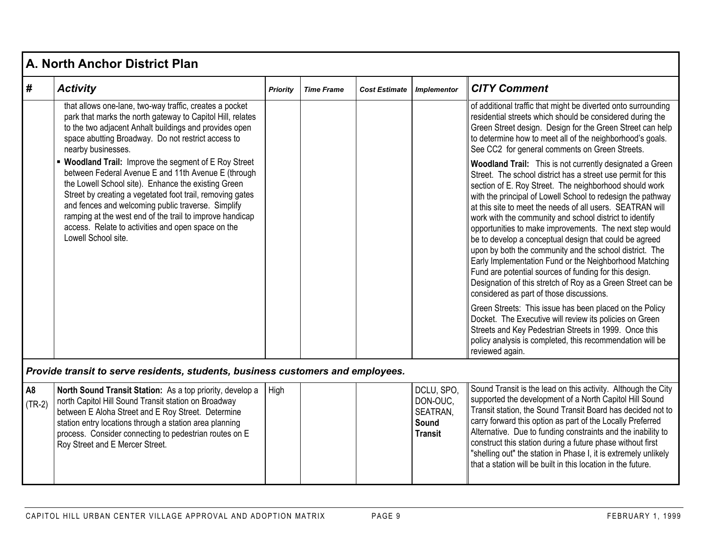|   | A. North Anchor District Plan                                                                                                                                                                                                                                                                                                                                                                                                   |                 |                   |                      |                    |                                                                                                                                                                                                                                                                                                                                                                                                                                                                                                                                                                                                                                                                                                                                                                                          |  |  |  |  |  |
|---|---------------------------------------------------------------------------------------------------------------------------------------------------------------------------------------------------------------------------------------------------------------------------------------------------------------------------------------------------------------------------------------------------------------------------------|-----------------|-------------------|----------------------|--------------------|------------------------------------------------------------------------------------------------------------------------------------------------------------------------------------------------------------------------------------------------------------------------------------------------------------------------------------------------------------------------------------------------------------------------------------------------------------------------------------------------------------------------------------------------------------------------------------------------------------------------------------------------------------------------------------------------------------------------------------------------------------------------------------------|--|--|--|--|--|
| # | <b>Activity</b>                                                                                                                                                                                                                                                                                                                                                                                                                 | <b>Priority</b> | <b>Time Frame</b> | <b>Cost Estimate</b> | <b>Implementor</b> | <b>CITY Comment</b>                                                                                                                                                                                                                                                                                                                                                                                                                                                                                                                                                                                                                                                                                                                                                                      |  |  |  |  |  |
|   | that allows one-lane, two-way traffic, creates a pocket<br>park that marks the north gateway to Capitol Hill, relates<br>to the two adjacent Anhalt buildings and provides open<br>space abutting Broadway. Do not restrict access to<br>nearby businesses.                                                                                                                                                                     |                 |                   |                      |                    | of additional traffic that might be diverted onto surrounding<br>residential streets which should be considered during the<br>Green Street design. Design for the Green Street can help<br>to determine how to meet all of the neighborhood's goals.<br>See CC2 for general comments on Green Streets.                                                                                                                                                                                                                                                                                                                                                                                                                                                                                   |  |  |  |  |  |
|   | • Woodland Trail: Improve the segment of E Roy Street<br>between Federal Avenue E and 11th Avenue E (through<br>the Lowell School site). Enhance the existing Green<br>Street by creating a vegetated foot trail, removing gates<br>and fences and welcoming public traverse. Simplify<br>ramping at the west end of the trail to improve handicap<br>access. Relate to activities and open space on the<br>Lowell School site. |                 |                   |                      |                    | Woodland Trail: This is not currently designated a Green<br>Street. The school district has a street use permit for this<br>section of E. Roy Street. The neighborhood should work<br>with the principal of Lowell School to redesign the pathway<br>at this site to meet the needs of all users. SEATRAN will<br>work with the community and school district to identify<br>opportunities to make improvements. The next step would<br>be to develop a conceptual design that could be agreed<br>upon by both the community and the school district. The<br>Early Implementation Fund or the Neighborhood Matching<br>Fund are potential sources of funding for this design.<br>Designation of this stretch of Roy as a Green Street can be<br>considered as part of those discussions. |  |  |  |  |  |
|   |                                                                                                                                                                                                                                                                                                                                                                                                                                 |                 |                   |                      |                    | Green Streets: This issue has been placed on the Policy<br>Docket. The Executive will review its policies on Green<br>Streets and Key Pedestrian Streets in 1999. Once this<br>policy analysis is completed, this recommendation will be<br>reviewed again.                                                                                                                                                                                                                                                                                                                                                                                                                                                                                                                              |  |  |  |  |  |

*Provide transit to serve residents, students, business customers and employees.*

| $\overline{AB}$<br>$(TR-2)$ | <b>North Sound Transit Station:</b> As a top priority, develop a  <br>north Capitol Hill Sound Transit station on Broadway<br>between E Aloha Street and E Roy Street. Determine<br>station entry locations through a station area planning<br>process. Consider connecting to pedestrian routes on E<br>Roy Street and E Mercer Street. | High |  |  | DCLU, SPO,<br>DON-OUC.<br><b>SEATRAN,</b><br>Sound<br><b>Transit</b> | Sound Transit is the lead on this activity. Although the City<br>supported the development of a North Capitol Hill Sound<br>Transit station, the Sound Transit Board has decided not to<br>carry forward this option as part of the Locally Preferred<br>Alternative. Due to funding constraints and the inability to<br>construct this station during a future phase without first<br>"shelling out" the station in Phase I, it is extremely unlikely<br>that a station will be built in this location in the future. |
|-----------------------------|------------------------------------------------------------------------------------------------------------------------------------------------------------------------------------------------------------------------------------------------------------------------------------------------------------------------------------------|------|--|--|----------------------------------------------------------------------|------------------------------------------------------------------------------------------------------------------------------------------------------------------------------------------------------------------------------------------------------------------------------------------------------------------------------------------------------------------------------------------------------------------------------------------------------------------------------------------------------------------------|
|-----------------------------|------------------------------------------------------------------------------------------------------------------------------------------------------------------------------------------------------------------------------------------------------------------------------------------------------------------------------------------|------|--|--|----------------------------------------------------------------------|------------------------------------------------------------------------------------------------------------------------------------------------------------------------------------------------------------------------------------------------------------------------------------------------------------------------------------------------------------------------------------------------------------------------------------------------------------------------------------------------------------------------|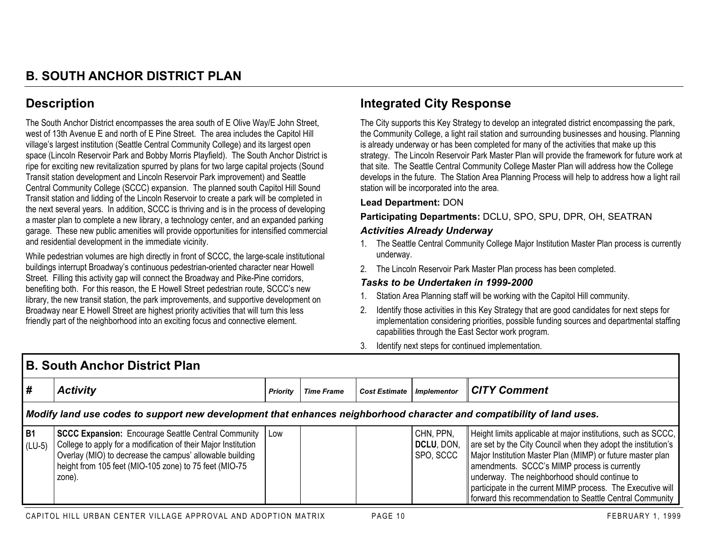# **Description**

The South Anchor District encompasses the area south of E Olive Way/E John Street, west of 13th Avenue E and north of E Pine Street. The area includes the Capitol Hill village's largest institution (Seattle Central Community College) and its largest open space (Lincoln Reservoir Park and Bobby Morris Playfield). The South Anchor District is ripe for exciting new revitalization spurred by plans for two large capital projects (Sound Transit station development and Lincoln Reservoir Park improvement) and Seattle Central Community College (SCCC) expansion. The planned south Capitol Hill Sound Transit station and lidding of the Lincoln Reservoir to create a park will be completed in the next several years. In addition, SCCC is thriving and is in the process of developing a master plan to complete a new library, a technology center, and an expanded parking garage. These new public amenities will provide opportunities for intensified commercial and residential development in the immediate vicinity.

While pedestrian volumes are high directly in front of SCCC, the large-scale institutional buildings interrupt Broadway's continuous pedestrian-oriented character near Howell Street. Filling this activity gap will connect the Broadway and Pike-Pine corridors, benefiting both. For this reason, the E Howell Street pedestrian route, SCCC's new library, the new transit station, the park improvements, and supportive development on Broadway near E Howell Street are highest priority activities that will turn this less friendly part of the neighborhood into an exciting focus and connective element.

## **Integrated City Response**

The City supports this Key Strategy to develop an integrated district encompassing the park, the Community College, a light rail station and surrounding businesses and housing. Planning is already underway or has been completed for many of the activities that make up this strategy. The Lincoln Reservoir Park Master Plan will provide the framework for future work at that site. The Seattle Central Community College Master Plan will address how the College develops in the future. The Station Area Planning Process will help to address how a light rail station will be incorporated into the area.

#### **Lead Department:** DON

**Participating Departments:** DCLU, SPO, SPU, DPR, OH, SEATRAN *Activities Already Underway*

- 1. The Seattle Central Community College Major Institution Master Plan process is currently underway.
- 2. The Lincoln Reservoir Park Master Plan process has been completed.

- 1. Station Area Planning staff will be working with the Capitol Hill community.
- 2. Identify those activities in this Key Strategy that are good candidates for next steps for implementation considering priorities, possible funding sources and departmental staffing capabilities through the East Sector work program.
- 3. Identify next steps for continued implementation.

|                       | <b>B. South Anchor District Plan</b>                                                                                                                                                                                                                               |          |                   |               |                                      |                                                                                                                                                                                                                                                                                                                                                                                                                          |  |  |  |  |  |
|-----------------------|--------------------------------------------------------------------------------------------------------------------------------------------------------------------------------------------------------------------------------------------------------------------|----------|-------------------|---------------|--------------------------------------|--------------------------------------------------------------------------------------------------------------------------------------------------------------------------------------------------------------------------------------------------------------------------------------------------------------------------------------------------------------------------------------------------------------------------|--|--|--|--|--|
| #                     | <b>Activity</b>                                                                                                                                                                                                                                                    | Priority | <b>Time Frame</b> | Cost Estimate | <b>Implementor</b>                   | <b>CITY Comment</b>                                                                                                                                                                                                                                                                                                                                                                                                      |  |  |  |  |  |
|                       | Modify land use codes to support new development that enhances neighborhood character and compatibility of land uses.                                                                                                                                              |          |                   |               |                                      |                                                                                                                                                                                                                                                                                                                                                                                                                          |  |  |  |  |  |
| <b>B1</b><br>$(LU-5)$ | <b>SCCC Expansion:</b> Encourage Seattle Central Community   Low<br>College to apply for a modification of their Major Institution<br>Overlay (MIO) to decrease the campus' allowable building<br>height from 105 feet (MIO-105 zone) to 75 feet (MIO-75<br>zone). |          |                   |               | CHN, PPN,<br>DCLU, DON,<br>SPO, SCCC | Height limits applicable at major institutions, such as SCCC,<br>are set by the City Council when they adopt the institution's<br>Major Institution Master Plan (MIMP) or future master plan<br>amendments. SCCC's MIMP process is currently<br>underway. The neighborhood should continue to<br>participate in the current MIMP process. The Executive will<br>forward this recommendation to Seattle Central Community |  |  |  |  |  |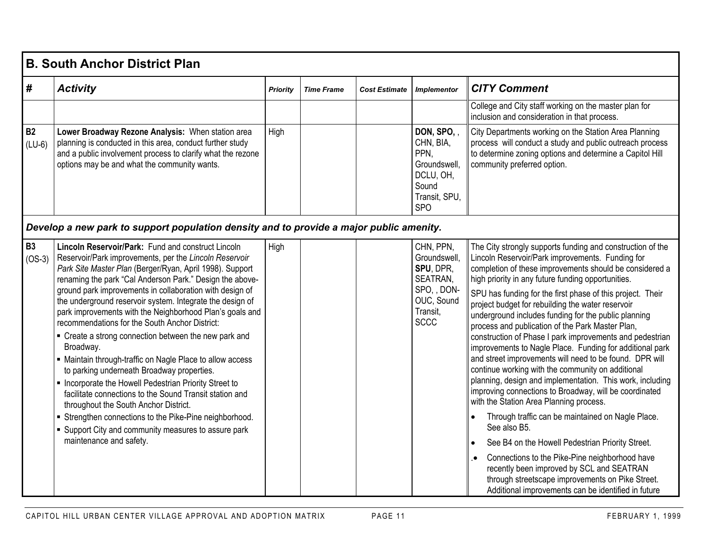|                       | <b>B. South Anchor District Plan</b>                                                                                                                                                                                                                                                                                                                                                                                                                                                                                                                                                                                                                                                                                                                                                                                                                                                                                                                                 |                 |                   |                      |                                                                                                            |                                                                                                                                                                                                                                                                                                                                                                                                                                                                                                                                                                                                                                                                                                                                                                                                                                                                                                                                                                                                                                                                                                                                                                                                             |  |  |  |  |  |
|-----------------------|----------------------------------------------------------------------------------------------------------------------------------------------------------------------------------------------------------------------------------------------------------------------------------------------------------------------------------------------------------------------------------------------------------------------------------------------------------------------------------------------------------------------------------------------------------------------------------------------------------------------------------------------------------------------------------------------------------------------------------------------------------------------------------------------------------------------------------------------------------------------------------------------------------------------------------------------------------------------|-----------------|-------------------|----------------------|------------------------------------------------------------------------------------------------------------|-------------------------------------------------------------------------------------------------------------------------------------------------------------------------------------------------------------------------------------------------------------------------------------------------------------------------------------------------------------------------------------------------------------------------------------------------------------------------------------------------------------------------------------------------------------------------------------------------------------------------------------------------------------------------------------------------------------------------------------------------------------------------------------------------------------------------------------------------------------------------------------------------------------------------------------------------------------------------------------------------------------------------------------------------------------------------------------------------------------------------------------------------------------------------------------------------------------|--|--|--|--|--|
| #                     | <b>Activity</b>                                                                                                                                                                                                                                                                                                                                                                                                                                                                                                                                                                                                                                                                                                                                                                                                                                                                                                                                                      | <b>Priority</b> | <b>Time Frame</b> | <b>Cost Estimate</b> | <b>Implementor</b>                                                                                         | <b>CITY Comment</b>                                                                                                                                                                                                                                                                                                                                                                                                                                                                                                                                                                                                                                                                                                                                                                                                                                                                                                                                                                                                                                                                                                                                                                                         |  |  |  |  |  |
|                       |                                                                                                                                                                                                                                                                                                                                                                                                                                                                                                                                                                                                                                                                                                                                                                                                                                                                                                                                                                      |                 |                   |                      |                                                                                                            | College and City staff working on the master plan for<br>inclusion and consideration in that process.                                                                                                                                                                                                                                                                                                                                                                                                                                                                                                                                                                                                                                                                                                                                                                                                                                                                                                                                                                                                                                                                                                       |  |  |  |  |  |
| <b>B2</b><br>$(LU-6)$ | Lower Broadway Rezone Analysis: When station area<br>planning is conducted in this area, conduct further study<br>and a public involvement process to clarify what the rezone<br>options may be and what the community wants.                                                                                                                                                                                                                                                                                                                                                                                                                                                                                                                                                                                                                                                                                                                                        | High            |                   |                      | DON, SPO,<br>CHN, BIA,<br>PPN.<br>Groundswell,<br>DCLU, OH,<br>Sound<br>Transit, SPU,<br><b>SPO</b>        | City Departments working on the Station Area Planning<br>process will conduct a study and public outreach process<br>to determine zoning options and determine a Capitol Hill<br>community preferred option.                                                                                                                                                                                                                                                                                                                                                                                                                                                                                                                                                                                                                                                                                                                                                                                                                                                                                                                                                                                                |  |  |  |  |  |
|                       | Develop a new park to support population density and to provide a major public amenity.                                                                                                                                                                                                                                                                                                                                                                                                                                                                                                                                                                                                                                                                                                                                                                                                                                                                              |                 |                   |                      |                                                                                                            |                                                                                                                                                                                                                                                                                                                                                                                                                                                                                                                                                                                                                                                                                                                                                                                                                                                                                                                                                                                                                                                                                                                                                                                                             |  |  |  |  |  |
| B3<br>$(OS-3)$        | Lincoln Reservoir/Park: Fund and construct Lincoln<br>Reservoir/Park improvements, per the Lincoln Reservoir<br>Park Site Master Plan (Berger/Ryan, April 1998). Support<br>renaming the park "Cal Anderson Park." Design the above-<br>ground park improvements in collaboration with design of<br>the underground reservoir system. Integrate the design of<br>park improvements with the Neighborhood Plan's goals and<br>recommendations for the South Anchor District:<br>• Create a strong connection between the new park and<br>Broadway.<br>• Maintain through-traffic on Nagle Place to allow access<br>to parking underneath Broadway properties.<br>Incorporate the Howell Pedestrian Priority Street to<br>facilitate connections to the Sound Transit station and<br>throughout the South Anchor District.<br>Strengthen connections to the Pike-Pine neighborhood.<br>• Support City and community measures to assure park<br>maintenance and safety. | High            |                   |                      | CHN, PPN,<br>Groundswell,<br>SPU, DPR,<br>SEATRAN,<br>SPO, , DON-<br>OUC, Sound<br>Transit,<br><b>SCCC</b> | The City strongly supports funding and construction of the<br>Lincoln Reservoir/Park improvements. Funding for<br>completion of these improvements should be considered a<br>high priority in any future funding opportunities.<br>SPU has funding for the first phase of this project. Their<br>project budget for rebuilding the water reservoir<br>underground includes funding for the public planning<br>process and publication of the Park Master Plan,<br>construction of Phase I park improvements and pedestrian<br>improvements to Nagle Place. Funding for additional park<br>and street improvements will need to be found. DPR will<br>continue working with the community on additional<br>planning, design and implementation. This work, including<br>improving connections to Broadway, will be coordinated<br>with the Station Area Planning process.<br>Through traffic can be maintained on Nagle Place.<br>See also B5.<br>See B4 on the Howell Pedestrian Priority Street.<br>Connections to the Pike-Pine neighborhood have<br>recently been improved by SCL and SEATRAN<br>through streetscape improvements on Pike Street.<br>Additional improvements can be identified in future |  |  |  |  |  |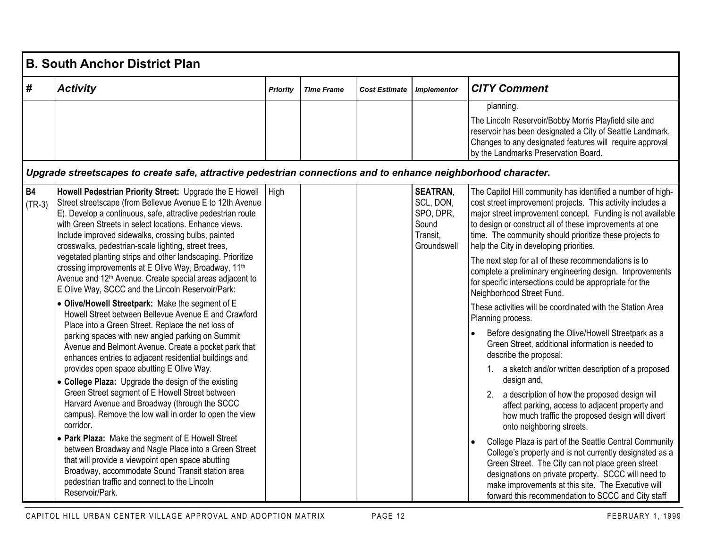|                       | <b>B. South Anchor District Plan</b>                                                                                                                                                                                                                                                                                                                                                                                                                                                                                                                                                                                                                                                                                                                                                                                                                                                                                                                                                                                                                                                                                                                                                                                                                                                                                                                                                                                                                                                                                              |          |                   |                      |                                                                               |                                                                                                                                                                                                                                                                                                                                                                                                                                                                                                                                                                                                                                                                                                                                                                                                                                                                                                                                                                                                                                                                                                                                                                                                                                                                                                                                                                                                             |  |  |  |  |
|-----------------------|-----------------------------------------------------------------------------------------------------------------------------------------------------------------------------------------------------------------------------------------------------------------------------------------------------------------------------------------------------------------------------------------------------------------------------------------------------------------------------------------------------------------------------------------------------------------------------------------------------------------------------------------------------------------------------------------------------------------------------------------------------------------------------------------------------------------------------------------------------------------------------------------------------------------------------------------------------------------------------------------------------------------------------------------------------------------------------------------------------------------------------------------------------------------------------------------------------------------------------------------------------------------------------------------------------------------------------------------------------------------------------------------------------------------------------------------------------------------------------------------------------------------------------------|----------|-------------------|----------------------|-------------------------------------------------------------------------------|-------------------------------------------------------------------------------------------------------------------------------------------------------------------------------------------------------------------------------------------------------------------------------------------------------------------------------------------------------------------------------------------------------------------------------------------------------------------------------------------------------------------------------------------------------------------------------------------------------------------------------------------------------------------------------------------------------------------------------------------------------------------------------------------------------------------------------------------------------------------------------------------------------------------------------------------------------------------------------------------------------------------------------------------------------------------------------------------------------------------------------------------------------------------------------------------------------------------------------------------------------------------------------------------------------------------------------------------------------------------------------------------------------------|--|--|--|--|
| #                     | <b>Activity</b>                                                                                                                                                                                                                                                                                                                                                                                                                                                                                                                                                                                                                                                                                                                                                                                                                                                                                                                                                                                                                                                                                                                                                                                                                                                                                                                                                                                                                                                                                                                   | Priority | <b>Time Frame</b> | <b>Cost Estimate</b> | <b>Implementor</b>                                                            | <b>CITY Comment</b>                                                                                                                                                                                                                                                                                                                                                                                                                                                                                                                                                                                                                                                                                                                                                                                                                                                                                                                                                                                                                                                                                                                                                                                                                                                                                                                                                                                         |  |  |  |  |
|                       |                                                                                                                                                                                                                                                                                                                                                                                                                                                                                                                                                                                                                                                                                                                                                                                                                                                                                                                                                                                                                                                                                                                                                                                                                                                                                                                                                                                                                                                                                                                                   |          |                   |                      |                                                                               | planning.<br>The Lincoln Reservoir/Bobby Morris Playfield site and<br>reservoir has been designated a City of Seattle Landmark.<br>Changes to any designated features will require approval<br>by the Landmarks Preservation Board.                                                                                                                                                                                                                                                                                                                                                                                                                                                                                                                                                                                                                                                                                                                                                                                                                                                                                                                                                                                                                                                                                                                                                                         |  |  |  |  |
|                       | Upgrade streetscapes to create safe, attractive pedestrian connections and to enhance neighborhood character.                                                                                                                                                                                                                                                                                                                                                                                                                                                                                                                                                                                                                                                                                                                                                                                                                                                                                                                                                                                                                                                                                                                                                                                                                                                                                                                                                                                                                     |          |                   |                      |                                                                               |                                                                                                                                                                                                                                                                                                                                                                                                                                                                                                                                                                                                                                                                                                                                                                                                                                                                                                                                                                                                                                                                                                                                                                                                                                                                                                                                                                                                             |  |  |  |  |
| <b>B4</b><br>$(TR-3)$ | Howell Pedestrian Priority Street: Upgrade the E Howell<br>Street streetscape (from Bellevue Avenue E to 12th Avenue<br>E). Develop a continuous, safe, attractive pedestrian route<br>with Green Streets in select locations. Enhance views.<br>Include improved sidewalks, crossing bulbs, painted<br>crosswalks, pedestrian-scale lighting, street trees,<br>vegetated planting strips and other landscaping. Prioritize<br>crossing improvements at E Olive Way, Broadway, 11th<br>Avenue and 12 <sup>th</sup> Avenue. Create special areas adjacent to<br>E Olive Way, SCCC and the Lincoln Reservoir/Park:<br>• Olive/Howell Streetpark: Make the segment of E<br>Howell Street between Bellevue Avenue E and Crawford<br>Place into a Green Street. Replace the net loss of<br>parking spaces with new angled parking on Summit<br>Avenue and Belmont Avenue. Create a pocket park that<br>enhances entries to adjacent residential buildings and<br>provides open space abutting E Olive Way.<br>• College Plaza: Upgrade the design of the existing<br>Green Street segment of E Howell Street between<br>Harvard Avenue and Broadway (through the SCCC<br>campus). Remove the low wall in order to open the view<br>corridor.<br>• Park Plaza: Make the segment of E Howell Street<br>between Broadway and Nagle Place into a Green Street<br>that will provide a viewpoint open space abutting<br>Broadway, accommodate Sound Transit station area<br>pedestrian traffic and connect to the Lincoln<br>Reservoir/Park. | High     |                   |                      | <b>SEATRAN,</b><br>SCL, DON,<br>SPO, DPR,<br>Sound<br>Transit,<br>Groundswell | The Capitol Hill community has identified a number of high-<br>cost street improvement projects. This activity includes a<br>major street improvement concept. Funding is not available<br>to design or construct all of these improvements at one<br>time. The community should prioritize these projects to<br>help the City in developing priorities.<br>The next step for all of these recommendations is to<br>complete a preliminary engineering design. Improvements<br>for specific intersections could be appropriate for the<br>Neighborhood Street Fund.<br>These activities will be coordinated with the Station Area<br>Planning process.<br>Before designating the Olive/Howell Streetpark as a<br>Green Street, additional information is needed to<br>describe the proposal:<br>1. a sketch and/or written description of a proposed<br>design and,<br>a description of how the proposed design will<br>2.<br>affect parking, access to adjacent property and<br>how much traffic the proposed design will divert<br>onto neighboring streets.<br>College Plaza is part of the Seattle Central Community<br>College's property and is not currently designated as a<br>Green Street. The City can not place green street<br>designations on private property. SCCC will need to<br>make improvements at this site. The Executive will<br>forward this recommendation to SCCC and City staff |  |  |  |  |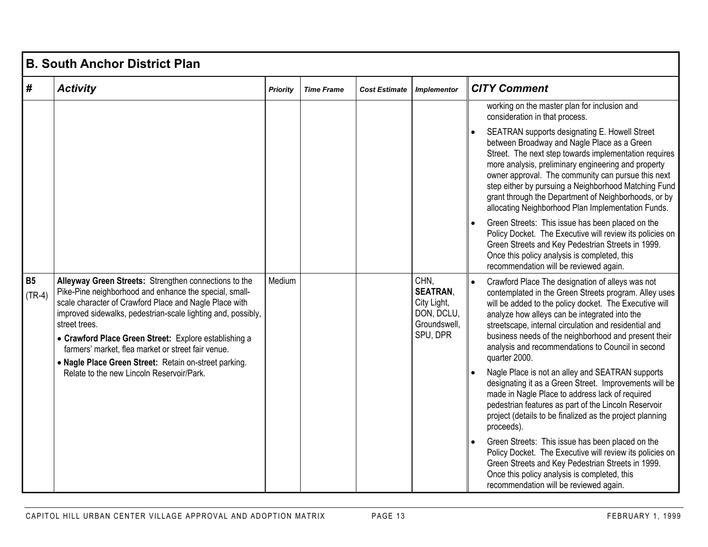|                       | <b>B. South Anchor District Plan</b>                                                                                                                                                                                                                                                                                                                                                                                               |                 |                   |                      |                                                                                  |                                                                                                                                                                                                                                                                                                                                                                                                                                          |  |  |  |  |  |
|-----------------------|------------------------------------------------------------------------------------------------------------------------------------------------------------------------------------------------------------------------------------------------------------------------------------------------------------------------------------------------------------------------------------------------------------------------------------|-----------------|-------------------|----------------------|----------------------------------------------------------------------------------|------------------------------------------------------------------------------------------------------------------------------------------------------------------------------------------------------------------------------------------------------------------------------------------------------------------------------------------------------------------------------------------------------------------------------------------|--|--|--|--|--|
| $\#$                  | <b>Activity</b>                                                                                                                                                                                                                                                                                                                                                                                                                    | <b>Priority</b> | <b>Time Frame</b> | <b>Cost Estimate</b> | <b>Implementor</b>                                                               | <b>CITY Comment</b>                                                                                                                                                                                                                                                                                                                                                                                                                      |  |  |  |  |  |
|                       |                                                                                                                                                                                                                                                                                                                                                                                                                                    |                 |                   |                      |                                                                                  | working on the master plan for inclusion and<br>consideration in that process.                                                                                                                                                                                                                                                                                                                                                           |  |  |  |  |  |
|                       |                                                                                                                                                                                                                                                                                                                                                                                                                                    |                 |                   |                      |                                                                                  | SEATRAN supports designating E. Howell Street<br>between Broadway and Nagle Place as a Green<br>Street. The next step towards implementation requires<br>more analysis, preliminary engineering and property<br>owner approval. The community can pursue this next<br>step either by pursuing a Neighborhood Matching Fund<br>grant through the Department of Neighborhoods, or by<br>allocating Neighborhood Plan Implementation Funds. |  |  |  |  |  |
|                       |                                                                                                                                                                                                                                                                                                                                                                                                                                    |                 |                   |                      |                                                                                  | Green Streets: This issue has been placed on the<br>Policy Docket. The Executive will review its policies on<br>Green Streets and Key Pedestrian Streets in 1999.<br>Once this policy analysis is completed, this<br>recommendation will be reviewed again.                                                                                                                                                                              |  |  |  |  |  |
| <b>B5</b><br>$(TR-4)$ | Alleyway Green Streets: Strengthen connections to the<br>Pike-Pine neighborhood and enhance the special, small-<br>scale character of Crawford Place and Nagle Place with<br>improved sidewalks, pedestrian-scale lighting and, possibly,<br>street trees.<br>• Crawford Place Green Street: Explore establishing a<br>farmers' market, flea market or street fair venue.<br>• Nagle Place Green Street: Retain on-street parking. | Medium          |                   |                      | CHN.<br><b>SEATRAN,</b><br>City Light,<br>DON, DCLU,<br>Groundswell,<br>SPU, DPR | Crawford Place The designation of alleys was not<br>contemplated in the Green Streets program. Alley uses<br>will be added to the policy docket. The Executive will<br>analyze how alleys can be integrated into the<br>streetscape, internal circulation and residential and<br>business needs of the neighborhood and present their<br>analysis and recommendations to Council in second<br>quarter 2000.                              |  |  |  |  |  |
|                       | Relate to the new Lincoln Reservoir/Park.                                                                                                                                                                                                                                                                                                                                                                                          |                 |                   |                      |                                                                                  | Nagle Place is not an alley and SEATRAN supports<br>designating it as a Green Street. Improvements will be<br>made in Nagle Place to address lack of required<br>pedestrian features as part of the Lincoln Reservoir<br>project (details to be finalized as the project planning<br>proceeds).                                                                                                                                          |  |  |  |  |  |
|                       |                                                                                                                                                                                                                                                                                                                                                                                                                                    |                 |                   |                      |                                                                                  | Green Streets: This issue has been placed on the<br>Policy Docket. The Executive will review its policies on<br>Green Streets and Key Pedestrian Streets in 1999.<br>Once this policy analysis is completed, this<br>recommendation will be reviewed again.                                                                                                                                                                              |  |  |  |  |  |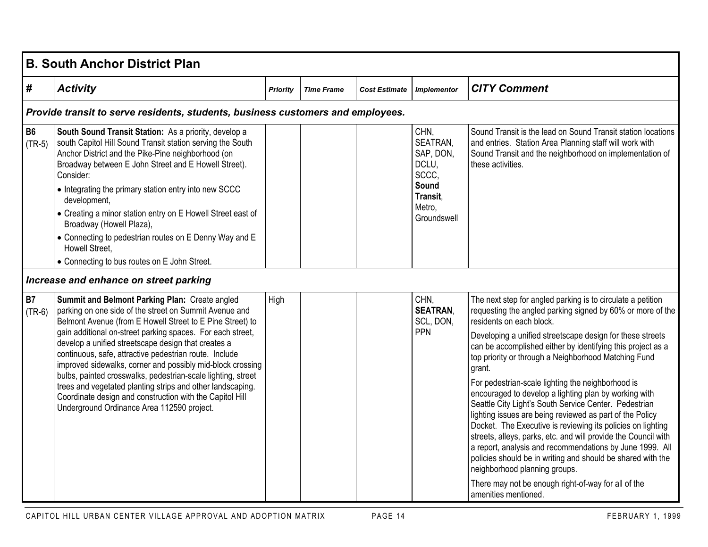|                       | <b>B. South Anchor District Plan</b>                                                                                                                                                                                                                                                                                                                                                                                                                                                                                                                                                                                                                       |                 |                   |                      |                                                                                               |                                                                                                                                                                                                                                                                                                                                                                                                                                                                                                                                                                                                                                                                                                                                                                                                                                                                                                                                                                    |  |  |  |  |
|-----------------------|------------------------------------------------------------------------------------------------------------------------------------------------------------------------------------------------------------------------------------------------------------------------------------------------------------------------------------------------------------------------------------------------------------------------------------------------------------------------------------------------------------------------------------------------------------------------------------------------------------------------------------------------------------|-----------------|-------------------|----------------------|-----------------------------------------------------------------------------------------------|--------------------------------------------------------------------------------------------------------------------------------------------------------------------------------------------------------------------------------------------------------------------------------------------------------------------------------------------------------------------------------------------------------------------------------------------------------------------------------------------------------------------------------------------------------------------------------------------------------------------------------------------------------------------------------------------------------------------------------------------------------------------------------------------------------------------------------------------------------------------------------------------------------------------------------------------------------------------|--|--|--|--|
| #                     | <b>Activity</b>                                                                                                                                                                                                                                                                                                                                                                                                                                                                                                                                                                                                                                            | <b>Priority</b> | <b>Time Frame</b> | <b>Cost Estimate</b> | <b>Implementor</b>                                                                            | <b>CITY Comment</b>                                                                                                                                                                                                                                                                                                                                                                                                                                                                                                                                                                                                                                                                                                                                                                                                                                                                                                                                                |  |  |  |  |
|                       | Provide transit to serve residents, students, business customers and employees.                                                                                                                                                                                                                                                                                                                                                                                                                                                                                                                                                                            |                 |                   |                      |                                                                                               |                                                                                                                                                                                                                                                                                                                                                                                                                                                                                                                                                                                                                                                                                                                                                                                                                                                                                                                                                                    |  |  |  |  |
| <b>B6</b><br>$(TR-5)$ | South Sound Transit Station: As a priority, develop a<br>south Capitol Hill Sound Transit station serving the South<br>Anchor District and the Pike-Pine neighborhood (on<br>Broadway between E John Street and E Howell Street).<br>Consider:<br>• Integrating the primary station entry into new SCCC<br>development,<br>• Creating a minor station entry on E Howell Street east of                                                                                                                                                                                                                                                                     |                 |                   |                      | CHN,<br>SEATRAN,<br>SAP, DON,<br>DCLU,<br>SCCC,<br>Sound<br>Transit,<br>Metro,<br>Groundswell | Sound Transit is the lead on Sound Transit station locations<br>and entries. Station Area Planning staff will work with<br>Sound Transit and the neighborhood on implementation of<br>these activities.                                                                                                                                                                                                                                                                                                                                                                                                                                                                                                                                                                                                                                                                                                                                                            |  |  |  |  |
|                       | Broadway (Howell Plaza),<br>• Connecting to pedestrian routes on E Denny Way and E<br>Howell Street,<br>• Connecting to bus routes on E John Street.                                                                                                                                                                                                                                                                                                                                                                                                                                                                                                       |                 |                   |                      |                                                                                               |                                                                                                                                                                                                                                                                                                                                                                                                                                                                                                                                                                                                                                                                                                                                                                                                                                                                                                                                                                    |  |  |  |  |
|                       | Increase and enhance on street parking                                                                                                                                                                                                                                                                                                                                                                                                                                                                                                                                                                                                                     |                 |                   |                      |                                                                                               |                                                                                                                                                                                                                                                                                                                                                                                                                                                                                                                                                                                                                                                                                                                                                                                                                                                                                                                                                                    |  |  |  |  |
| <b>B7</b><br>$(TR-6)$ | Summit and Belmont Parking Plan: Create angled<br>parking on one side of the street on Summit Avenue and<br>Belmont Avenue (from E Howell Street to E Pine Street) to<br>gain additional on-street parking spaces. For each street,<br>develop a unified streetscape design that creates a<br>continuous, safe, attractive pedestrian route. Include<br>improved sidewalks, corner and possibly mid-block crossing<br>bulbs, painted crosswalks, pedestrian-scale lighting, street<br>trees and vegetated planting strips and other landscaping.<br>Coordinate design and construction with the Capitol Hill<br>Underground Ordinance Area 112590 project. | High            |                   |                      | CHN,<br><b>SEATRAN.</b><br>SCL, DON,<br>PPN                                                   | The next step for angled parking is to circulate a petition<br>requesting the angled parking signed by 60% or more of the<br>residents on each block.<br>Developing a unified streetscape design for these streets<br>can be accomplished either by identifying this project as a<br>top priority or through a Neighborhood Matching Fund<br>grant.<br>For pedestrian-scale lighting the neighborhood is<br>encouraged to develop a lighting plan by working with<br>Seattle City Light's South Service Center. Pedestrian<br>lighting issues are being reviewed as part of the Policy<br>Docket. The Executive is reviewing its policies on lighting<br>streets, alleys, parks, etc. and will provide the Council with<br>a report, analysis and recommendations by June 1999. All<br>policies should be in writing and should be shared with the<br>neighborhood planning groups.<br>There may not be enough right-of-way for all of the<br>amenities mentioned. |  |  |  |  |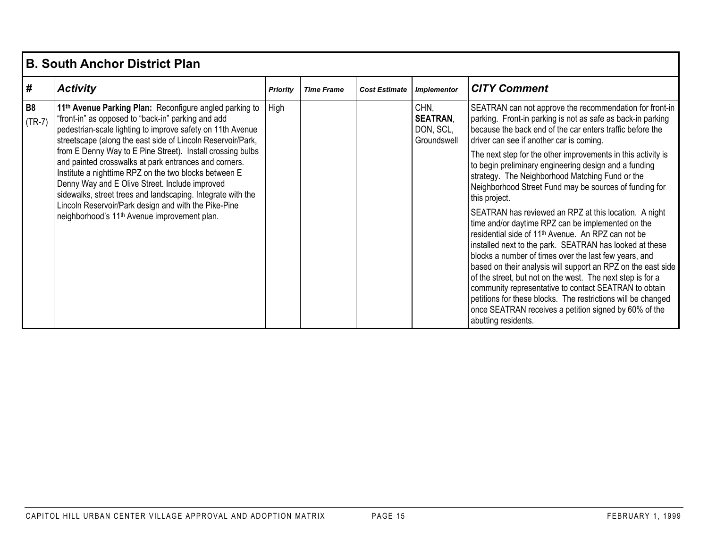|                       | <b>B. South Anchor District Plan</b>                                                                                                                                                                                                                                                                                                                                                                                                                                                                                                                    |                 |                   |                      |                                                     |                                                                                                                                                                                                                                                                                                                                                                                                                                                                                                                                                                                                                                         |  |  |  |  |
|-----------------------|---------------------------------------------------------------------------------------------------------------------------------------------------------------------------------------------------------------------------------------------------------------------------------------------------------------------------------------------------------------------------------------------------------------------------------------------------------------------------------------------------------------------------------------------------------|-----------------|-------------------|----------------------|-----------------------------------------------------|-----------------------------------------------------------------------------------------------------------------------------------------------------------------------------------------------------------------------------------------------------------------------------------------------------------------------------------------------------------------------------------------------------------------------------------------------------------------------------------------------------------------------------------------------------------------------------------------------------------------------------------------|--|--|--|--|
| #                     | <b>Activity</b>                                                                                                                                                                                                                                                                                                                                                                                                                                                                                                                                         | <b>Priority</b> | <b>Time Frame</b> | <b>Cost Estimate</b> | <b>Implementor</b>                                  | <b>CITY Comment</b>                                                                                                                                                                                                                                                                                                                                                                                                                                                                                                                                                                                                                     |  |  |  |  |
| <b>B8</b><br>$(TR-7)$ | 11 <sup>th</sup> Avenue Parking Plan: Reconfigure angled parking to<br>"front-in" as opposed to "back-in" parking and add<br>pedestrian-scale lighting to improve safety on 11th Avenue<br>streetscape (along the east side of Lincoln Reservoir/Park,<br>from E Denny Way to E Pine Street). Install crossing bulbs<br>and painted crosswalks at park entrances and corners.<br>Institute a nighttime RPZ on the two blocks between E<br>Denny Way and E Olive Street. Include improved<br>sidewalks, street trees and landscaping. Integrate with the | High            |                   |                      | CHN.<br><b>SEATRAN,</b><br>DON, SCL,<br>Groundswell | SEATRAN can not approve the recommendation for front-in<br>parking. Front-in parking is not as safe as back-in parking<br>because the back end of the car enters traffic before the<br>driver can see if another car is coming.                                                                                                                                                                                                                                                                                                                                                                                                         |  |  |  |  |
|                       |                                                                                                                                                                                                                                                                                                                                                                                                                                                                                                                                                         |                 |                   |                      |                                                     | The next step for the other improvements in this activity is<br>to begin preliminary engineering design and a funding<br>strategy. The Neighborhood Matching Fund or the<br>Neighborhood Street Fund may be sources of funding for<br>this project.                                                                                                                                                                                                                                                                                                                                                                                     |  |  |  |  |
|                       | Lincoln Reservoir/Park design and with the Pike-Pine<br>neighborhood's 11 <sup>th</sup> Avenue improvement plan.                                                                                                                                                                                                                                                                                                                                                                                                                                        |                 |                   |                      |                                                     | SEATRAN has reviewed an RPZ at this location. A night<br>time and/or daytime RPZ can be implemented on the<br>residential side of 11 <sup>th</sup> Avenue. An RPZ can not be<br>installed next to the park. SEATRAN has looked at these<br>blocks a number of times over the last few years, and<br>based on their analysis will support an RPZ on the east side<br>of the street, but not on the west. The next step is for a<br>community representative to contact SEATRAN to obtain<br>petitions for these blocks. The restrictions will be changed<br>once SEATRAN receives a petition signed by 60% of the<br>abutting residents. |  |  |  |  |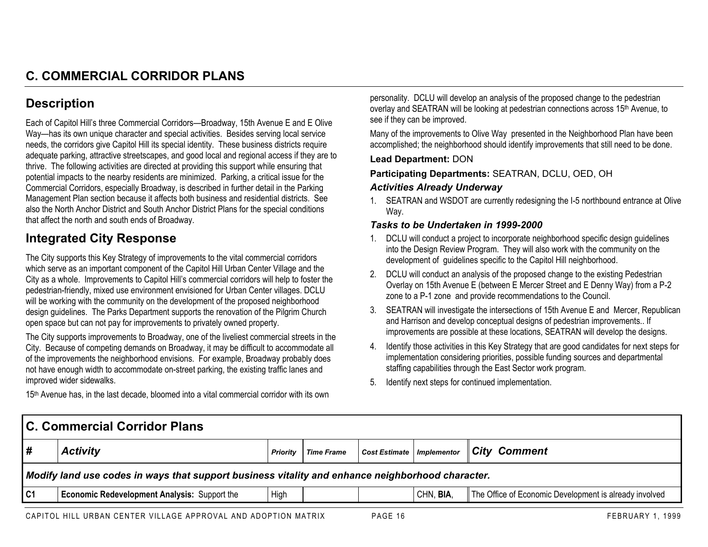## **Description**

Each of Capitol Hill's three Commercial Corridors—Broadway, 15th Avenue E and E Olive Way—has its own unique character and special activities. Besides serving local service needs, the corridors give Capitol Hill its special identity. These business districts require adequate parking, attractive streetscapes, and good local and regional access if they are to thrive. The following activities are directed at providing this support while ensuring that potential impacts to the nearby residents are minimized. Parking, a critical issue for the Commercial Corridors, especially Broadway, is described in further detail in the Parking Management Plan section because it affects both business and residential districts. See also the North Anchor District and South Anchor District Plans for the special conditions that affect the north and south ends of Broadway.

## **Integrated City Response**

The City supports this Key Strategy of improvements to the vital commercial corridors which serve as an important component of the Capitol Hill Urban Center Village and the City as a whole. Improvements to Capitol Hill's commercial corridors will help to foster the pedestrian-friendly, mixed use environment envisioned for Urban Center villages. DCLU will be working with the community on the development of the proposed neighborhood design guidelines. The Parks Department supports the renovation of the Pilgrim Church open space but can not pay for improvements to privately owned property.

The City supports improvements to Broadway, one of the liveliest commercial streets in the City. Because of competing demands on Broadway, it may be difficult to accommodate all of the improvements the neighborhood envisions. For example, Broadway probably does not have enough width to accommodate on-street parking, the existing traffic lanes and improved wider sidewalks.

15th Avenue has, in the last decade, bloomed into a vital commercial corridor with its own

personality. DCLU will develop an analysis of the proposed change to the pedestrian overlay and SEATRAN will be looking at pedestrian connections across 15th Avenue, to see if they can be improved.

Many of the improvements to Olive Way presented in the Neighborhood Plan have been accomplished; the neighborhood should identify improvements that still need to be done.

#### **Lead Department:** DON

**Participating Departments:** SEATRAN, DCLU, OED, OH

#### *Activities Already Underway*

1. SEATRAN and WSDOT are currently redesigning the I-5 northbound entrance at Olive Way.

- 1. DCLU will conduct a project to incorporate neighborhood specific design guidelines into the Design Review Program. They will also work with the community on the development of guidelines specific to the Capitol Hill neighborhood.
- 2. DCLU will conduct an analysis of the proposed change to the existing Pedestrian Overlay on 15th Avenue E (between E Mercer Street and E Denny Way) from a P-2 zone to a P-1 zone and provide recommendations to the Council.
- 3. SEATRAN will investigate the intersections of 15th Avenue E and Mercer, Republican and Harrison and develop conceptual designs of pedestrian improvements.. If improvements are possible at these locations, SEATRAN will develop the designs.
- 4. Identify those activities in this Key Strategy that are good candidates for next steps for implementation considering priorities, possible funding sources and departmental staffing capabilities through the East Sector work program.
- 5. Identify next steps for continued implementation.

| City Comment                                           |
|--------------------------------------------------------|
|                                                        |
| The Office of Economic Development is already involved |
|                                                        |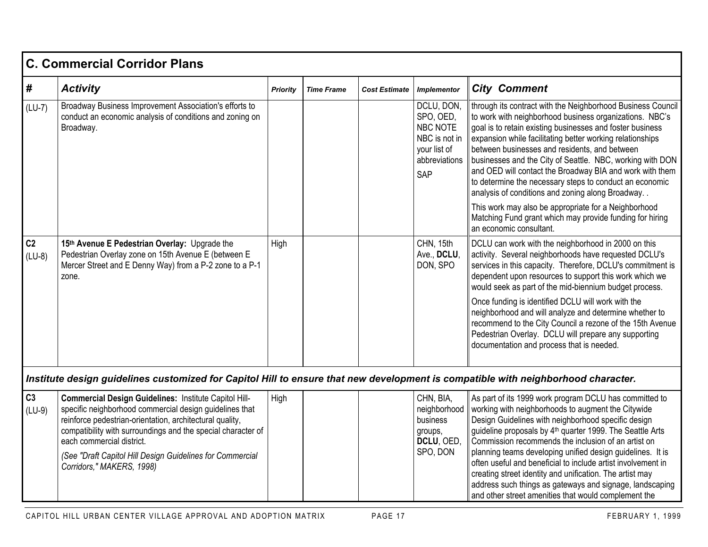|                            | <b>C. Commercial Corridor Plans</b>                                                                                                                                                                                                                                                                                                                                 |          |                   |                      |                                                                                              |                                                                                                                                                                                                                                                                                                                                                                                                                                                                                                                                                                                                                                                                                          |
|----------------------------|---------------------------------------------------------------------------------------------------------------------------------------------------------------------------------------------------------------------------------------------------------------------------------------------------------------------------------------------------------------------|----------|-------------------|----------------------|----------------------------------------------------------------------------------------------|------------------------------------------------------------------------------------------------------------------------------------------------------------------------------------------------------------------------------------------------------------------------------------------------------------------------------------------------------------------------------------------------------------------------------------------------------------------------------------------------------------------------------------------------------------------------------------------------------------------------------------------------------------------------------------------|
| #                          | <b>Activity</b>                                                                                                                                                                                                                                                                                                                                                     | Priority | <b>Time Frame</b> | <b>Cost Estimate</b> | <b>Implementor</b>                                                                           | <b>City Comment</b>                                                                                                                                                                                                                                                                                                                                                                                                                                                                                                                                                                                                                                                                      |
| $(LU-7)$                   | Broadway Business Improvement Association's efforts to<br>conduct an economic analysis of conditions and zoning on<br>Broadway.                                                                                                                                                                                                                                     |          |                   |                      | DCLU, DON,<br>SPO, OED,<br>NBC NOTE<br>NBC is not in<br>your list of<br>abbreviations<br>SAP | through its contract with the Neighborhood Business Council<br>to work with neighborhood business organizations. NBC's<br>goal is to retain existing businesses and foster business<br>expansion while facilitating better working relationships<br>between businesses and residents, and between<br>businesses and the City of Seattle. NBC, working with DON<br>and OED will contact the Broadway BIA and work with them<br>to determine the necessary steps to conduct an economic<br>analysis of conditions and zoning along Broadway<br>This work may also be appropriate for a Neighborhood<br>Matching Fund grant which may provide funding for hiring<br>an economic consultant. |
| C <sub>2</sub><br>$(LU-8)$ | 15th Avenue E Pedestrian Overlay: Upgrade the<br>Pedestrian Overlay zone on 15th Avenue E (between E<br>Mercer Street and E Denny Way) from a P-2 zone to a P-1<br>zone.                                                                                                                                                                                            | High     |                   |                      | CHN, 15th<br>Ave., DCLU,<br>DON, SPO                                                         | DCLU can work with the neighborhood in 2000 on this<br>activity. Several neighborhoods have requested DCLU's<br>services in this capacity. Therefore, DCLU's commitment is<br>dependent upon resources to support this work which we<br>would seek as part of the mid-biennium budget process.<br>Once funding is identified DCLU will work with the<br>neighborhood and will analyze and determine whether to<br>recommend to the City Council a rezone of the 15th Avenue<br>Pedestrian Overlay. DCLU will prepare any supporting<br>documentation and process that is needed.                                                                                                         |
|                            | Institute design guidelines customized for Capitol Hill to ensure that new development is compatible with neighborhood character.                                                                                                                                                                                                                                   |          |                   |                      |                                                                                              |                                                                                                                                                                                                                                                                                                                                                                                                                                                                                                                                                                                                                                                                                          |
| C <sub>3</sub><br>$(LU-9)$ | Commercial Design Guidelines: Institute Capitol Hill-<br>specific neighborhood commercial design guidelines that<br>reinforce pedestrian-orientation, architectural quality,<br>compatibility with surroundings and the special character of<br>each commercial district.<br>(See "Draft Capitol Hill Design Guidelines for Commercial<br>Corridors," MAKERS, 1998) | High     |                   |                      | CHN, BIA,<br>neighborhood<br>business<br>groups,<br>DCLU, OED,<br>SPO, DON                   | As part of its 1999 work program DCLU has committed to<br>working with neighborhoods to augment the Citywide<br>Design Guidelines with neighborhood specific design<br>guideline proposals by 4 <sup>th</sup> quarter 1999. The Seattle Arts<br>Commission recommends the inclusion of an artist on<br>planning teams developing unified design guidelines. It is<br>often useful and beneficial to include artist involvement in<br>creating street identity and unification. The artist may<br>address such things as gateways and signage, landscaping<br>and other street amenities that would complement the                                                                        |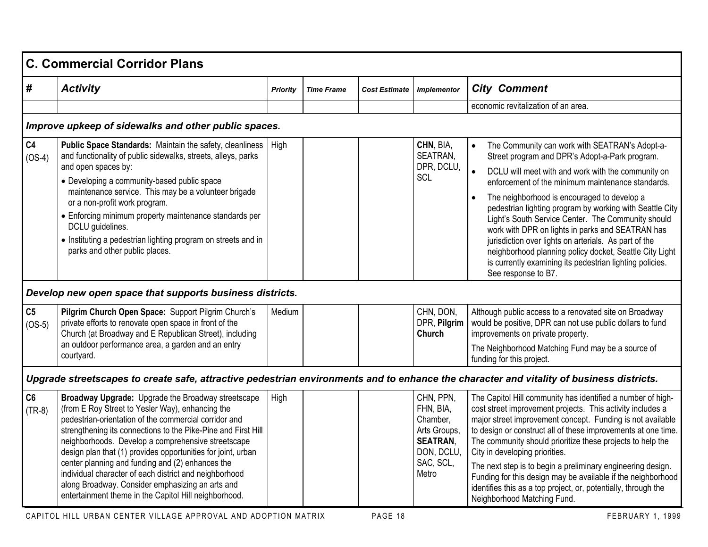|                            | C. Commercial Corridor Plans                                                                                                                                                                                                                                                                                                                                                                                                                                                                                                                                                      |                 |                   |                      |                                                                                                           |                                                                                                                                                                                                                                                                                                                                                                                                                                                                                                                                                                                                                  |
|----------------------------|-----------------------------------------------------------------------------------------------------------------------------------------------------------------------------------------------------------------------------------------------------------------------------------------------------------------------------------------------------------------------------------------------------------------------------------------------------------------------------------------------------------------------------------------------------------------------------------|-----------------|-------------------|----------------------|-----------------------------------------------------------------------------------------------------------|------------------------------------------------------------------------------------------------------------------------------------------------------------------------------------------------------------------------------------------------------------------------------------------------------------------------------------------------------------------------------------------------------------------------------------------------------------------------------------------------------------------------------------------------------------------------------------------------------------------|
| #                          | <b>Activity</b>                                                                                                                                                                                                                                                                                                                                                                                                                                                                                                                                                                   | <b>Priority</b> | <b>Time Frame</b> | <b>Cost Estimate</b> | <b>Implementor</b>                                                                                        | <b>City Comment</b>                                                                                                                                                                                                                                                                                                                                                                                                                                                                                                                                                                                              |
|                            |                                                                                                                                                                                                                                                                                                                                                                                                                                                                                                                                                                                   |                 |                   |                      |                                                                                                           | economic revitalization of an area.                                                                                                                                                                                                                                                                                                                                                                                                                                                                                                                                                                              |
|                            | Improve upkeep of sidewalks and other public spaces.                                                                                                                                                                                                                                                                                                                                                                                                                                                                                                                              |                 |                   |                      |                                                                                                           |                                                                                                                                                                                                                                                                                                                                                                                                                                                                                                                                                                                                                  |
| C <sub>4</sub><br>$(OS-4)$ | Public Space Standards: Maintain the safety, cleanliness<br>and functionality of public sidewalks, streets, alleys, parks<br>and open spaces by:<br>• Developing a community-based public space<br>maintenance service. This may be a volunteer brigade<br>or a non-profit work program.<br>• Enforcing minimum property maintenance standards per<br>DCLU guidelines.<br>• Instituting a pedestrian lighting program on streets and in<br>parks and other public places.                                                                                                         | High            |                   |                      | CHN, BIA,<br>SEATRAN,<br>DPR, DCLU,<br><b>SCL</b>                                                         | The Community can work with SEATRAN's Adopt-a-<br>Street program and DPR's Adopt-a-Park program.<br>DCLU will meet with and work with the community on<br>enforcement of the minimum maintenance standards.<br>The neighborhood is encouraged to develop a<br>pedestrian lighting program by working with Seattle City<br>Light's South Service Center. The Community should<br>work with DPR on lights in parks and SEATRAN has<br>jurisdiction over lights on arterials. As part of the<br>neighborhood planning policy docket, Seattle City Light<br>is currently examining its pedestrian lighting policies. |
|                            | Develop new open space that supports business districts.                                                                                                                                                                                                                                                                                                                                                                                                                                                                                                                          |                 |                   |                      |                                                                                                           | See response to B7.                                                                                                                                                                                                                                                                                                                                                                                                                                                                                                                                                                                              |
| C <sub>5</sub><br>$(OS-5)$ | Pilgrim Church Open Space: Support Pilgrim Church's<br>private efforts to renovate open space in front of the<br>Church (at Broadway and E Republican Street), including<br>an outdoor performance area, a garden and an entry<br>courtyard.                                                                                                                                                                                                                                                                                                                                      | Medium          |                   |                      | CHN, DON,<br>DPR, Pilgrim<br>Church                                                                       | Although public access to a renovated site on Broadway<br>would be positive, DPR can not use public dollars to fund<br>improvements on private property.<br>The Neighborhood Matching Fund may be a source of<br>funding for this project.                                                                                                                                                                                                                                                                                                                                                                       |
|                            | Upgrade streetscapes to create safe, attractive pedestrian environments and to enhance the character and vitality of business districts.                                                                                                                                                                                                                                                                                                                                                                                                                                          |                 |                   |                      |                                                                                                           |                                                                                                                                                                                                                                                                                                                                                                                                                                                                                                                                                                                                                  |
| C6<br>$(TR-8)$             | Broadway Upgrade: Upgrade the Broadway streetscape<br>(from E Roy Street to Yesler Way), enhancing the<br>pedestrian-orientation of the commercial corridor and<br>strengthening its connections to the Pike-Pine and First Hill<br>neighborhoods. Develop a comprehensive streetscape<br>design plan that (1) provides opportunities for joint, urban<br>center planning and funding and (2) enhances the<br>individual character of each district and neighborhood<br>along Broadway. Consider emphasizing an arts and<br>entertainment theme in the Capitol Hill neighborhood. | High            |                   |                      | CHN, PPN,<br>FHN, BIA,<br>Chamber,<br>Arts Groups,<br><b>SEATRAN,</b><br>DON, DCLU,<br>SAC, SCL,<br>Metro | The Capitol Hill community has identified a number of high-<br>cost street improvement projects. This activity includes a<br>major street improvement concept. Funding is not available<br>to design or construct all of these improvements at one time.<br>The community should prioritize these projects to help the<br>City in developing priorities.<br>The next step is to begin a preliminary engineering design.<br>Funding for this design may be available if the neighborhood<br>identifies this as a top project, or, potentially, through the<br>Neighborhood Matching Fund.                         |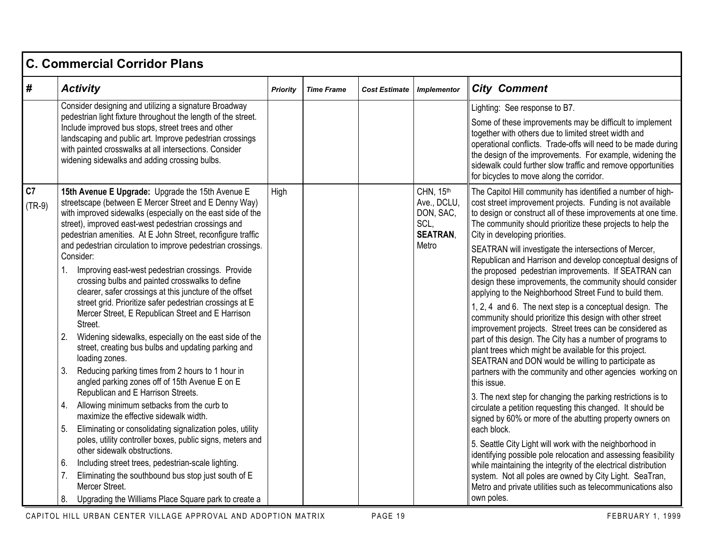|                | <b>C. Commercial Corridor Plans</b>                                                                                                                                                                                                                                                                                                                                                                                                                                                                                                                                                                                                                                                                                                                                                                                                                                                                                                                                                                                                                                                                                                                                                                                                   |                 |                   |                      |                                                                           |                                                                                                                                                                                                                                                                                                                                                                                                                                                                                                                                                                                                                                                                                                                                                                                                                                                                                                                                                                                                                                                                                                                                                                                                                                                                                                                                                                                     |  |  |  |
|----------------|---------------------------------------------------------------------------------------------------------------------------------------------------------------------------------------------------------------------------------------------------------------------------------------------------------------------------------------------------------------------------------------------------------------------------------------------------------------------------------------------------------------------------------------------------------------------------------------------------------------------------------------------------------------------------------------------------------------------------------------------------------------------------------------------------------------------------------------------------------------------------------------------------------------------------------------------------------------------------------------------------------------------------------------------------------------------------------------------------------------------------------------------------------------------------------------------------------------------------------------|-----------------|-------------------|----------------------|---------------------------------------------------------------------------|-------------------------------------------------------------------------------------------------------------------------------------------------------------------------------------------------------------------------------------------------------------------------------------------------------------------------------------------------------------------------------------------------------------------------------------------------------------------------------------------------------------------------------------------------------------------------------------------------------------------------------------------------------------------------------------------------------------------------------------------------------------------------------------------------------------------------------------------------------------------------------------------------------------------------------------------------------------------------------------------------------------------------------------------------------------------------------------------------------------------------------------------------------------------------------------------------------------------------------------------------------------------------------------------------------------------------------------------------------------------------------------|--|--|--|
| #              | <b>Activity</b>                                                                                                                                                                                                                                                                                                                                                                                                                                                                                                                                                                                                                                                                                                                                                                                                                                                                                                                                                                                                                                                                                                                                                                                                                       | <b>Priority</b> | <b>Time Frame</b> | <b>Cost Estimate</b> | <b>Implementor</b>                                                        | <b>City Comment</b>                                                                                                                                                                                                                                                                                                                                                                                                                                                                                                                                                                                                                                                                                                                                                                                                                                                                                                                                                                                                                                                                                                                                                                                                                                                                                                                                                                 |  |  |  |
|                | Consider designing and utilizing a signature Broadway<br>pedestrian light fixture throughout the length of the street.<br>Include improved bus stops, street trees and other<br>landscaping and public art. Improve pedestrian crossings<br>with painted crosswalks at all intersections. Consider<br>widening sidewalks and adding crossing bulbs.                                                                                                                                                                                                                                                                                                                                                                                                                                                                                                                                                                                                                                                                                                                                                                                                                                                                                   |                 |                   |                      |                                                                           | Lighting: See response to B7.<br>Some of these improvements may be difficult to implement<br>together with others due to limited street width and<br>operational conflicts. Trade-offs will need to be made during<br>the design of the improvements. For example, widening the<br>sidewalk could further slow traffic and remove opportunities<br>for bicycles to move along the corridor.                                                                                                                                                                                                                                                                                                                                                                                                                                                                                                                                                                                                                                                                                                                                                                                                                                                                                                                                                                                         |  |  |  |
| C7<br>$(TR-9)$ | 15th Avenue E Upgrade: Upgrade the 15th Avenue E<br>streetscape (between E Mercer Street and E Denny Way)<br>with improved sidewalks (especially on the east side of the<br>street), improved east-west pedestrian crossings and<br>pedestrian amenities. At E John Street, reconfigure traffic<br>and pedestrian circulation to improve pedestrian crossings.<br>Consider:<br>1. Improving east-west pedestrian crossings. Provide<br>crossing bulbs and painted crosswalks to define<br>clearer, safer crossings at this juncture of the offset<br>street grid. Prioritize safer pedestrian crossings at E<br>Mercer Street, E Republican Street and E Harrison<br>Street.<br>2.<br>Widening sidewalks, especially on the east side of the<br>street, creating bus bulbs and updating parking and<br>loading zones.<br>Reducing parking times from 2 hours to 1 hour in<br>3.<br>angled parking zones off of 15th Avenue E on E<br>Republican and E Harrison Streets.<br>Allowing minimum setbacks from the curb to<br>4.<br>maximize the effective sidewalk width.<br>Eliminating or consolidating signalization poles, utility<br>5.<br>poles, utility controller boxes, public signs, meters and<br>other sidewalk obstructions. | High            |                   |                      | CHN, 15th<br>Ave., DCLU,<br>DON, SAC,<br>SCL,<br><b>SEATRAN,</b><br>Metro | The Capitol Hill community has identified a number of high-<br>cost street improvement projects. Funding is not available<br>to design or construct all of these improvements at one time.<br>The community should prioritize these projects to help the<br>City in developing priorities.<br>SEATRAN will investigate the intersections of Mercer,<br>Republican and Harrison and develop conceptual designs of<br>the proposed pedestrian improvements. If SEATRAN can<br>design these improvements, the community should consider<br>applying to the Neighborhood Street Fund to build them.<br>1, 2, 4 and 6. The next step is a conceptual design. The<br>community should prioritize this design with other street<br>improvement projects. Street trees can be considered as<br>part of this design. The City has a number of programs to<br>plant trees which might be available for this project.<br>SEATRAN and DON would be willing to participate as<br>partners with the community and other agencies working on<br>this issue.<br>3. The next step for changing the parking restrictions is to<br>circulate a petition requesting this changed. It should be<br>signed by 60% or more of the abutting property owners on<br>each block.<br>5. Seattle City Light will work with the neighborhood in<br>identifying possible pole relocation and assessing feasibility |  |  |  |
|                | 6.<br>Including street trees, pedestrian-scale lighting.<br>Eliminating the southbound bus stop just south of E<br>7.<br>Mercer Street.<br>Upgrading the Williams Place Square park to create a<br>8.                                                                                                                                                                                                                                                                                                                                                                                                                                                                                                                                                                                                                                                                                                                                                                                                                                                                                                                                                                                                                                 |                 |                   |                      |                                                                           | while maintaining the integrity of the electrical distribution<br>system. Not all poles are owned by City Light. SeaTran,<br>Metro and private utilities such as telecommunications also<br>own poles.                                                                                                                                                                                                                                                                                                                                                                                                                                                                                                                                                                                                                                                                                                                                                                                                                                                                                                                                                                                                                                                                                                                                                                              |  |  |  |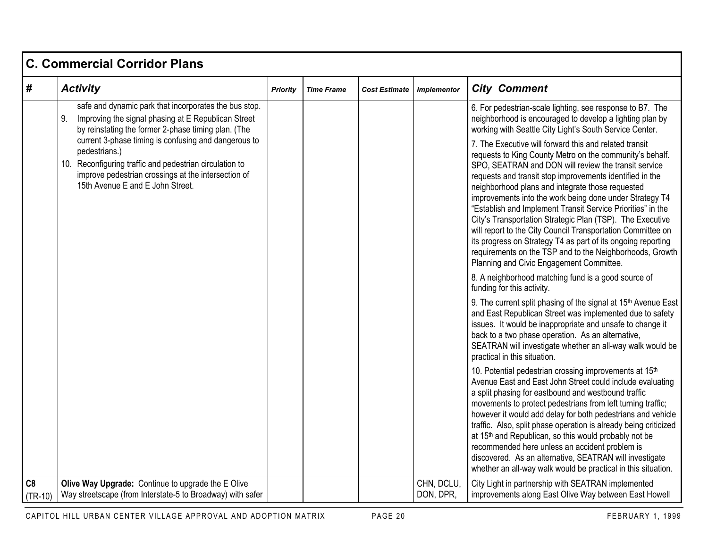|                 | <b>C. Commercial Corridor Plans</b>                                                                                                                                                                                                                                                                                                                                                                      |                 |                   |                      |                         |                                                                                                                                                                                                                                                                                                                                                                                                                                                                                                                                                                                                                                                                       |  |  |  |
|-----------------|----------------------------------------------------------------------------------------------------------------------------------------------------------------------------------------------------------------------------------------------------------------------------------------------------------------------------------------------------------------------------------------------------------|-----------------|-------------------|----------------------|-------------------------|-----------------------------------------------------------------------------------------------------------------------------------------------------------------------------------------------------------------------------------------------------------------------------------------------------------------------------------------------------------------------------------------------------------------------------------------------------------------------------------------------------------------------------------------------------------------------------------------------------------------------------------------------------------------------|--|--|--|
| #               | <b>Activity</b>                                                                                                                                                                                                                                                                                                                                                                                          | <b>Priority</b> | <b>Time Frame</b> | <b>Cost Estimate</b> | <b>Implementor</b>      | <b>City Comment</b>                                                                                                                                                                                                                                                                                                                                                                                                                                                                                                                                                                                                                                                   |  |  |  |
|                 | safe and dynamic park that incorporates the bus stop.<br>Improving the signal phasing at E Republican Street<br>9.<br>by reinstating the former 2-phase timing plan. (The<br>current 3-phase timing is confusing and dangerous to<br>pedestrians.)<br>10. Reconfiguring traffic and pedestrian circulation to<br>improve pedestrian crossings at the intersection of<br>15th Avenue E and E John Street. |                 |                   |                      |                         | 6. For pedestrian-scale lighting, see response to B7. The<br>neighborhood is encouraged to develop a lighting plan by<br>working with Seattle City Light's South Service Center.<br>7. The Executive will forward this and related transit<br>requests to King County Metro on the community's behalf.<br>SPO, SEATRAN and DON will review the transit service<br>requests and transit stop improvements identified in the<br>neighborhood plans and integrate those requested<br>improvements into the work being done under Strategy T4<br>"Establish and Implement Transit Service Priorities" in the<br>City's Transportation Strategic Plan (TSP). The Executive |  |  |  |
|                 |                                                                                                                                                                                                                                                                                                                                                                                                          |                 |                   |                      |                         | will report to the City Council Transportation Committee on<br>its progress on Strategy T4 as part of its ongoing reporting<br>requirements on the TSP and to the Neighborhoods, Growth<br>Planning and Civic Engagement Committee.                                                                                                                                                                                                                                                                                                                                                                                                                                   |  |  |  |
|                 |                                                                                                                                                                                                                                                                                                                                                                                                          |                 |                   |                      |                         | 8. A neighborhood matching fund is a good source of<br>funding for this activity.                                                                                                                                                                                                                                                                                                                                                                                                                                                                                                                                                                                     |  |  |  |
|                 |                                                                                                                                                                                                                                                                                                                                                                                                          |                 |                   |                      |                         | 9. The current split phasing of the signal at 15th Avenue East<br>and East Republican Street was implemented due to safety<br>issues. It would be inappropriate and unsafe to change it<br>back to a two phase operation. As an alternative,<br>SEATRAN will investigate whether an all-way walk would be<br>practical in this situation.                                                                                                                                                                                                                                                                                                                             |  |  |  |
|                 |                                                                                                                                                                                                                                                                                                                                                                                                          |                 |                   |                      |                         | 10. Potential pedestrian crossing improvements at 15th<br>Avenue East and East John Street could include evaluating<br>a split phasing for eastbound and westbound traffic<br>movements to protect pedestrians from left turning traffic;<br>however it would add delay for both pedestrians and vehicle<br>traffic. Also, split phase operation is already being criticized<br>at 15th and Republican, so this would probably not be<br>recommended here unless an accident problem is<br>discovered. As an alternative, SEATRAN will investigate<br>whether an all-way walk would be practical in this situation.                                                   |  |  |  |
| C8<br>$(TR-10)$ | Olive Way Upgrade: Continue to upgrade the E Olive<br>Way streetscape (from Interstate-5 to Broadway) with safer                                                                                                                                                                                                                                                                                         |                 |                   |                      | CHN, DCLU,<br>DON, DPR, | City Light in partnership with SEATRAN implemented<br>improvements along East Olive Way between East Howell                                                                                                                                                                                                                                                                                                                                                                                                                                                                                                                                                           |  |  |  |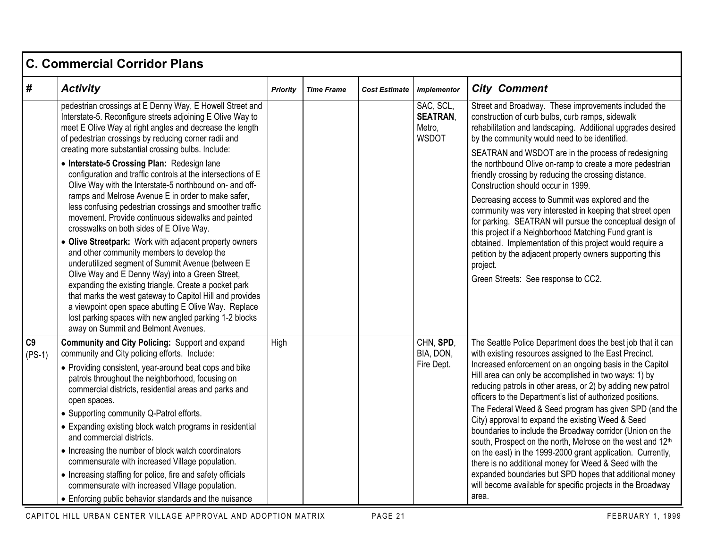|                | <b>C. Commercial Corridor Plans</b>                                                                                                                                                                                                                                                                                                                                                                                                                                                        |                 |                   |                      |                                                        |                                                                                                                                                                                                                                                                                                                                                                                                                                   |  |  |  |
|----------------|--------------------------------------------------------------------------------------------------------------------------------------------------------------------------------------------------------------------------------------------------------------------------------------------------------------------------------------------------------------------------------------------------------------------------------------------------------------------------------------------|-----------------|-------------------|----------------------|--------------------------------------------------------|-----------------------------------------------------------------------------------------------------------------------------------------------------------------------------------------------------------------------------------------------------------------------------------------------------------------------------------------------------------------------------------------------------------------------------------|--|--|--|
| #              | <b>Activity</b>                                                                                                                                                                                                                                                                                                                                                                                                                                                                            | <b>Priority</b> | <b>Time Frame</b> | <b>Cost Estimate</b> | <b>Implementor</b>                                     | <b>City Comment</b>                                                                                                                                                                                                                                                                                                                                                                                                               |  |  |  |
|                | pedestrian crossings at E Denny Way, E Howell Street and<br>Interstate-5. Reconfigure streets adjoining E Olive Way to<br>meet E Olive Way at right angles and decrease the length<br>of pedestrian crossings by reducing corner radii and<br>creating more substantial crossing bulbs. Include:                                                                                                                                                                                           |                 |                   |                      | SAC, SCL,<br><b>SEATRAN,</b><br>Metro.<br><b>WSDOT</b> | Street and Broadway. These improvements included the<br>construction of curb bulbs, curb ramps, sidewalk<br>rehabilitation and landscaping. Additional upgrades desired<br>by the community would need to be identified.<br>SEATRAN and WSDOT are in the process of redesigning                                                                                                                                                   |  |  |  |
|                | • Interstate-5 Crossing Plan: Redesign lane<br>configuration and traffic controls at the intersections of E<br>Olive Way with the Interstate-5 northbound on- and off-                                                                                                                                                                                                                                                                                                                     |                 |                   |                      |                                                        | the northbound Olive on-ramp to create a more pedestrian<br>friendly crossing by reducing the crossing distance.<br>Construction should occur in 1999.                                                                                                                                                                                                                                                                            |  |  |  |
|                | ramps and Melrose Avenue E in order to make safer,<br>less confusing pedestrian crossings and smoother traffic<br>movement. Provide continuous sidewalks and painted<br>crosswalks on both sides of E Olive Way.                                                                                                                                                                                                                                                                           |                 |                   |                      |                                                        | Decreasing access to Summit was explored and the<br>community was very interested in keeping that street open<br>for parking. SEATRAN will pursue the conceptual design of<br>this project if a Neighborhood Matching Fund grant is                                                                                                                                                                                               |  |  |  |
|                | • Olive Streetpark: Work with adjacent property owners<br>and other community members to develop the<br>underutilized segment of Summit Avenue (between E<br>Olive Way and E Denny Way) into a Green Street,<br>expanding the existing triangle. Create a pocket park<br>that marks the west gateway to Capitol Hill and provides<br>a viewpoint open space abutting E Olive Way. Replace<br>lost parking spaces with new angled parking 1-2 blocks<br>away on Summit and Belmont Avenues. |                 |                   |                      |                                                        | obtained. Implementation of this project would require a<br>petition by the adjacent property owners supporting this<br>project.<br>Green Streets: See response to CC2.                                                                                                                                                                                                                                                           |  |  |  |
| C9<br>$(PS-1)$ | Community and City Policing: Support and expand<br>community and City policing efforts. Include:<br>• Providing consistent, year-around beat cops and bike<br>patrols throughout the neighborhood, focusing on<br>commercial districts, residential areas and parks and<br>open spaces.<br>• Supporting community Q-Patrol efforts.                                                                                                                                                        | High            |                   |                      | CHN, SPD,<br>BIA, DON,<br>Fire Dept.                   | The Seattle Police Department does the best job that it can<br>with existing resources assigned to the East Precinct.<br>Increased enforcement on an ongoing basis in the Capitol<br>Hill area can only be accomplished in two ways: 1) by<br>reducing patrols in other areas, or 2) by adding new patrol<br>officers to the Department's list of authorized positions.<br>The Federal Weed & Seed program has given SPD (and the |  |  |  |
|                | • Expanding existing block watch programs in residential<br>and commercial districts.                                                                                                                                                                                                                                                                                                                                                                                                      |                 |                   |                      |                                                        | City) approval to expand the existing Weed & Seed<br>boundaries to include the Broadway corridor (Union on the<br>south, Prospect on the north, Melrose on the west and 12th                                                                                                                                                                                                                                                      |  |  |  |
|                | • Increasing the number of block watch coordinators<br>commensurate with increased Village population.                                                                                                                                                                                                                                                                                                                                                                                     |                 |                   |                      |                                                        | on the east) in the 1999-2000 grant application. Currently,<br>there is no additional money for Weed & Seed with the                                                                                                                                                                                                                                                                                                              |  |  |  |
|                | • Increasing staffing for police, fire and safety officials<br>commensurate with increased Village population.                                                                                                                                                                                                                                                                                                                                                                             |                 |                   |                      |                                                        | expanded boundaries but SPD hopes that additional money<br>will become available for specific projects in the Broadway                                                                                                                                                                                                                                                                                                            |  |  |  |
|                | • Enforcing public behavior standards and the nuisance                                                                                                                                                                                                                                                                                                                                                                                                                                     |                 |                   |                      |                                                        | area.                                                                                                                                                                                                                                                                                                                                                                                                                             |  |  |  |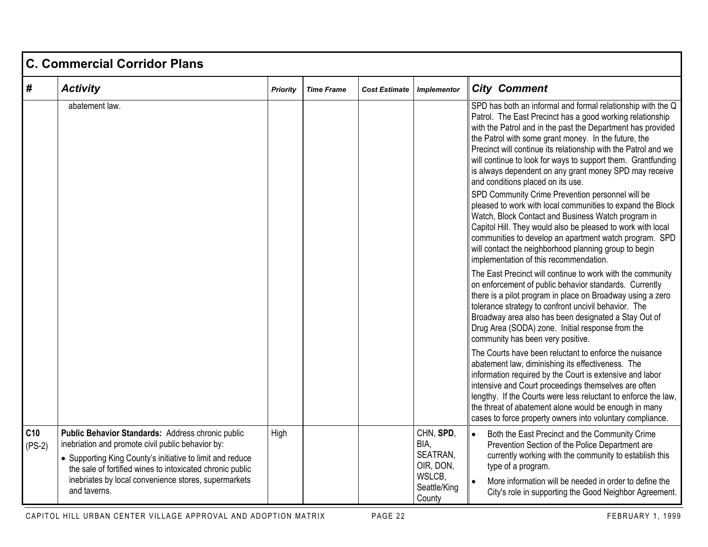|                 | C. Commercial Corridor Plans                                                                                                                                                                                                                                                                             |                 |                   |                      |                                                                                |                                                                                                                                                                                                                                                                                                                                                                                                                                                                                                                                                                                                                                                                                                                                                                                                                                                                                      |  |  |  |  |
|-----------------|----------------------------------------------------------------------------------------------------------------------------------------------------------------------------------------------------------------------------------------------------------------------------------------------------------|-----------------|-------------------|----------------------|--------------------------------------------------------------------------------|--------------------------------------------------------------------------------------------------------------------------------------------------------------------------------------------------------------------------------------------------------------------------------------------------------------------------------------------------------------------------------------------------------------------------------------------------------------------------------------------------------------------------------------------------------------------------------------------------------------------------------------------------------------------------------------------------------------------------------------------------------------------------------------------------------------------------------------------------------------------------------------|--|--|--|--|
| #               | <b>Activity</b>                                                                                                                                                                                                                                                                                          | <b>Priority</b> | <b>Time Frame</b> | <b>Cost Estimate</b> | <b>Implementor</b>                                                             | <b>City Comment</b>                                                                                                                                                                                                                                                                                                                                                                                                                                                                                                                                                                                                                                                                                                                                                                                                                                                                  |  |  |  |  |
|                 | abatement law.                                                                                                                                                                                                                                                                                           |                 |                   |                      |                                                                                | SPD has both an informal and formal relationship with the Q<br>Patrol. The East Precinct has a good working relationship<br>with the Patrol and in the past the Department has provided<br>the Patrol with some grant money. In the future, the<br>Precinct will continue its relationship with the Patrol and we<br>will continue to look for ways to support them. Grantfunding<br>is always dependent on any grant money SPD may receive<br>and conditions placed on its use.<br>SPD Community Crime Prevention personnel will be<br>pleased to work with local communities to expand the Block<br>Watch, Block Contact and Business Watch program in<br>Capitol Hill. They would also be pleased to work with local<br>communities to develop an apartment watch program. SPD<br>will contact the neighborhood planning group to begin<br>implementation of this recommendation. |  |  |  |  |
|                 |                                                                                                                                                                                                                                                                                                          |                 |                   |                      |                                                                                | The East Precinct will continue to work with the community<br>on enforcement of public behavior standards. Currently<br>there is a pilot program in place on Broadway using a zero<br>tolerance strategy to confront uncivil behavior. The<br>Broadway area also has been designated a Stay Out of<br>Drug Area (SODA) zone. Initial response from the<br>community has been very positive.                                                                                                                                                                                                                                                                                                                                                                                                                                                                                          |  |  |  |  |
|                 |                                                                                                                                                                                                                                                                                                          |                 |                   |                      |                                                                                | The Courts have been reluctant to enforce the nuisance<br>abatement law, diminishing its effectiveness. The<br>information required by the Court is extensive and labor<br>intensive and Court proceedings themselves are often<br>lengthy. If the Courts were less reluctant to enforce the law,<br>the threat of abatement alone would be enough in many<br>cases to force property owners into voluntary compliance.                                                                                                                                                                                                                                                                                                                                                                                                                                                              |  |  |  |  |
| C10<br>$(PS-2)$ | Public Behavior Standards: Address chronic public<br>inebriation and promote civil public behavior by:<br>• Supporting King County's initiative to limit and reduce<br>the sale of fortified wines to intoxicated chronic public<br>inebriates by local convenience stores, supermarkets<br>and taverns. | High            |                   |                      | CHN, SPD,<br>BIA,<br>SEATRAN,<br>OIR, DON,<br>WSLCB,<br>Seattle/King<br>County | Both the East Precinct and the Community Crime<br>Prevention Section of the Police Department are<br>currently working with the community to establish this<br>type of a program.<br>More information will be needed in order to define the<br>City's role in supporting the Good Neighbor Agreement.                                                                                                                                                                                                                                                                                                                                                                                                                                                                                                                                                                                |  |  |  |  |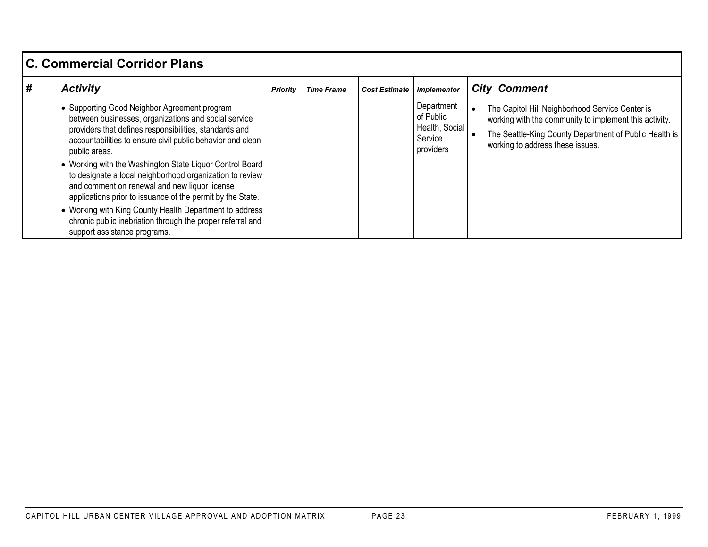| <b>C. Commercial Corridor Plans</b> |                                                                                                                                                                                                                                                                                                                                  |                 |                   |                      |                                                                   |                                                                                                                                                                                                         |  |  |
|-------------------------------------|----------------------------------------------------------------------------------------------------------------------------------------------------------------------------------------------------------------------------------------------------------------------------------------------------------------------------------|-----------------|-------------------|----------------------|-------------------------------------------------------------------|---------------------------------------------------------------------------------------------------------------------------------------------------------------------------------------------------------|--|--|
| #                                   | <b>Activity</b>                                                                                                                                                                                                                                                                                                                  | <b>Priority</b> | <b>Time Frame</b> | <b>Cost Estimate</b> | <b>Implementor</b>                                                | <b>City Comment</b>                                                                                                                                                                                     |  |  |
|                                     | • Supporting Good Neighbor Agreement program<br>between businesses, organizations and social service<br>providers that defines responsibilities, standards and<br>accountabilities to ensure civil public behavior and clean<br>public areas.<br>• Working with the Washington State Liquor Control Board                        |                 |                   |                      | Department<br>of Public<br>Health, Social<br>Service<br>providers | The Capitol Hill Neighborhood Service Center is<br>working with the community to implement this activity.<br>The Seattle-King County Department of Public Health is<br>working to address these issues. |  |  |
|                                     | to designate a local neighborhood organization to review<br>and comment on renewal and new liquor license<br>applications prior to issuance of the permit by the State.<br>• Working with King County Health Department to address<br>chronic public inebriation through the proper referral and<br>support assistance programs. |                 |                   |                      |                                                                   |                                                                                                                                                                                                         |  |  |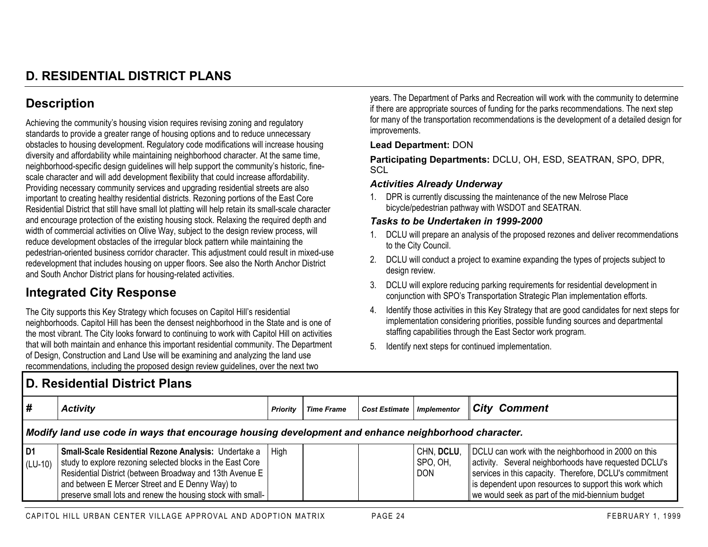# **D. RESIDENTIAL DISTRICT PLANS**

## **Description**

Achieving the community's housing vision requires revising zoning and regulatory standards to provide a greater range of housing options and to reduce unnecessary obstacles to housing development. Regulatory code modifications will increase housing diversity and affordability while maintaining neighborhood character. At the same time, neighborhood-specific design guidelines will help support the community's historic, finescale character and will add development flexibility that could increase affordability. Providing necessary community services and upgrading residential streets are also important to creating healthy residential districts. Rezoning portions of the East Core Residential District that still have small lot platting will help retain its small-scale character and encourage protection of the existing housing stock. Relaxing the required depth and width of commercial activities on Olive Way, subject to the design review process, will reduce development obstacles of the irregular block pattern while maintaining the pedestrian-oriented business corridor character. This adjustment could result in mixed-use redevelopment that includes housing on upper floors. See also the North Anchor District and South Anchor District plans for housing-related activities.

## **Integrated City Response**

The City supports this Key Strategy which focuses on Capitol Hill's residential neighborhoods. Capitol Hill has been the densest neighborhood in the State and is one of the most vibrant. The City looks forward to continuing to work with Capitol Hill on activities that will both maintain and enhance this important residential community. The Department of Design, Construction and Land Use will be examining and analyzing the land use recommendations, including the proposed design review guidelines, over the next two

years. The Department of Parks and Recreation will work with the community to determine if there are appropriate sources of funding for the parks recommendations. The next step for many of the transportation recommendations is the development of a detailed design for improvements.

#### **Lead Department:** DON

**Participating Departments:** DCLU, OH, ESD, SEATRAN, SPO, DPR, **SCL** 

#### *Activities Already Underway*

1. DPR is currently discussing the maintenance of the new Melrose Place bicycle/pedestrian pathway with WSDOT and SEATRAN.

- 1. DCLU will prepare an analysis of the proposed rezones and deliver recommendations to the City Council.
- 2. DCLU will conduct a project to examine expanding the types of projects subject to design review.
- 3. DCLU will explore reducing parking requirements for residential development in conjunction with SPO's Transportation Strategic Plan implementation efforts.
- 4. Identify those activities in this Key Strategy that are good candidates for next steps for implementation considering priorities, possible funding sources and departmental staffing capabilities through the East Sector work program.
- 5. Identify next steps for continued implementation.

| D. Residential District Plans                                                                       |                                                                                                                                                                                                                                                                                                  |                 |                   |                                  |                                      |                                                                                                                                                                                                                                                                                         |  |  |
|-----------------------------------------------------------------------------------------------------|--------------------------------------------------------------------------------------------------------------------------------------------------------------------------------------------------------------------------------------------------------------------------------------------------|-----------------|-------------------|----------------------------------|--------------------------------------|-----------------------------------------------------------------------------------------------------------------------------------------------------------------------------------------------------------------------------------------------------------------------------------------|--|--|
| #                                                                                                   | <b>Activity</b>                                                                                                                                                                                                                                                                                  | <b>Priority</b> | <b>Time Frame</b> | <b>Cost Estimate Implementor</b> |                                      | <b>City Comment</b>                                                                                                                                                                                                                                                                     |  |  |
| Modify land use code in ways that encourage housing development and enhance neighborhood character. |                                                                                                                                                                                                                                                                                                  |                 |                   |                                  |                                      |                                                                                                                                                                                                                                                                                         |  |  |
| D1<br>$(LU-10)$                                                                                     | Small-Scale Residential Rezone Analysis: Undertake a<br>study to explore rezoning selected blocks in the East Core<br>Residential District (between Broadway and 13th Avenue E<br>and between E Mercer Street and E Denny Way) to<br>preserve small lots and renew the housing stock with small- | <b>High</b>     |                   |                                  | CHN, DCLU,<br>SPO, OH.<br><b>DON</b> | DCLU can work with the neighborhood in 2000 on this<br>  activity. Several neighborhoods have requested DCLU's<br>services in this capacity. Therefore, DCLU's commitment<br>is dependent upon resources to support this work which<br>we would seek as part of the mid-biennium budget |  |  |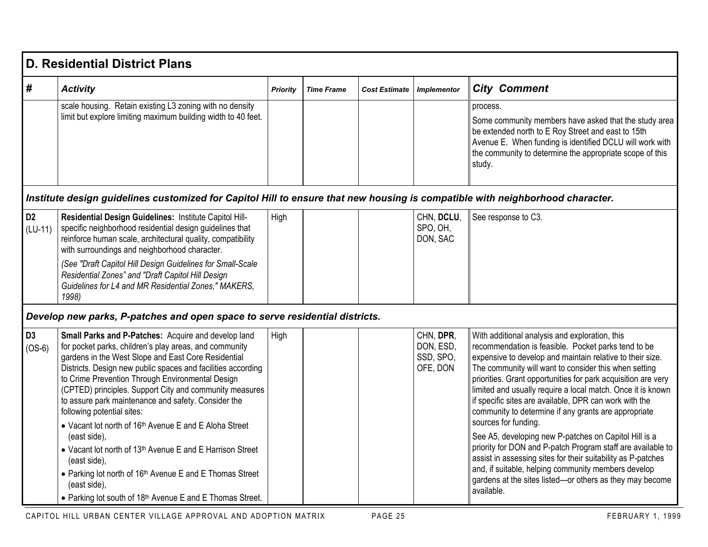|                             | <b>D. Residential District Plans</b>                                                                                                                                                                                                                                                                                                                                                                                                     |                 |                   |                      |                                                 |                                                                                                                                                                                                                                                                                                                                                                                                                                                                               |
|-----------------------------|------------------------------------------------------------------------------------------------------------------------------------------------------------------------------------------------------------------------------------------------------------------------------------------------------------------------------------------------------------------------------------------------------------------------------------------|-----------------|-------------------|----------------------|-------------------------------------------------|-------------------------------------------------------------------------------------------------------------------------------------------------------------------------------------------------------------------------------------------------------------------------------------------------------------------------------------------------------------------------------------------------------------------------------------------------------------------------------|
| #                           | <b>Activity</b>                                                                                                                                                                                                                                                                                                                                                                                                                          | <b>Priority</b> | <b>Time Frame</b> | <b>Cost Estimate</b> | <b>Implementor</b>                              | <b>City Comment</b>                                                                                                                                                                                                                                                                                                                                                                                                                                                           |
|                             | scale housing. Retain existing L3 zoning with no density<br>limit but explore limiting maximum building width to 40 feet.                                                                                                                                                                                                                                                                                                                |                 |                   |                      |                                                 | process.<br>Some community members have asked that the study area<br>be extended north to E Roy Street and east to 15th<br>Avenue E. When funding is identified DCLU will work with<br>the community to determine the appropriate scope of this<br>study.                                                                                                                                                                                                                     |
|                             | Institute design guidelines customized for Capitol Hill to ensure that new housing is compatible with neighborhood character.                                                                                                                                                                                                                                                                                                            |                 |                   |                      |                                                 |                                                                                                                                                                                                                                                                                                                                                                                                                                                                               |
| D <sub>2</sub><br>$(LU-11)$ | Residential Design Guidelines: Institute Capitol Hill-<br>specific neighborhood residential design guidelines that<br>reinforce human scale, architectural quality, compatibility<br>with surroundings and neighborhood character.                                                                                                                                                                                                       | High            |                   |                      | CHN, DCLU,<br>SPO, OH,<br>DON, SAC              | See response to C3.                                                                                                                                                                                                                                                                                                                                                                                                                                                           |
|                             | (See "Draft Capitol Hill Design Guidelines for Small-Scale<br>Residential Zones" and "Draft Capitol Hill Design<br>Guidelines for L4 and MR Residential Zones," MAKERS,<br>1998)                                                                                                                                                                                                                                                         |                 |                   |                      |                                                 |                                                                                                                                                                                                                                                                                                                                                                                                                                                                               |
|                             | Develop new parks, P-patches and open space to serve residential districts.                                                                                                                                                                                                                                                                                                                                                              |                 |                   |                      |                                                 |                                                                                                                                                                                                                                                                                                                                                                                                                                                                               |
| D <sub>3</sub><br>$(OS-6)$  | Small Parks and P-Patches: Acquire and develop land<br>for pocket parks, children's play areas, and community<br>gardens in the West Slope and East Core Residential<br>Districts. Design new public spaces and facilities according<br>to Crime Prevention Through Environmental Design<br>(CPTED) principles. Support City and community measures<br>to assure park maintenance and safety. Consider the<br>following potential sites: | High            |                   |                      | CHN, DPR,<br>DON, ESD,<br>SSD, SPO,<br>OFE, DON | With additional analysis and exploration, this<br>recommendation is feasible. Pocket parks tend to be<br>expensive to develop and maintain relative to their size.<br>The community will want to consider this when setting<br>priorities. Grant opportunities for park acquisition are very<br>limited and usually require a local match. Once it is known<br>if specific sites are available, DPR can work with the<br>community to determine if any grants are appropriate |
|                             | • Vacant lot north of 16 <sup>th</sup> Avenue E and E Aloha Street<br>(east side),<br>• Vacant lot north of 13 <sup>th</sup> Avenue E and E Harrison Street<br>(east side),<br>• Parking lot north of 16th Avenue E and E Thomas Street<br>(east side),<br>• Parking lot south of 18th Avenue E and E Thomas Street.                                                                                                                     |                 |                   |                      |                                                 | sources for funding.<br>See A5, developing new P-patches on Capitol Hill is a<br>priority for DON and P-patch Program staff are available to<br>assist in assessing sites for their suitability as P-patches<br>and, if suitable, helping community members develop<br>gardens at the sites listed-or others as they may become<br>available.                                                                                                                                 |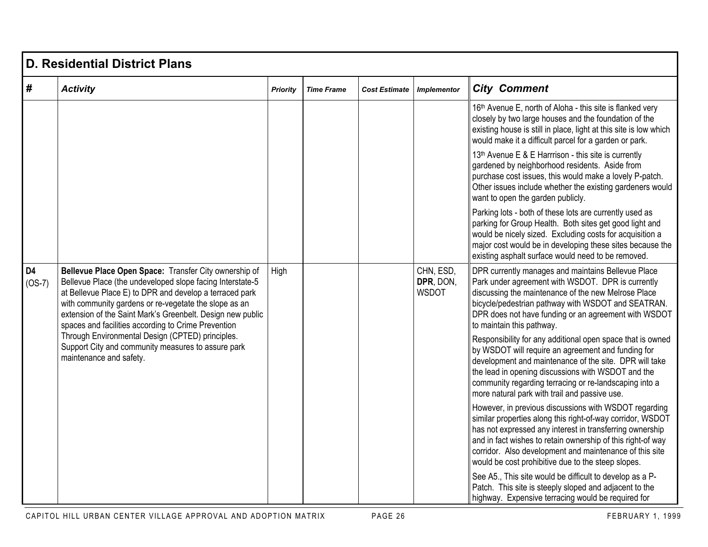|                            | <b>D. Residential District Plans</b>                                                                                                                                                                                                                                                                                                                        |                 |                   |                      |                                        |                                                                                                                                                                                                                                                                                                                                                                 |  |  |  |  |  |
|----------------------------|-------------------------------------------------------------------------------------------------------------------------------------------------------------------------------------------------------------------------------------------------------------------------------------------------------------------------------------------------------------|-----------------|-------------------|----------------------|----------------------------------------|-----------------------------------------------------------------------------------------------------------------------------------------------------------------------------------------------------------------------------------------------------------------------------------------------------------------------------------------------------------------|--|--|--|--|--|
| #                          | <b>Activity</b>                                                                                                                                                                                                                                                                                                                                             | <b>Priority</b> | <b>Time Frame</b> | <b>Cost Estimate</b> | <b>Implementor</b>                     | <b>City Comment</b>                                                                                                                                                                                                                                                                                                                                             |  |  |  |  |  |
|                            |                                                                                                                                                                                                                                                                                                                                                             |                 |                   |                      |                                        | 16th Avenue E, north of Aloha - this site is flanked very<br>closely by two large houses and the foundation of the<br>existing house is still in place, light at this site is low which<br>would make it a difficult parcel for a garden or park.                                                                                                               |  |  |  |  |  |
|                            |                                                                                                                                                                                                                                                                                                                                                             |                 |                   |                      |                                        | 13 <sup>th</sup> Avenue E & E Harrrison - this site is currently<br>gardened by neighborhood residents. Aside from<br>purchase cost issues, this would make a lovely P-patch.<br>Other issues include whether the existing gardeners would<br>want to open the garden publicly.                                                                                 |  |  |  |  |  |
|                            |                                                                                                                                                                                                                                                                                                                                                             |                 |                   |                      |                                        | Parking lots - both of these lots are currently used as<br>parking for Group Health. Both sites get good light and<br>would be nicely sized. Excluding costs for acquisition a<br>major cost would be in developing these sites because the<br>existing asphalt surface would need to be removed.                                                               |  |  |  |  |  |
| D <sub>4</sub><br>$(OS-7)$ | Bellevue Place Open Space: Transfer City ownership of<br>Bellevue Place (the undeveloped slope facing Interstate-5<br>at Bellevue Place E) to DPR and develop a terraced park<br>with community gardens or re-vegetate the slope as an<br>extension of the Saint Mark's Greenbelt. Design new public<br>spaces and facilities according to Crime Prevention | High            |                   |                      | CHN, ESD,<br>DPR, DON,<br><b>WSDOT</b> | DPR currently manages and maintains Bellevue Place<br>Park under agreement with WSDOT. DPR is currently<br>discussing the maintenance of the new Melrose Place<br>bicycle/pedestrian pathway with WSDOT and SEATRAN.<br>DPR does not have funding or an agreement with WSDOT<br>to maintain this pathway.                                                       |  |  |  |  |  |
|                            | Through Environmental Design (CPTED) principles.<br>Support City and community measures to assure park<br>maintenance and safety.                                                                                                                                                                                                                           |                 |                   |                      |                                        | Responsibility for any additional open space that is owned<br>by WSDOT will require an agreement and funding for<br>development and maintenance of the site. DPR will take<br>the lead in opening discussions with WSDOT and the<br>community regarding terracing or re-landscaping into a<br>more natural park with trail and passive use.                     |  |  |  |  |  |
|                            |                                                                                                                                                                                                                                                                                                                                                             |                 |                   |                      |                                        | However, in previous discussions with WSDOT regarding<br>similar properties along this right-of-way corridor, WSDOT<br>has not expressed any interest in transferring ownership<br>and in fact wishes to retain ownership of this right-of way<br>corridor. Also development and maintenance of this site<br>would be cost prohibitive due to the steep slopes. |  |  |  |  |  |
|                            |                                                                                                                                                                                                                                                                                                                                                             |                 |                   |                      |                                        | See A5., This site would be difficult to develop as a P-<br>Patch. This site is steeply sloped and adjacent to the<br>highway. Expensive terracing would be required for                                                                                                                                                                                        |  |  |  |  |  |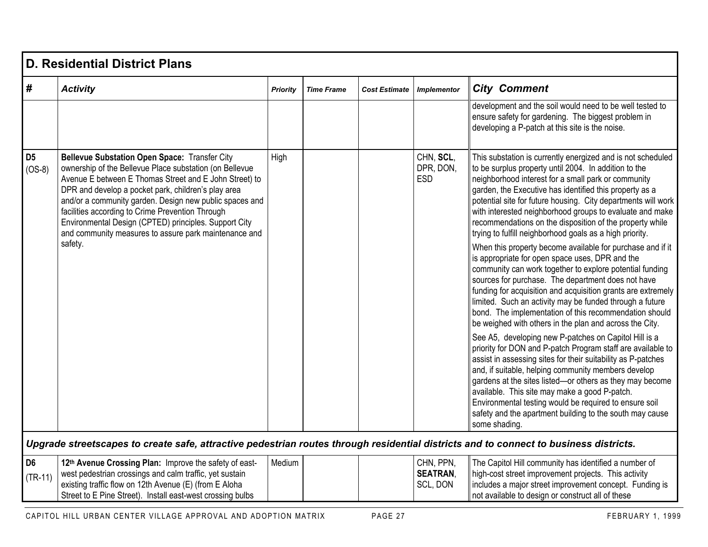|                             | D. Residential District Plans                                                                                                                                                                                                                                                                                                                                                                                                                                     |                 |                   |                      |                                          |                                                                                                                                                                                                                                                                                                                                                                                                                                                                                                 |  |  |  |  |
|-----------------------------|-------------------------------------------------------------------------------------------------------------------------------------------------------------------------------------------------------------------------------------------------------------------------------------------------------------------------------------------------------------------------------------------------------------------------------------------------------------------|-----------------|-------------------|----------------------|------------------------------------------|-------------------------------------------------------------------------------------------------------------------------------------------------------------------------------------------------------------------------------------------------------------------------------------------------------------------------------------------------------------------------------------------------------------------------------------------------------------------------------------------------|--|--|--|--|
| #                           | <b>Activity</b>                                                                                                                                                                                                                                                                                                                                                                                                                                                   | <b>Priority</b> | <b>Time Frame</b> | <b>Cost Estimate</b> | <b>Implementor</b>                       | <b>City Comment</b>                                                                                                                                                                                                                                                                                                                                                                                                                                                                             |  |  |  |  |
|                             |                                                                                                                                                                                                                                                                                                                                                                                                                                                                   |                 |                   |                      |                                          | development and the soil would need to be well tested to<br>ensure safety for gardening. The biggest problem in<br>developing a P-patch at this site is the noise.                                                                                                                                                                                                                                                                                                                              |  |  |  |  |
| D <sub>5</sub><br>$(OS-8)$  | <b>Bellevue Substation Open Space: Transfer City</b><br>ownership of the Bellevue Place substation (on Bellevue<br>Avenue E between E Thomas Street and E John Street) to<br>DPR and develop a pocket park, children's play area<br>and/or a community garden. Design new public spaces and<br>facilities according to Crime Prevention Through<br>Environmental Design (CPTED) principles. Support City<br>and community measures to assure park maintenance and | High            |                   |                      | CHN, SCL,<br>DPR, DON,<br><b>ESD</b>     | This substation is currently energized and is not scheduled<br>to be surplus property until 2004. In addition to the<br>neighborhood interest for a small park or community<br>garden, the Executive has identified this property as a<br>potential site for future housing. City departments will work<br>with interested neighborhood groups to evaluate and make<br>recommendations on the disposition of the property while<br>trying to fulfill neighborhood goals as a high priority.     |  |  |  |  |
|                             | safety.                                                                                                                                                                                                                                                                                                                                                                                                                                                           |                 |                   |                      |                                          | When this property become available for purchase and if it<br>is appropriate for open space uses, DPR and the<br>community can work together to explore potential funding<br>sources for purchase. The department does not have<br>funding for acquisition and acquisition grants are extremely<br>limited. Such an activity may be funded through a future<br>bond. The implementation of this recommendation should<br>be weighed with others in the plan and across the City.                |  |  |  |  |
|                             |                                                                                                                                                                                                                                                                                                                                                                                                                                                                   |                 |                   |                      |                                          | See A5, developing new P-patches on Capitol Hill is a<br>priority for DON and P-patch Program staff are available to<br>assist in assessing sites for their suitability as P-patches<br>and, if suitable, helping community members develop<br>gardens at the sites listed-or others as they may become<br>available. This site may make a good P-patch.<br>Environmental testing would be required to ensure soil<br>safety and the apartment building to the south may cause<br>some shading. |  |  |  |  |
|                             | Upgrade streetscapes to create safe, attractive pedestrian routes through residential districts and to connect to business districts.                                                                                                                                                                                                                                                                                                                             |                 |                   |                      |                                          |                                                                                                                                                                                                                                                                                                                                                                                                                                                                                                 |  |  |  |  |
| D <sub>6</sub><br>$(TR-11)$ | 12th Avenue Crossing Plan: Improve the safety of east-<br>west pedestrian crossings and calm traffic, yet sustain<br>existing traffic flow on 12th Avenue (E) (from E Aloha<br>Street to E Pine Street). Install east-west crossing bulbs                                                                                                                                                                                                                         | Medium          |                   |                      | CHN, PPN,<br><b>SEATRAN,</b><br>SCL, DON | The Capitol Hill community has identified a number of<br>high-cost street improvement projects. This activity<br>includes a major street improvement concept. Funding is<br>not available to design or construct all of these                                                                                                                                                                                                                                                                   |  |  |  |  |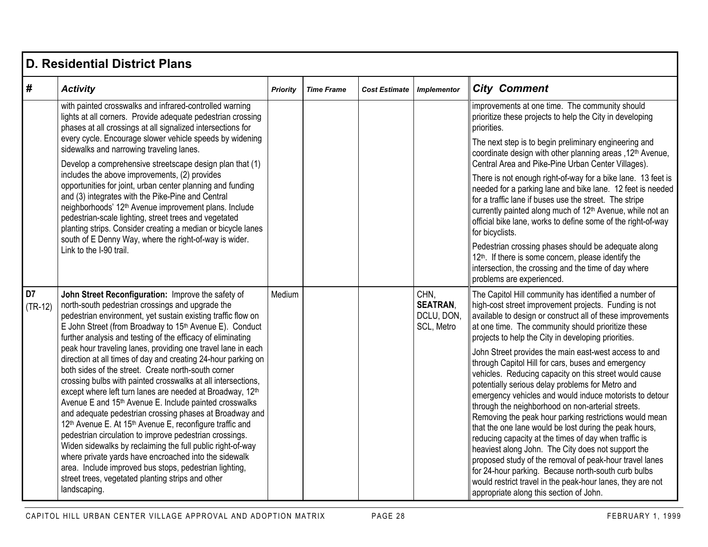|                             | <b>D. Residential District Plans</b>                                                                                                                                                                                                                                                                                                                                                                                                                                                                                                                                                                                                                                                                                                                                                                                                                    |                 |                   |                      |                                                     |                                                                                                                                                                                                                                                                                                                                                                                                                                                                                                                                                                                                                                                                                                                                                                                                         |  |  |  |  |  |
|-----------------------------|---------------------------------------------------------------------------------------------------------------------------------------------------------------------------------------------------------------------------------------------------------------------------------------------------------------------------------------------------------------------------------------------------------------------------------------------------------------------------------------------------------------------------------------------------------------------------------------------------------------------------------------------------------------------------------------------------------------------------------------------------------------------------------------------------------------------------------------------------------|-----------------|-------------------|----------------------|-----------------------------------------------------|---------------------------------------------------------------------------------------------------------------------------------------------------------------------------------------------------------------------------------------------------------------------------------------------------------------------------------------------------------------------------------------------------------------------------------------------------------------------------------------------------------------------------------------------------------------------------------------------------------------------------------------------------------------------------------------------------------------------------------------------------------------------------------------------------------|--|--|--|--|--|
| #                           | <b>Activity</b>                                                                                                                                                                                                                                                                                                                                                                                                                                                                                                                                                                                                                                                                                                                                                                                                                                         | <b>Priority</b> | <b>Time Frame</b> | <b>Cost Estimate</b> | <b>Implementor</b>                                  | <b>City Comment</b>                                                                                                                                                                                                                                                                                                                                                                                                                                                                                                                                                                                                                                                                                                                                                                                     |  |  |  |  |  |
|                             | with painted crosswalks and infrared-controlled warning<br>lights at all corners. Provide adequate pedestrian crossing<br>phases at all crossings at all signalized intersections for                                                                                                                                                                                                                                                                                                                                                                                                                                                                                                                                                                                                                                                                   |                 |                   |                      |                                                     | improvements at one time. The community should<br>prioritize these projects to help the City in developing<br>priorities.                                                                                                                                                                                                                                                                                                                                                                                                                                                                                                                                                                                                                                                                               |  |  |  |  |  |
|                             | every cycle. Encourage slower vehicle speeds by widening<br>sidewalks and narrowing traveling lanes.<br>Develop a comprehensive streetscape design plan that (1)                                                                                                                                                                                                                                                                                                                                                                                                                                                                                                                                                                                                                                                                                        |                 |                   |                      |                                                     | The next step is to begin preliminary engineering and<br>coordinate design with other planning areas, 12th Avenue,<br>Central Area and Pike-Pine Urban Center Villages).                                                                                                                                                                                                                                                                                                                                                                                                                                                                                                                                                                                                                                |  |  |  |  |  |
|                             | includes the above improvements, (2) provides<br>opportunities for joint, urban center planning and funding<br>and (3) integrates with the Pike-Pine and Central<br>neighborhoods' 12 <sup>th</sup> Avenue improvement plans. Include<br>pedestrian-scale lighting, street trees and vegetated<br>planting strips. Consider creating a median or bicycle lanes<br>south of E Denny Way, where the right-of-way is wider.                                                                                                                                                                                                                                                                                                                                                                                                                                |                 |                   |                      |                                                     | There is not enough right-of-way for a bike lane. 13 feet is<br>needed for a parking lane and bike lane. 12 feet is needed<br>for a traffic lane if buses use the street. The stripe<br>currently painted along much of 12 <sup>th</sup> Avenue, while not an<br>official bike lane, works to define some of the right-of-way<br>for bicyclists.                                                                                                                                                                                                                                                                                                                                                                                                                                                        |  |  |  |  |  |
|                             | Link to the I-90 trail.                                                                                                                                                                                                                                                                                                                                                                                                                                                                                                                                                                                                                                                                                                                                                                                                                                 |                 |                   |                      |                                                     | Pedestrian crossing phases should be adequate along<br>12th. If there is some concern, please identify the<br>intersection, the crossing and the time of day where<br>problems are experienced.                                                                                                                                                                                                                                                                                                                                                                                                                                                                                                                                                                                                         |  |  |  |  |  |
| D <sub>7</sub><br>$(TR-12)$ | John Street Reconfiguration: Improve the safety of<br>north-south pedestrian crossings and upgrade the<br>pedestrian environment, yet sustain existing traffic flow on<br>E John Street (from Broadway to 15th Avenue E). Conduct<br>further analysis and testing of the efficacy of eliminating                                                                                                                                                                                                                                                                                                                                                                                                                                                                                                                                                        | Medium          |                   |                      | CHN.<br><b>SEATRAN,</b><br>DCLU, DON,<br>SCL, Metro | The Capitol Hill community has identified a number of<br>high-cost street improvement projects. Funding is not<br>available to design or construct all of these improvements<br>at one time. The community should prioritize these<br>projects to help the City in developing priorities.                                                                                                                                                                                                                                                                                                                                                                                                                                                                                                               |  |  |  |  |  |
|                             | peak hour traveling lanes, providing one travel lane in each<br>direction at all times of day and creating 24-hour parking on<br>both sides of the street. Create north-south corner<br>crossing bulbs with painted crosswalks at all intersections,<br>except where left turn lanes are needed at Broadway, 12th<br>Avenue E and 15 <sup>th</sup> Avenue E. Include painted crosswalks<br>and adequate pedestrian crossing phases at Broadway and<br>12 <sup>th</sup> Avenue E. At 15 <sup>th</sup> Avenue E, reconfigure traffic and<br>pedestrian circulation to improve pedestrian crossings.<br>Widen sidewalks by reclaiming the full public right-of-way<br>where private yards have encroached into the sidewalk<br>area. Include improved bus stops, pedestrian lighting,<br>street trees, vegetated planting strips and other<br>landscaping. |                 |                   |                      |                                                     | John Street provides the main east-west access to and<br>through Capitol Hill for cars, buses and emergency<br>vehicles. Reducing capacity on this street would cause<br>potentially serious delay problems for Metro and<br>emergency vehicles and would induce motorists to detour<br>through the neighborhood on non-arterial streets.<br>Removing the peak hour parking restrictions would mean<br>that the one lane would be lost during the peak hours,<br>reducing capacity at the times of day when traffic is<br>heaviest along John. The City does not support the<br>proposed study of the removal of peak-hour travel lanes<br>for 24-hour parking. Because north-south curb bulbs<br>would restrict travel in the peak-hour lanes, they are not<br>appropriate along this section of John. |  |  |  |  |  |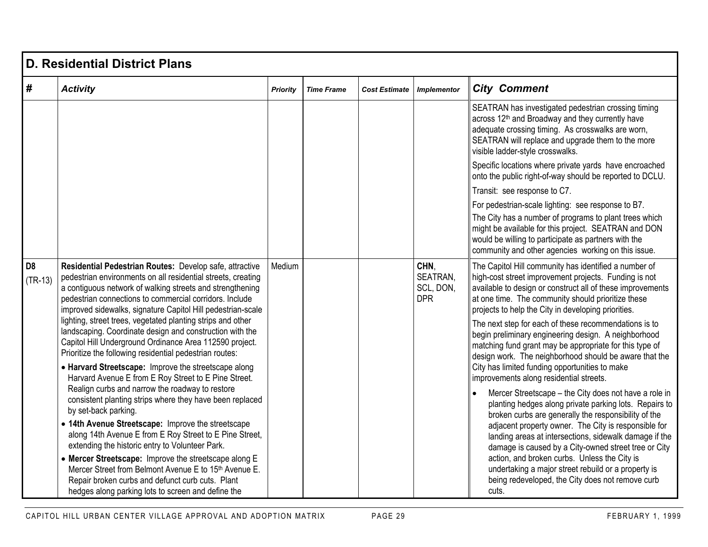|                             | <b>D. Residential District Plans</b>                                                                                                                                                                                                                                                                                                                                                                                      |          |                   |                      |                                             |                                                                                                                                                                                                                                                                                                                                                                                                                                                          |  |  |  |  |  |
|-----------------------------|---------------------------------------------------------------------------------------------------------------------------------------------------------------------------------------------------------------------------------------------------------------------------------------------------------------------------------------------------------------------------------------------------------------------------|----------|-------------------|----------------------|---------------------------------------------|----------------------------------------------------------------------------------------------------------------------------------------------------------------------------------------------------------------------------------------------------------------------------------------------------------------------------------------------------------------------------------------------------------------------------------------------------------|--|--|--|--|--|
| #                           | <b>Activity</b>                                                                                                                                                                                                                                                                                                                                                                                                           | Priority | <b>Time Frame</b> | <b>Cost Estimate</b> | <b>Implementor</b>                          | <b>City Comment</b>                                                                                                                                                                                                                                                                                                                                                                                                                                      |  |  |  |  |  |
|                             |                                                                                                                                                                                                                                                                                                                                                                                                                           |          |                   |                      |                                             | SEATRAN has investigated pedestrian crossing timing<br>across 12 <sup>th</sup> and Broadway and they currently have<br>adequate crossing timing. As crosswalks are worn,<br>SEATRAN will replace and upgrade them to the more<br>visible ladder-style crosswalks.                                                                                                                                                                                        |  |  |  |  |  |
|                             |                                                                                                                                                                                                                                                                                                                                                                                                                           |          |                   |                      |                                             | Specific locations where private yards have encroached<br>onto the public right-of-way should be reported to DCLU.                                                                                                                                                                                                                                                                                                                                       |  |  |  |  |  |
|                             |                                                                                                                                                                                                                                                                                                                                                                                                                           |          |                   |                      |                                             | Transit: see response to C7.                                                                                                                                                                                                                                                                                                                                                                                                                             |  |  |  |  |  |
|                             |                                                                                                                                                                                                                                                                                                                                                                                                                           |          |                   |                      |                                             | For pedestrian-scale lighting: see response to B7.<br>The City has a number of programs to plant trees which<br>might be available for this project. SEATRAN and DON<br>would be willing to participate as partners with the<br>community and other agencies working on this issue.                                                                                                                                                                      |  |  |  |  |  |
| D <sub>8</sub><br>$(TR-13)$ | Residential Pedestrian Routes: Develop safe, attractive<br>pedestrian environments on all residential streets, creating<br>a contiguous network of walking streets and strengthening<br>pedestrian connections to commercial corridors. Include<br>improved sidewalks, signature Capitol Hill pedestrian-scale                                                                                                            | Medium   |                   |                      | CHN.<br>SEATRAN,<br>SCL, DON,<br><b>DPR</b> | The Capitol Hill community has identified a number of<br>high-cost street improvement projects. Funding is not<br>available to design or construct all of these improvements<br>at one time. The community should prioritize these<br>projects to help the City in developing priorities.                                                                                                                                                                |  |  |  |  |  |
|                             | lighting, street trees, vegetated planting strips and other<br>landscaping. Coordinate design and construction with the<br>Capitol Hill Underground Ordinance Area 112590 project.<br>Prioritize the following residential pedestrian routes:<br>• Harvard Streetscape: Improve the streetscape along<br>Harvard Avenue E from E Roy Street to E Pine Street.                                                             |          |                   |                      |                                             | The next step for each of these recommendations is to<br>begin preliminary engineering design. A neighborhood<br>matching fund grant may be appropriate for this type of<br>design work. The neighborhood should be aware that the<br>City has limited funding opportunities to make<br>improvements along residential streets.                                                                                                                          |  |  |  |  |  |
|                             | Realign curbs and narrow the roadway to restore<br>consistent planting strips where they have been replaced<br>by set-back parking.<br>• 14th Avenue Streetscape: Improve the streetscape<br>along 14th Avenue E from E Roy Street to E Pine Street,<br>extending the historic entry to Volunteer Park.<br>• Mercer Streetscape: Improve the streetscape along E<br>Mercer Street from Belmont Avenue E to 15th Avenue E. |          |                   |                      |                                             | Mercer Streetscape - the City does not have a role in<br>planting hedges along private parking lots. Repairs to<br>broken curbs are generally the responsibility of the<br>adjacent property owner. The City is responsible for<br>landing areas at intersections, sidewalk damage if the<br>damage is caused by a City-owned street tree or City<br>action, and broken curbs. Unless the City is<br>undertaking a major street rebuild or a property is |  |  |  |  |  |
|                             | Repair broken curbs and defunct curb cuts. Plant<br>hedges along parking lots to screen and define the                                                                                                                                                                                                                                                                                                                    |          |                   |                      |                                             | being redeveloped, the City does not remove curb<br>cuts.                                                                                                                                                                                                                                                                                                                                                                                                |  |  |  |  |  |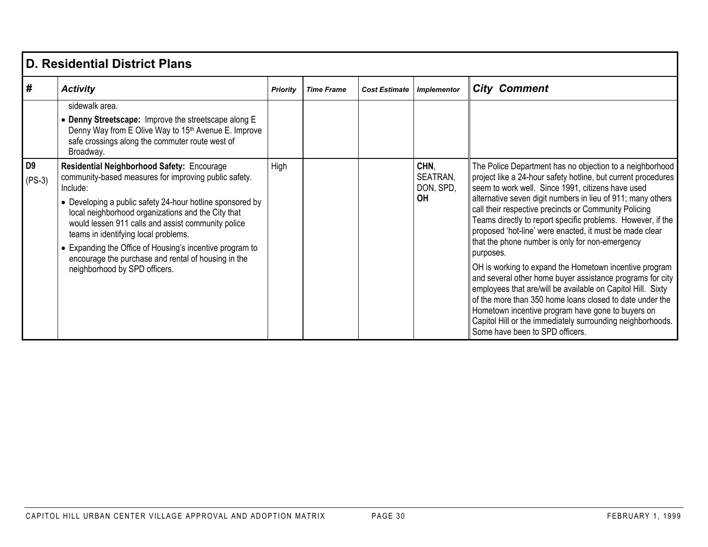|                            | D. Residential District Plans                                                                                                                                                                                                                                                                                                                                                                                                                                                        |          |                   |                      |                                     |                                                                                                                                                                                                                                                                                                                                                                                                                                                                                                                                                                                                                                                                                                                                                                                                                                                                                                          |  |  |  |  |
|----------------------------|--------------------------------------------------------------------------------------------------------------------------------------------------------------------------------------------------------------------------------------------------------------------------------------------------------------------------------------------------------------------------------------------------------------------------------------------------------------------------------------|----------|-------------------|----------------------|-------------------------------------|----------------------------------------------------------------------------------------------------------------------------------------------------------------------------------------------------------------------------------------------------------------------------------------------------------------------------------------------------------------------------------------------------------------------------------------------------------------------------------------------------------------------------------------------------------------------------------------------------------------------------------------------------------------------------------------------------------------------------------------------------------------------------------------------------------------------------------------------------------------------------------------------------------|--|--|--|--|
| #                          | <b>Activity</b>                                                                                                                                                                                                                                                                                                                                                                                                                                                                      | Priority | <b>Time Frame</b> | <b>Cost Estimate</b> | <b>Implementor</b>                  | <b>City Comment</b>                                                                                                                                                                                                                                                                                                                                                                                                                                                                                                                                                                                                                                                                                                                                                                                                                                                                                      |  |  |  |  |
|                            | sidewalk area.<br>• Denny Streetscape: Improve the streetscape along E<br>Denny Way from E Olive Way to 15th Avenue E. Improve<br>safe crossings along the commuter route west of<br>Broadway.                                                                                                                                                                                                                                                                                       |          |                   |                      |                                     |                                                                                                                                                                                                                                                                                                                                                                                                                                                                                                                                                                                                                                                                                                                                                                                                                                                                                                          |  |  |  |  |
| D <sub>9</sub><br>$(PS-3)$ | Residential Neighborhood Safety: Encourage<br>community-based measures for improving public safety.<br>Include:<br>• Developing a public safety 24-hour hotline sponsored by<br>local neighborhood organizations and the City that<br>would lessen 911 calls and assist community police<br>teams in identifying local problems.<br>• Expanding the Office of Housing's incentive program to<br>encourage the purchase and rental of housing in the<br>neighborhood by SPD officers. | High     |                   |                      | CHN,<br>SEATRAN,<br>DON, SPD,<br>0H | The Police Department has no objection to a neighborhood<br>project like a 24-hour safety hotline, but current procedures<br>seem to work well. Since 1991, citizens have used<br>alternative seven digit numbers in lieu of 911; many others<br>call their respective precincts or Community Policing<br>Teams directly to report specific problems. However, if the<br>proposed 'hot-line' were enacted, it must be made clear<br>that the phone number is only for non-emergency<br>purposes.<br>OH is working to expand the Hometown incentive program<br>and several other home buyer assistance programs for city<br>employees that are/will be available on Capitol Hill. Sixty<br>of the more than 350 home loans closed to date under the<br>Hometown incentive program have gone to buyers on<br>Capitol Hill or the immediately surrounding neighborhoods.<br>Some have been to SPD officers. |  |  |  |  |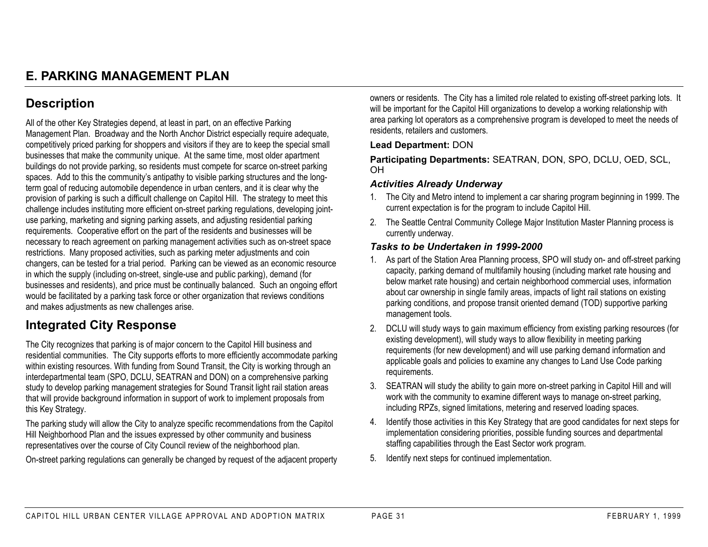## **E. PARKING MANAGEMENT PLAN**

## **Description**

All of the other Key Strategies depend, at least in part, on an effective Parking Management Plan. Broadway and the North Anchor District especially require adequate, competitively priced parking for shoppers and visitors if they are to keep the special small businesses that make the community unique. At the same time, most older apartment buildings do not provide parking, so residents must compete for scarce on-street parking spaces. Add to this the community's antipathy to visible parking structures and the longterm goal of reducing automobile dependence in urban centers, and it is clear why the provision of parking is such a difficult challenge on Capitol Hill. The strategy to meet this challenge includes instituting more efficient on-street parking regulations, developing jointuse parking, marketing and signing parking assets, and adjusting residential parking requirements. Cooperative effort on the part of the residents and businesses will be necessary to reach agreement on parking management activities such as on-street space restrictions. Many proposed activities, such as parking meter adjustments and coin changers, can be tested for a trial period. Parking can be viewed as an economic resource in which the supply (including on-street, single-use and public parking), demand (for businesses and residents), and price must be continually balanced. Such an ongoing effort would be facilitated by a parking task force or other organization that reviews conditions and makes adjustments as new challenges arise.

## **Integrated City Response**

The City recognizes that parking is of major concern to the Capitol Hill business and residential communities. The City supports efforts to more efficiently accommodate parking within existing resources. With funding from Sound Transit, the City is working through an interdepartmental team (SPO, DCLU, SEATRAN and DON) on a comprehensive parking study to develop parking management strategies for Sound Transit light rail station areas that will provide background information in support of work to implement proposals from this Key Strategy.

The parking study will allow the City to analyze specific recommendations from the Capitol Hill Neighborhood Plan and the issues expressed by other community and business representatives over the course of City Council review of the neighborhood plan.

On-street parking regulations can generally be changed by request of the adjacent property

owners or residents. The City has a limited role related to existing off-street parking lots. It will be important for the Capitol Hill organizations to develop a working relationship with area parking lot operators as a comprehensive program is developed to meet the needs of residents, retailers and customers.

#### **Lead Department:** DON

**Participating Departments:** SEATRAN, DON, SPO, DCLU, OED, SCL, OH

#### *Activities Already Underway*

- 1. The City and Metro intend to implement a car sharing program beginning in 1999. The current expectation is for the program to include Capitol Hill.
- 2. The Seattle Central Community College Major Institution Master Planning process is currently underway.

- 1. As part of the Station Area Planning process, SPO will study on- and off-street parking capacity, parking demand of multifamily housing (including market rate housing and below market rate housing) and certain neighborhood commercial uses, information about car ownership in single family areas, impacts of light rail stations on existing parking conditions, and propose transit oriented demand (TOD) supportive parking management tools.
- 2. DCLU will study ways to gain maximum efficiency from existing parking resources (for existing development), will study ways to allow flexibility in meeting parking requirements (for new development) and will use parking demand information and applicable goals and policies to examine any changes to Land Use Code parking requirements.
- 3. SEATRAN will study the ability to gain more on-street parking in Capitol Hill and will work with the community to examine different ways to manage on-street parking, including RPZs, signed limitations, metering and reserved loading spaces.
- 4. Identify those activities in this Key Strategy that are good candidates for next steps for implementation considering priorities, possible funding sources and departmental staffing capabilities through the East Sector work program.
- 5. Identify next steps for continued implementation.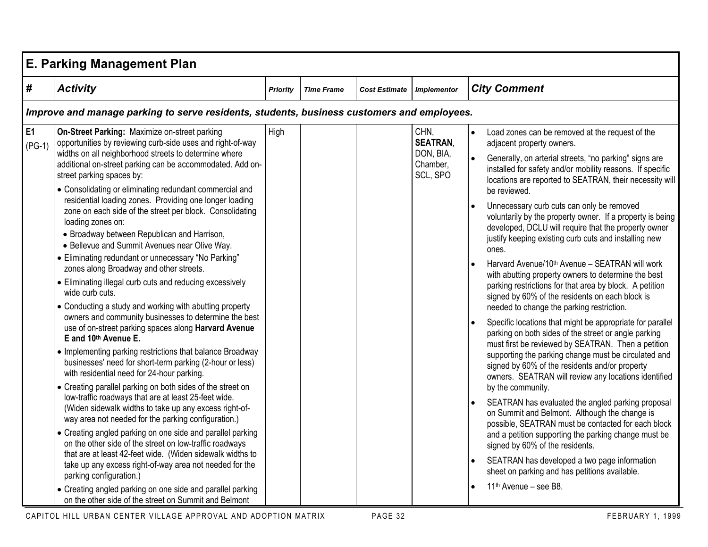|                       | <b>E. Parking Management Plan</b>                                                                                                                                                                                                                                                                                                                                                                                                                                                                                                                                                                                                                                                                                                                                                                                                                                                                                                                                                                                                                                                                                                                                                                                                                                                                                                                                                                                                                                                                                                                                                                                                                    |                 |                   |                      |                                                              |                                                                                                                                                                                                                                                                                                                                                                                                                                                                                                                                                                                                                                                                                                                                                                                                                                                                                                                                                                                                                                                                                                                                                                                                                                                                                                                                                                                                                                                                                                                               |  |  |  |  |  |
|-----------------------|------------------------------------------------------------------------------------------------------------------------------------------------------------------------------------------------------------------------------------------------------------------------------------------------------------------------------------------------------------------------------------------------------------------------------------------------------------------------------------------------------------------------------------------------------------------------------------------------------------------------------------------------------------------------------------------------------------------------------------------------------------------------------------------------------------------------------------------------------------------------------------------------------------------------------------------------------------------------------------------------------------------------------------------------------------------------------------------------------------------------------------------------------------------------------------------------------------------------------------------------------------------------------------------------------------------------------------------------------------------------------------------------------------------------------------------------------------------------------------------------------------------------------------------------------------------------------------------------------------------------------------------------------|-----------------|-------------------|----------------------|--------------------------------------------------------------|-------------------------------------------------------------------------------------------------------------------------------------------------------------------------------------------------------------------------------------------------------------------------------------------------------------------------------------------------------------------------------------------------------------------------------------------------------------------------------------------------------------------------------------------------------------------------------------------------------------------------------------------------------------------------------------------------------------------------------------------------------------------------------------------------------------------------------------------------------------------------------------------------------------------------------------------------------------------------------------------------------------------------------------------------------------------------------------------------------------------------------------------------------------------------------------------------------------------------------------------------------------------------------------------------------------------------------------------------------------------------------------------------------------------------------------------------------------------------------------------------------------------------------|--|--|--|--|--|
| #                     | <b>Activity</b>                                                                                                                                                                                                                                                                                                                                                                                                                                                                                                                                                                                                                                                                                                                                                                                                                                                                                                                                                                                                                                                                                                                                                                                                                                                                                                                                                                                                                                                                                                                                                                                                                                      | <b>Priority</b> | <b>Time Frame</b> | <b>Cost Estimate</b> | Implementor                                                  | <b>City Comment</b>                                                                                                                                                                                                                                                                                                                                                                                                                                                                                                                                                                                                                                                                                                                                                                                                                                                                                                                                                                                                                                                                                                                                                                                                                                                                                                                                                                                                                                                                                                           |  |  |  |  |  |
|                       | Improve and manage parking to serve residents, students, business customers and employees.                                                                                                                                                                                                                                                                                                                                                                                                                                                                                                                                                                                                                                                                                                                                                                                                                                                                                                                                                                                                                                                                                                                                                                                                                                                                                                                                                                                                                                                                                                                                                           |                 |                   |                      |                                                              |                                                                                                                                                                                                                                                                                                                                                                                                                                                                                                                                                                                                                                                                                                                                                                                                                                                                                                                                                                                                                                                                                                                                                                                                                                                                                                                                                                                                                                                                                                                               |  |  |  |  |  |
| <b>E1</b><br>$(PG-1)$ | On-Street Parking: Maximize on-street parking<br>opportunities by reviewing curb-side uses and right-of-way<br>widths on all neighborhood streets to determine where<br>additional on-street parking can be accommodated. Add on-<br>street parking spaces by:<br>• Consolidating or eliminating redundant commercial and<br>residential loading zones. Providing one longer loading<br>zone on each side of the street per block. Consolidating<br>loading zones on:<br>• Broadway between Republican and Harrison,<br>• Bellevue and Summit Avenues near Olive Way.<br>• Eliminating redundant or unnecessary "No Parking"<br>zones along Broadway and other streets.<br>• Eliminating illegal curb cuts and reducing excessively<br>wide curb cuts.<br>• Conducting a study and working with abutting property<br>owners and community businesses to determine the best<br>use of on-street parking spaces along Harvard Avenue<br>E and 10th Avenue E.<br>• Implementing parking restrictions that balance Broadway<br>businesses' need for short-term parking (2-hour or less)<br>with residential need for 24-hour parking.<br>• Creating parallel parking on both sides of the street on<br>low-traffic roadways that are at least 25-feet wide.<br>(Widen sidewalk widths to take up any excess right-of-<br>way area not needed for the parking configuration.)<br>• Creating angled parking on one side and parallel parking<br>on the other side of the street on low-traffic roadways<br>that are at least 42-feet wide. (Widen sidewalk widths to<br>take up any excess right-of-way area not needed for the<br>parking configuration.) | High            |                   |                      | CHN.<br><b>SEATRAN.</b><br>DON, BIA,<br>Chamber,<br>SCL, SPO | Load zones can be removed at the request of the<br>$\bullet$<br>adjacent property owners.<br>Generally, on arterial streets, "no parking" signs are<br>installed for safety and/or mobility reasons. If specific<br>locations are reported to SEATRAN, their necessity will<br>be reviewed.<br>Unnecessary curb cuts can only be removed<br>voluntarily by the property owner. If a property is being<br>developed, DCLU will require that the property owner<br>justify keeping existing curb cuts and installing new<br>ones.<br>Harvard Avenue/10th Avenue - SEATRAN will work<br>with abutting property owners to determine the best<br>parking restrictions for that area by block. A petition<br>signed by 60% of the residents on each block is<br>needed to change the parking restriction.<br>Specific locations that might be appropriate for parallel<br>parking on both sides of the street or angle parking<br>must first be reviewed by SEATRAN. Then a petition<br>supporting the parking change must be circulated and<br>signed by 60% of the residents and/or property<br>owners. SEATRAN will review any locations identified<br>by the community.<br>SEATRAN has evaluated the angled parking proposal<br>on Summit and Belmont. Although the change is<br>possible, SEATRAN must be contacted for each block<br>and a petition supporting the parking change must be<br>signed by 60% of the residents.<br>SEATRAN has developed a two page information<br>sheet on parking and has petitions available. |  |  |  |  |  |
|                       | • Creating angled parking on one side and parallel parking<br>on the other side of the street on Summit and Belmont                                                                                                                                                                                                                                                                                                                                                                                                                                                                                                                                                                                                                                                                                                                                                                                                                                                                                                                                                                                                                                                                                                                                                                                                                                                                                                                                                                                                                                                                                                                                  |                 |                   |                      |                                                              | 11 <sup>th</sup> Avenue - see B8.                                                                                                                                                                                                                                                                                                                                                                                                                                                                                                                                                                                                                                                                                                                                                                                                                                                                                                                                                                                                                                                                                                                                                                                                                                                                                                                                                                                                                                                                                             |  |  |  |  |  |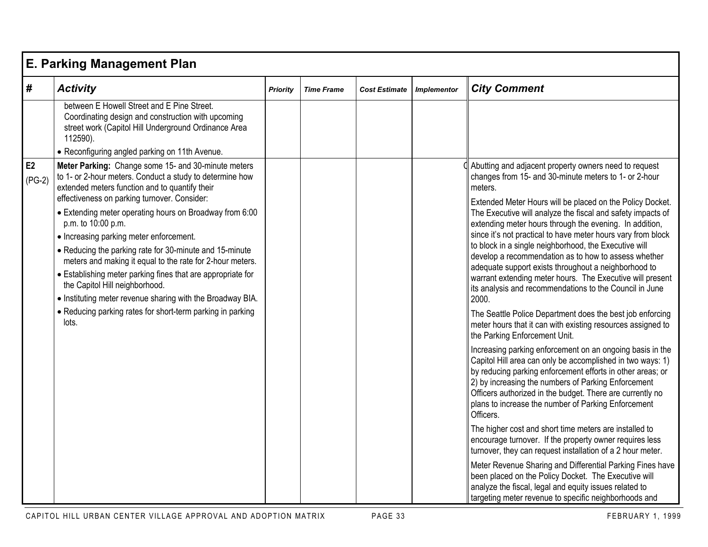|                | <b>E. Parking Management Plan</b>                                                                                                                                                                                                                                                                                                                                                                                                                                                                                                                                                                                                                                                                           |                 |                   |                      |                    |                                                                                                                                                                                                                                                                                                                                                                                                                                                                                                                                                                                                                                                                                                                                                                                                                                                                                                                                                                                                                                                                                                                                                                                                                                                                                                                                                                                                                                                                                                                                                                                                                                                                     |  |  |  |  |  |
|----------------|-------------------------------------------------------------------------------------------------------------------------------------------------------------------------------------------------------------------------------------------------------------------------------------------------------------------------------------------------------------------------------------------------------------------------------------------------------------------------------------------------------------------------------------------------------------------------------------------------------------------------------------------------------------------------------------------------------------|-----------------|-------------------|----------------------|--------------------|---------------------------------------------------------------------------------------------------------------------------------------------------------------------------------------------------------------------------------------------------------------------------------------------------------------------------------------------------------------------------------------------------------------------------------------------------------------------------------------------------------------------------------------------------------------------------------------------------------------------------------------------------------------------------------------------------------------------------------------------------------------------------------------------------------------------------------------------------------------------------------------------------------------------------------------------------------------------------------------------------------------------------------------------------------------------------------------------------------------------------------------------------------------------------------------------------------------------------------------------------------------------------------------------------------------------------------------------------------------------------------------------------------------------------------------------------------------------------------------------------------------------------------------------------------------------------------------------------------------------------------------------------------------------|--|--|--|--|--|
| #              | <b>Activity</b>                                                                                                                                                                                                                                                                                                                                                                                                                                                                                                                                                                                                                                                                                             | <b>Priority</b> | <b>Time Frame</b> | <b>Cost Estimate</b> | <b>Implementor</b> | <b>City Comment</b>                                                                                                                                                                                                                                                                                                                                                                                                                                                                                                                                                                                                                                                                                                                                                                                                                                                                                                                                                                                                                                                                                                                                                                                                                                                                                                                                                                                                                                                                                                                                                                                                                                                 |  |  |  |  |  |
|                | between E Howell Street and E Pine Street.<br>Coordinating design and construction with upcoming<br>street work (Capitol Hill Underground Ordinance Area<br>112590).<br>• Reconfiguring angled parking on 11th Avenue.                                                                                                                                                                                                                                                                                                                                                                                                                                                                                      |                 |                   |                      |                    |                                                                                                                                                                                                                                                                                                                                                                                                                                                                                                                                                                                                                                                                                                                                                                                                                                                                                                                                                                                                                                                                                                                                                                                                                                                                                                                                                                                                                                                                                                                                                                                                                                                                     |  |  |  |  |  |
| E2<br>$(PG-2)$ | Meter Parking: Change some 15- and 30-minute meters<br>to 1- or 2-hour meters. Conduct a study to determine how<br>extended meters function and to quantify their<br>effectiveness on parking turnover. Consider:<br>• Extending meter operating hours on Broadway from 6:00<br>p.m. to 10:00 p.m.<br>• Increasing parking meter enforcement.<br>• Reducing the parking rate for 30-minute and 15-minute<br>meters and making it equal to the rate for 2-hour meters.<br>• Establishing meter parking fines that are appropriate for<br>the Capitol Hill neighborhood.<br>• Instituting meter revenue sharing with the Broadway BIA.<br>• Reducing parking rates for short-term parking in parking<br>lots. |                 |                   |                      |                    | Abutting and adjacent property owners need to request<br>changes from 15- and 30-minute meters to 1- or 2-hour<br>meters.<br>Extended Meter Hours will be placed on the Policy Docket.<br>The Executive will analyze the fiscal and safety impacts of<br>extending meter hours through the evening. In addition,<br>since it's not practical to have meter hours vary from block<br>to block in a single neighborhood, the Executive will<br>develop a recommendation as to how to assess whether<br>adequate support exists throughout a neighborhood to<br>warrant extending meter hours. The Executive will present<br>its analysis and recommendations to the Council in June<br>2000.<br>The Seattle Police Department does the best job enforcing<br>meter hours that it can with existing resources assigned to<br>the Parking Enforcement Unit.<br>Increasing parking enforcement on an ongoing basis in the<br>Capitol Hill area can only be accomplished in two ways: 1)<br>by reducing parking enforcement efforts in other areas; or<br>2) by increasing the numbers of Parking Enforcement<br>Officers authorized in the budget. There are currently no<br>plans to increase the number of Parking Enforcement<br>Officers.<br>The higher cost and short time meters are installed to<br>encourage turnover. If the property owner requires less<br>turnover, they can request installation of a 2 hour meter.<br>Meter Revenue Sharing and Differential Parking Fines have<br>been placed on the Policy Docket. The Executive will<br>analyze the fiscal, legal and equity issues related to<br>targeting meter revenue to specific neighborhoods and |  |  |  |  |  |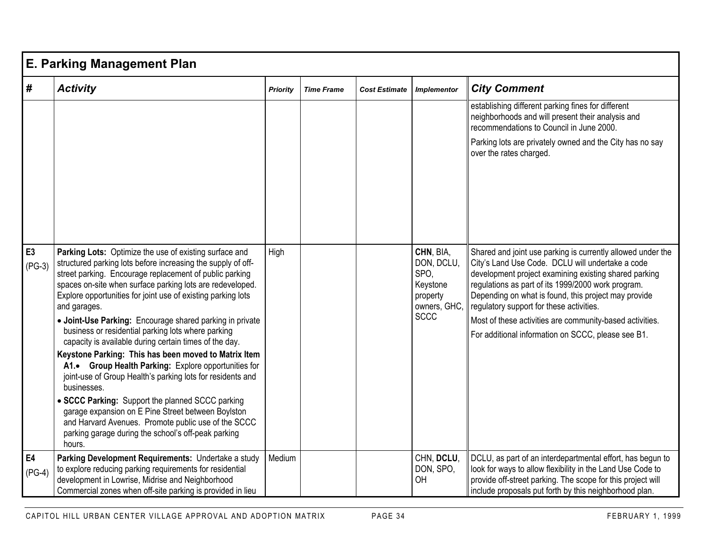|                            | <b>E. Parking Management Plan</b>                                                                                                                                                                                                                                                                                                                                    |                 |                   |                      |                                                                         |                                                                                                                                                                                                                                                                                                                                    |  |  |  |  |  |
|----------------------------|----------------------------------------------------------------------------------------------------------------------------------------------------------------------------------------------------------------------------------------------------------------------------------------------------------------------------------------------------------------------|-----------------|-------------------|----------------------|-------------------------------------------------------------------------|------------------------------------------------------------------------------------------------------------------------------------------------------------------------------------------------------------------------------------------------------------------------------------------------------------------------------------|--|--|--|--|--|
| #                          | <b>Activity</b>                                                                                                                                                                                                                                                                                                                                                      | <b>Priority</b> | <b>Time Frame</b> | <b>Cost Estimate</b> | <b>Implementor</b>                                                      | <b>City Comment</b>                                                                                                                                                                                                                                                                                                                |  |  |  |  |  |
|                            |                                                                                                                                                                                                                                                                                                                                                                      |                 |                   |                      |                                                                         | establishing different parking fines for different<br>neighborhoods and will present their analysis and<br>recommendations to Council in June 2000.                                                                                                                                                                                |  |  |  |  |  |
|                            |                                                                                                                                                                                                                                                                                                                                                                      |                 |                   |                      |                                                                         | Parking lots are privately owned and the City has no say<br>over the rates charged.                                                                                                                                                                                                                                                |  |  |  |  |  |
|                            |                                                                                                                                                                                                                                                                                                                                                                      |                 |                   |                      |                                                                         |                                                                                                                                                                                                                                                                                                                                    |  |  |  |  |  |
| E <sub>3</sub><br>$(PG-3)$ | Parking Lots: Optimize the use of existing surface and<br>structured parking lots before increasing the supply of off-<br>street parking. Encourage replacement of public parking<br>spaces on-site when surface parking lots are redeveloped.<br>Explore opportunities for joint use of existing parking lots<br>and garages.                                       | High            |                   |                      | CHN, BIA,<br>DON, DCLU,<br>SPO.<br>Keystone<br>property<br>owners, GHC, | Shared and joint use parking is currently allowed under the<br>City's Land Use Code. DCLU will undertake a code<br>development project examining existing shared parking<br>regulations as part of its 1999/2000 work program.<br>Depending on what is found, this project may provide<br>regulatory support for these activities. |  |  |  |  |  |
|                            | • Joint-Use Parking: Encourage shared parking in private<br>business or residential parking lots where parking<br>capacity is available during certain times of the day.<br>Keystone Parking: This has been moved to Matrix Item<br>A1. Group Health Parking: Explore opportunities for<br>joint-use of Group Health's parking lots for residents and<br>businesses. |                 |                   |                      | <b>SCCC</b>                                                             | Most of these activities are community-based activities.<br>For additional information on SCCC, please see B1.                                                                                                                                                                                                                     |  |  |  |  |  |
|                            | • SCCC Parking: Support the planned SCCC parking<br>garage expansion on E Pine Street between Boylston<br>and Harvard Avenues. Promote public use of the SCCC<br>parking garage during the school's off-peak parking<br>hours.                                                                                                                                       |                 |                   |                      |                                                                         |                                                                                                                                                                                                                                                                                                                                    |  |  |  |  |  |
| <b>E4</b><br>$(PG-4)$      | Parking Development Requirements: Undertake a study<br>to explore reducing parking requirements for residential<br>development in Lowrise, Midrise and Neighborhood<br>Commercial zones when off-site parking is provided in lieu                                                                                                                                    | Medium          |                   |                      | CHN, DCLU,<br>DON, SPO,<br>OH                                           | DCLU, as part of an interdepartmental effort, has begun to<br>look for ways to allow flexibility in the Land Use Code to<br>provide off-street parking. The scope for this project will<br>include proposals put forth by this neighborhood plan.                                                                                  |  |  |  |  |  |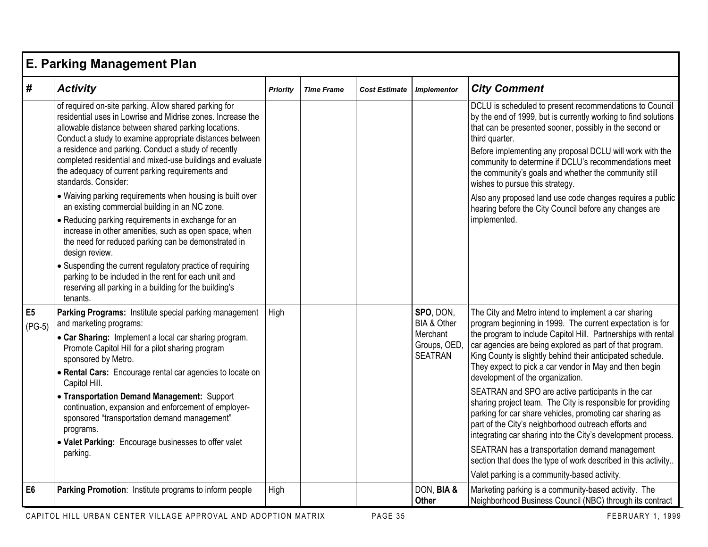|                            | <b>E. Parking Management Plan</b>                                                                                                                                                                                                                                                                                                                                                                                                                                                                                                                                                                                                                                                                                                                                                                                                                                                                                                            |                 |                   |                      |                                                                        |                                                                                                                                                                                                                                                                                                                                                                                                                                                                                                                                                                                                                                                                                                                                                                                                                                                                                        |  |  |  |  |  |
|----------------------------|----------------------------------------------------------------------------------------------------------------------------------------------------------------------------------------------------------------------------------------------------------------------------------------------------------------------------------------------------------------------------------------------------------------------------------------------------------------------------------------------------------------------------------------------------------------------------------------------------------------------------------------------------------------------------------------------------------------------------------------------------------------------------------------------------------------------------------------------------------------------------------------------------------------------------------------------|-----------------|-------------------|----------------------|------------------------------------------------------------------------|----------------------------------------------------------------------------------------------------------------------------------------------------------------------------------------------------------------------------------------------------------------------------------------------------------------------------------------------------------------------------------------------------------------------------------------------------------------------------------------------------------------------------------------------------------------------------------------------------------------------------------------------------------------------------------------------------------------------------------------------------------------------------------------------------------------------------------------------------------------------------------------|--|--|--|--|--|
| #                          | <b>Activity</b>                                                                                                                                                                                                                                                                                                                                                                                                                                                                                                                                                                                                                                                                                                                                                                                                                                                                                                                              | <b>Priority</b> | <b>Time Frame</b> | <b>Cost Estimate</b> | <b>Implementor</b>                                                     | <b>City Comment</b>                                                                                                                                                                                                                                                                                                                                                                                                                                                                                                                                                                                                                                                                                                                                                                                                                                                                    |  |  |  |  |  |
|                            | of required on-site parking. Allow shared parking for<br>residential uses in Lowrise and Midrise zones. Increase the<br>allowable distance between shared parking locations.<br>Conduct a study to examine appropriate distances between<br>a residence and parking. Conduct a study of recently<br>completed residential and mixed-use buildings and evaluate<br>the adequacy of current parking requirements and<br>standards. Consider:<br>• Waiving parking requirements when housing is built over<br>an existing commercial building in an NC zone.<br>• Reducing parking requirements in exchange for an<br>increase in other amenities, such as open space, when<br>the need for reduced parking can be demonstrated in<br>design review.<br>• Suspending the current regulatory practice of requiring<br>parking to be included in the rent for each unit and<br>reserving all parking in a building for the building's<br>tenants. |                 |                   |                      |                                                                        | DCLU is scheduled to present recommendations to Council<br>by the end of 1999, but is currently working to find solutions<br>that can be presented sooner, possibly in the second or<br>third quarter.<br>Before implementing any proposal DCLU will work with the<br>community to determine if DCLU's recommendations meet<br>the community's goals and whether the community still<br>wishes to pursue this strategy.<br>Also any proposed land use code changes requires a public<br>hearing before the City Council before any changes are<br>implemented.                                                                                                                                                                                                                                                                                                                         |  |  |  |  |  |
| E <sub>5</sub><br>$(PG-5)$ | Parking Programs: Institute special parking management<br>and marketing programs:<br>• Car Sharing: Implement a local car sharing program.<br>Promote Capitol Hill for a pilot sharing program<br>sponsored by Metro.<br>• Rental Cars: Encourage rental car agencies to locate on<br>Capitol Hill.<br>• Transportation Demand Management: Support<br>continuation, expansion and enforcement of employer-<br>sponsored "transportation demand management"<br>programs.<br>• Valet Parking: Encourage businesses to offer valet<br>parking.                                                                                                                                                                                                                                                                                                                                                                                                  | High            |                   |                      | SPO, DON,<br>BIA & Other<br>Merchant<br>Groups, OED,<br><b>SEATRAN</b> | The City and Metro intend to implement a car sharing<br>program beginning in 1999. The current expectation is for<br>the program to include Capitol Hill. Partnerships with rental<br>car agencies are being explored as part of that program.<br>King County is slightly behind their anticipated schedule.<br>They expect to pick a car vendor in May and then begin<br>development of the organization.<br>SEATRAN and SPO are active participants in the car<br>sharing project team. The City is responsible for providing<br>parking for car share vehicles, promoting car sharing as<br>part of the City's neighborhood outreach efforts and<br>integrating car sharing into the City's development process.<br>SEATRAN has a transportation demand management<br>section that does the type of work described in this activity<br>Valet parking is a community-based activity. |  |  |  |  |  |
| E <sub>6</sub>             | Parking Promotion: Institute programs to inform people                                                                                                                                                                                                                                                                                                                                                                                                                                                                                                                                                                                                                                                                                                                                                                                                                                                                                       | High            |                   |                      | DON, BIA &<br>Other                                                    | Marketing parking is a community-based activity. The<br>Neighborhood Business Council (NBC) through its contract                                                                                                                                                                                                                                                                                                                                                                                                                                                                                                                                                                                                                                                                                                                                                                       |  |  |  |  |  |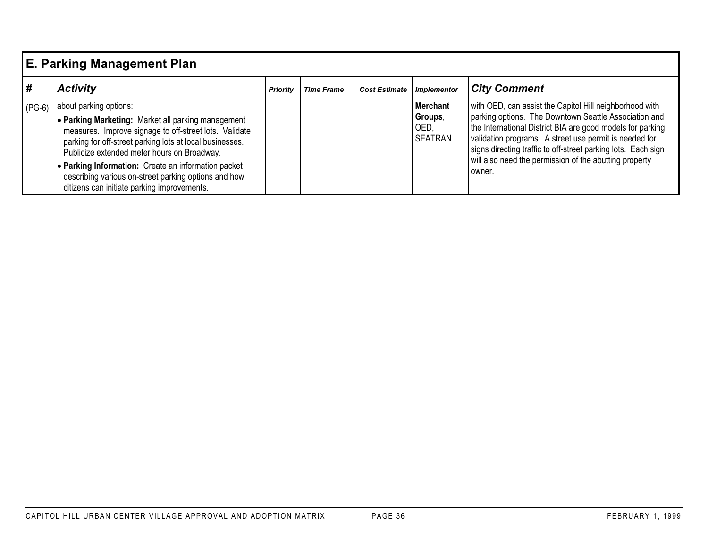|          | E. Parking Management Plan                                                                                                                                                                                                                                                                                                                                                                                      |                 |                   |                      |                                                      |                                                                                                                                                                                                                                                                                                                                                                               |  |  |  |  |
|----------|-----------------------------------------------------------------------------------------------------------------------------------------------------------------------------------------------------------------------------------------------------------------------------------------------------------------------------------------------------------------------------------------------------------------|-----------------|-------------------|----------------------|------------------------------------------------------|-------------------------------------------------------------------------------------------------------------------------------------------------------------------------------------------------------------------------------------------------------------------------------------------------------------------------------------------------------------------------------|--|--|--|--|
| #        | <b>Activity</b>                                                                                                                                                                                                                                                                                                                                                                                                 | <b>Priority</b> | <b>Time Frame</b> | <b>Cost Estimate</b> | <b>Implementor</b>                                   | <b>City Comment</b>                                                                                                                                                                                                                                                                                                                                                           |  |  |  |  |
| $(PG-6)$ | about parking options:<br>• Parking Marketing: Market all parking management<br>measures. Improve signage to off-street lots. Validate<br>parking for off-street parking lots at local businesses.<br>Publicize extended meter hours on Broadway.<br>• Parking Information: Create an information packet<br>describing various on-street parking options and how<br>citizens can initiate parking improvements. |                 |                   |                      | <b>Merchant</b><br>Groups,<br>OED.<br><b>SEATRAN</b> | with OED, can assist the Capitol Hill neighborhood with<br>parking options. The Downtown Seattle Association and<br>the International District BIA are good models for parking<br>validation programs. A street use permit is needed for<br>signs directing traffic to off-street parking lots. Each sign<br>will also need the permission of the abutting property<br>owner. |  |  |  |  |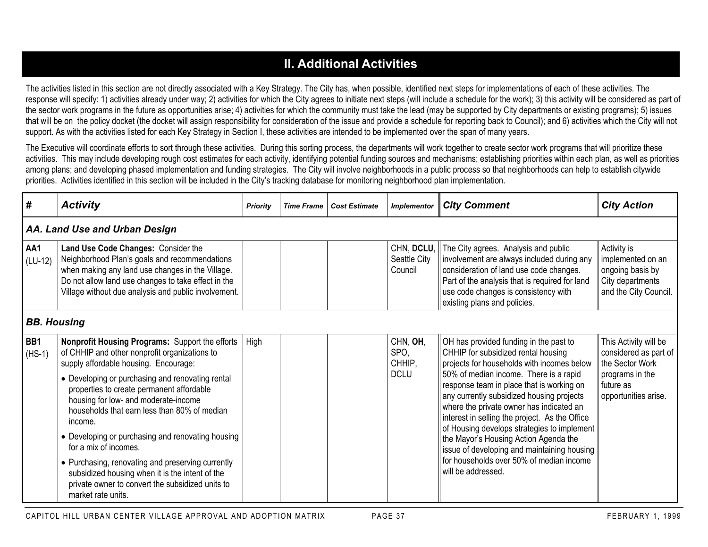## **II. Additional Activities**

The activities listed in this section are not directly associated with a Key Strategy. The City has, when possible, identified next steps for implementations of each of these activities. The response will specify: 1) activities already under way; 2) activities for which the City agrees to initiate next steps (will include a schedule for the work); 3) this activity will be considered as part of the sector work programs in the future as opportunities arise; 4) activities for which the community must take the lead (may be supported by City departments or existing programs); 5) issues that will be on the policy docket (the docket will assign responsibility for consideration of the issue and provide a schedule for reporting back to Council); and 6) activities which the City will not support. As with the activities listed for each Key Strategy in Section I, these activities are intended to be implemented over the span of many years.

The Executive will coordinate efforts to sort through these activities. During this sorting process, the departments will work together to create sector work programs that will prioritize these activities. This may include developing rough cost estimates for each activity, identifying potential funding sources and mechanisms; establishing priorities within each plan, as well as priorities among plans; and developing phased implementation and funding strategies. The City will involve neighborhoods in a public process so that neighborhoods can help to establish citywide priorities. Activities identified in this section will be included in the City's tracking database for monitoring neighborhood plan implementation.

| #                | <b>Activity</b>                                                                                                                                                                                                                                         | Priority | <b>Time Frame</b> | <b>Cost Estimate</b>       | <b>Implementor</b>                                                                                                          | <b>City Comment</b>                                                                                                                                                                                                                                                                                                    | <b>City Action</b>                                                                                |  |  |  |  |  |
|------------------|---------------------------------------------------------------------------------------------------------------------------------------------------------------------------------------------------------------------------------------------------------|----------|-------------------|----------------------------|-----------------------------------------------------------------------------------------------------------------------------|------------------------------------------------------------------------------------------------------------------------------------------------------------------------------------------------------------------------------------------------------------------------------------------------------------------------|---------------------------------------------------------------------------------------------------|--|--|--|--|--|
|                  | AA. Land Use and Urban Design                                                                                                                                                                                                                           |          |                   |                            |                                                                                                                             |                                                                                                                                                                                                                                                                                                                        |                                                                                                   |  |  |  |  |  |
| AA1<br>$(LU-12)$ | Land Use Code Changes: Consider the<br>Neighborhood Plan's goals and recommendations<br>when making any land use changes in the Village.<br>Do not allow land use changes to take effect in the<br>Village without due analysis and public involvement. |          |                   |                            | Seattle City<br>Council                                                                                                     | CHN, DCLU, The City agrees. Analysis and public<br>involvement are always included during any<br>consideration of land use code changes.<br>Part of the analysis that is required for land<br>use code changes is consistency with<br>existing plans and policies.                                                     | Activity is<br>implemented on an<br>ongoing basis by<br>City departments<br>and the City Council. |  |  |  |  |  |
|                  | <b>BB. Housing</b>                                                                                                                                                                                                                                      |          |                   |                            |                                                                                                                             |                                                                                                                                                                                                                                                                                                                        |                                                                                                   |  |  |  |  |  |
| BB1<br>$(HS-1)$  | Nonprofit Housing Programs: Support the efforts<br>of CHHIP and other nonprofit organizations to<br>supply affordable housing. Encourage:                                                                                                               | High     |                   | CHN, OH,<br>SPO,<br>CHHIP, | OH has provided funding in the past to<br>CHHIP for subsidized rental housing<br>projects for households with incomes below | This Activity will be<br>considered as part of<br>the Sector Work                                                                                                                                                                                                                                                      |                                                                                                   |  |  |  |  |  |
|                  | • Developing or purchasing and renovating rental<br>properties to create permanent affordable<br>housing for low- and moderate-income<br>households that earn less than 80% of median<br>income.<br>• Developing or purchasing and renovating housing   |          |                   |                            | <b>DCLU</b>                                                                                                                 | 50% of median income. There is a rapid<br>response team in place that is working on<br>any currently subsidized housing projects<br>where the private owner has indicated an<br>interest in selling the project. As the Office<br>of Housing develops strategies to implement<br>the Mayor's Housing Action Agenda the | programs in the<br>future as<br>opportunities arise.                                              |  |  |  |  |  |
|                  | for a mix of incomes.<br>• Purchasing, renovating and preserving currently<br>subsidized housing when it is the intent of the<br>private owner to convert the subsidized units to<br>market rate units.                                                 |          |                   |                            |                                                                                                                             | issue of developing and maintaining housing<br>for households over 50% of median income<br>will be addressed.                                                                                                                                                                                                          |                                                                                                   |  |  |  |  |  |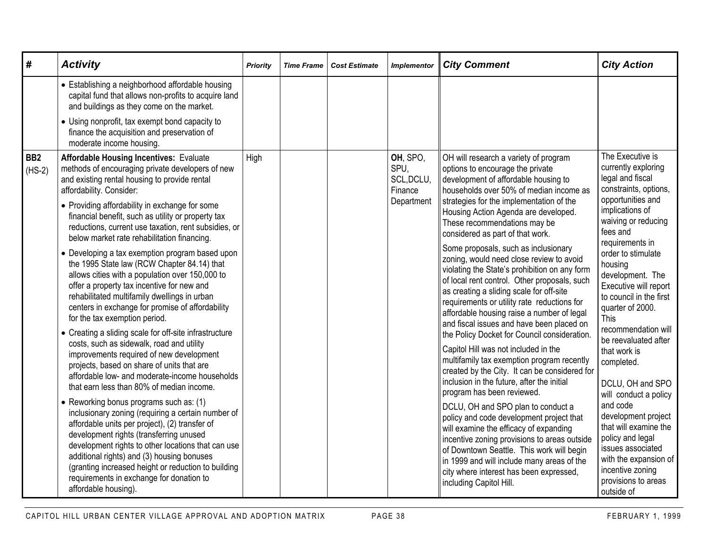| #                           | <b>Activity</b>                                                                                                                                                                                                                                                                                                                                                                                                                                                                                                                                                                                                                                                                                                                                                                                                                                                                                                                                                                                                                        | Priority | <b>Time Frame</b> | <b>Cost Estimate</b> | <b>Implementor</b>                                      | <b>City Comment</b>                                                                                                                                                                                                                                                                                                                                                                                                                                                                                                                                                                                                                                                                                                                                                                                                                                                                                                                  | <b>City Action</b>                                                                                                                                                                                                                                                                                                                                                                                                       |
|-----------------------------|----------------------------------------------------------------------------------------------------------------------------------------------------------------------------------------------------------------------------------------------------------------------------------------------------------------------------------------------------------------------------------------------------------------------------------------------------------------------------------------------------------------------------------------------------------------------------------------------------------------------------------------------------------------------------------------------------------------------------------------------------------------------------------------------------------------------------------------------------------------------------------------------------------------------------------------------------------------------------------------------------------------------------------------|----------|-------------------|----------------------|---------------------------------------------------------|--------------------------------------------------------------------------------------------------------------------------------------------------------------------------------------------------------------------------------------------------------------------------------------------------------------------------------------------------------------------------------------------------------------------------------------------------------------------------------------------------------------------------------------------------------------------------------------------------------------------------------------------------------------------------------------------------------------------------------------------------------------------------------------------------------------------------------------------------------------------------------------------------------------------------------------|--------------------------------------------------------------------------------------------------------------------------------------------------------------------------------------------------------------------------------------------------------------------------------------------------------------------------------------------------------------------------------------------------------------------------|
|                             | • Establishing a neighborhood affordable housing<br>capital fund that allows non-profits to acquire land<br>and buildings as they come on the market.                                                                                                                                                                                                                                                                                                                                                                                                                                                                                                                                                                                                                                                                                                                                                                                                                                                                                  |          |                   |                      |                                                         |                                                                                                                                                                                                                                                                                                                                                                                                                                                                                                                                                                                                                                                                                                                                                                                                                                                                                                                                      |                                                                                                                                                                                                                                                                                                                                                                                                                          |
|                             | • Using nonprofit, tax exempt bond capacity to<br>finance the acquisition and preservation of<br>moderate income housing.                                                                                                                                                                                                                                                                                                                                                                                                                                                                                                                                                                                                                                                                                                                                                                                                                                                                                                              |          |                   |                      |                                                         |                                                                                                                                                                                                                                                                                                                                                                                                                                                                                                                                                                                                                                                                                                                                                                                                                                                                                                                                      |                                                                                                                                                                                                                                                                                                                                                                                                                          |
| BB <sub>2</sub><br>$(HS-2)$ | <b>Affordable Housing Incentives: Evaluate</b><br>methods of encouraging private developers of new<br>and existing rental housing to provide rental<br>affordability. Consider:<br>• Providing affordability in exchange for some<br>financial benefit, such as utility or property tax<br>reductions, current use taxation, rent subsidies, or<br>below market rate rehabilitation financing.<br>• Developing a tax exemption program based upon<br>the 1995 State law (RCW Chapter 84.14) that<br>allows cities with a population over 150,000 to<br>offer a property tax incentive for new and<br>rehabilitated multifamily dwellings in urban<br>centers in exchange for promise of affordability<br>for the tax exemption period.<br>• Creating a sliding scale for off-site infrastructure<br>costs, such as sidewalk, road and utility<br>improvements required of new development<br>projects, based on share of units that are<br>affordable low- and moderate-income households<br>that earn less than 80% of median income. | High     |                   |                      | OH, SPO,<br>SPU,<br>SCL, DCLU,<br>Finance<br>Department | OH will research a variety of program<br>options to encourage the private<br>development of affordable housing to<br>households over 50% of median income as<br>strategies for the implementation of the<br>Housing Action Agenda are developed.<br>These recommendations may be<br>considered as part of that work.<br>Some proposals, such as inclusionary<br>zoning, would need close review to avoid<br>violating the State's prohibition on any form<br>of local rent control. Other proposals, such<br>as creating a sliding scale for off-site<br>requirements or utility rate reductions for<br>affordable housing raise a number of legal<br>and fiscal issues and have been placed on<br>the Policy Docket for Council consideration.<br>Capitol Hill was not included in the<br>multifamily tax exemption program recently<br>created by the City. It can be considered for<br>inclusion in the future, after the initial | The Executive is<br>currently exploring<br>legal and fiscal<br>constraints, options,<br>opportunities and<br>implications of<br>waiving or reducing<br>fees and<br>requirements in<br>order to stimulate<br>housing<br>development. The<br>Executive will report<br>to council in the first<br>quarter of 2000.<br>This<br>recommendation will<br>be reevaluated after<br>that work is<br>completed.<br>DCLU, OH and SPO |
|                             | • Reworking bonus programs such as: (1)<br>inclusionary zoning (requiring a certain number of<br>affordable units per project), (2) transfer of<br>development rights (transferring unused<br>development rights to other locations that can use<br>additional rights) and (3) housing bonuses<br>(granting increased height or reduction to building<br>requirements in exchange for donation to<br>affordable housing).                                                                                                                                                                                                                                                                                                                                                                                                                                                                                                                                                                                                              |          |                   |                      |                                                         | program has been reviewed.<br>DCLU, OH and SPO plan to conduct a<br>policy and code development project that<br>will examine the efficacy of expanding<br>incentive zoning provisions to areas outside<br>of Downtown Seattle. This work will begin<br>in 1999 and will include many areas of the<br>city where interest has been expressed,<br>including Capitol Hill.                                                                                                                                                                                                                                                                                                                                                                                                                                                                                                                                                              | will conduct a policy<br>and code<br>development project<br>that will examine the<br>policy and legal<br>issues associated<br>with the expansion of<br>incentive zoning<br>provisions to areas<br>outside of                                                                                                                                                                                                             |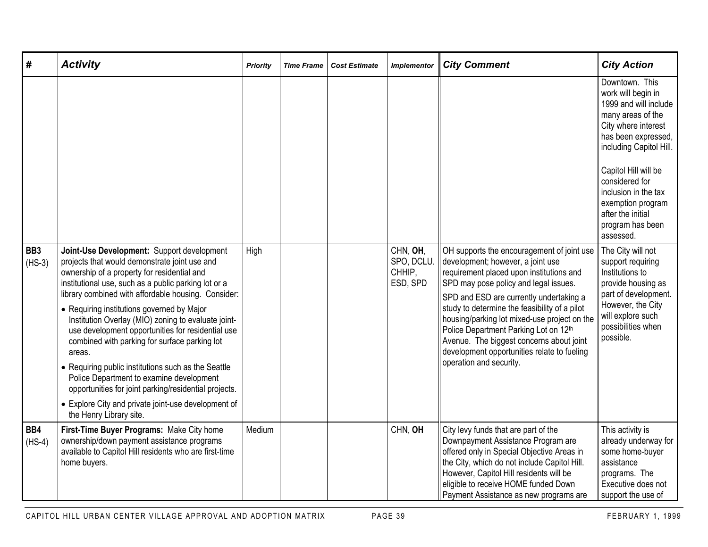| #                           | <b>Activity</b>                                                                                                                                                                                                                                                                                                                                                                                                                                                                                                                                                                                                                                                                                                              | <b>Priority</b> | <b>Time Frame</b> | <b>Cost Estimate</b> | <b>Implementor</b>                           | <b>City Comment</b>                                                                                                                                                                                                                                                                                                                                                                                                                                                             | <b>City Action</b>                                                                                                                                                                                                                                                                                       |
|-----------------------------|------------------------------------------------------------------------------------------------------------------------------------------------------------------------------------------------------------------------------------------------------------------------------------------------------------------------------------------------------------------------------------------------------------------------------------------------------------------------------------------------------------------------------------------------------------------------------------------------------------------------------------------------------------------------------------------------------------------------------|-----------------|-------------------|----------------------|----------------------------------------------|---------------------------------------------------------------------------------------------------------------------------------------------------------------------------------------------------------------------------------------------------------------------------------------------------------------------------------------------------------------------------------------------------------------------------------------------------------------------------------|----------------------------------------------------------------------------------------------------------------------------------------------------------------------------------------------------------------------------------------------------------------------------------------------------------|
|                             |                                                                                                                                                                                                                                                                                                                                                                                                                                                                                                                                                                                                                                                                                                                              |                 |                   |                      |                                              |                                                                                                                                                                                                                                                                                                                                                                                                                                                                                 | Downtown. This<br>work will begin in<br>1999 and will include<br>many areas of the<br>City where interest<br>has been expressed,<br>including Capitol Hill.<br>Capitol Hill will be<br>considered for<br>inclusion in the tax<br>exemption program<br>after the initial<br>program has been<br>assessed. |
| BB <sub>3</sub><br>$(HS-3)$ | Joint-Use Development: Support development<br>projects that would demonstrate joint use and<br>ownership of a property for residential and<br>institutional use, such as a public parking lot or a<br>library combined with affordable housing. Consider:<br>• Requiring institutions governed by Major<br>Institution Overlay (MIO) zoning to evaluate joint-<br>use development opportunities for residential use<br>combined with parking for surface parking lot<br>areas.<br>• Requiring public institutions such as the Seattle<br>Police Department to examine development<br>opportunities for joint parking/residential projects.<br>• Explore City and private joint-use development of<br>the Henry Library site. | High            |                   |                      | CHN, OH,<br>SPO, DCLU.<br>CHHIP,<br>ESD, SPD | OH supports the encouragement of joint use<br>development; however, a joint use<br>requirement placed upon institutions and<br>SPD may pose policy and legal issues.<br>SPD and ESD are currently undertaking a<br>study to determine the feasibility of a pilot<br>housing/parking lot mixed-use project on the<br>Police Department Parking Lot on 12th<br>Avenue. The biggest concerns about joint<br>development opportunities relate to fueling<br>operation and security. | The City will not<br>support requiring<br>Institutions to<br>provide housing as<br>part of development.<br>However, the City<br>will explore such<br>possibilities when<br>possible.                                                                                                                     |
| BB4<br>$(HS-4)$             | First-Time Buyer Programs: Make City home<br>ownership/down payment assistance programs<br>available to Capitol Hill residents who are first-time<br>home buyers.                                                                                                                                                                                                                                                                                                                                                                                                                                                                                                                                                            | Medium          |                   |                      | CHN, OH                                      | City levy funds that are part of the<br>Downpayment Assistance Program are<br>offered only in Special Objective Areas in<br>the City, which do not include Capitol Hill.<br>However, Capitol Hill residents will be<br>eligible to receive HOME funded Down<br>Payment Assistance as new programs are                                                                                                                                                                           | This activity is<br>already underway for<br>some home-buyer<br>assistance<br>programs. The<br>Executive does not<br>support the use of                                                                                                                                                                   |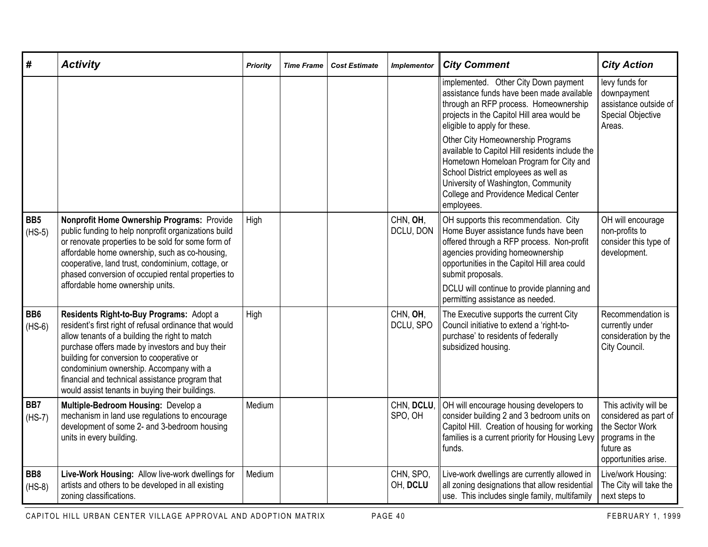| #                           | <b>Activity</b>                                                                                                                                                                                                                                                                                                                                                                                       | <b>Priority</b> | <b>Time Frame</b> | <b>Cost Estimate</b> | <b>Implementor</b>    | <b>City Comment</b>                                                                                                                                                                                                                                                                | <b>City Action</b>                                                                                                        |
|-----------------------------|-------------------------------------------------------------------------------------------------------------------------------------------------------------------------------------------------------------------------------------------------------------------------------------------------------------------------------------------------------------------------------------------------------|-----------------|-------------------|----------------------|-----------------------|------------------------------------------------------------------------------------------------------------------------------------------------------------------------------------------------------------------------------------------------------------------------------------|---------------------------------------------------------------------------------------------------------------------------|
|                             |                                                                                                                                                                                                                                                                                                                                                                                                       |                 |                   |                      |                       | implemented. Other City Down payment<br>assistance funds have been made available<br>through an RFP process. Homeownership<br>projects in the Capitol Hill area would be<br>eligible to apply for these.                                                                           | levy funds for<br>downpayment<br>assistance outside of<br><b>Special Objective</b><br>Areas.                              |
|                             |                                                                                                                                                                                                                                                                                                                                                                                                       |                 |                   |                      |                       | Other City Homeownership Programs<br>available to Capitol Hill residents include the<br>Hometown Homeloan Program for City and<br>School District employees as well as<br>University of Washington, Community<br>College and Providence Medical Center<br>employees.               |                                                                                                                           |
| BB <sub>5</sub><br>$(HS-5)$ | Nonprofit Home Ownership Programs: Provide<br>public funding to help nonprofit organizations build<br>or renovate properties to be sold for some form of<br>affordable home ownership, such as co-housing,<br>cooperative, land trust, condominium, cottage, or<br>phased conversion of occupied rental properties to<br>affordable home ownership units.                                             | High            |                   |                      | CHN, OH,<br>DCLU, DON | OH supports this recommendation. City<br>Home Buyer assistance funds have been<br>offered through a RFP process. Non-profit<br>agencies providing homeownership<br>opportunities in the Capitol Hill area could<br>submit proposals.<br>DCLU will continue to provide planning and | OH will encourage<br>non-profits to<br>consider this type of<br>development.                                              |
|                             |                                                                                                                                                                                                                                                                                                                                                                                                       |                 |                   |                      |                       | permitting assistance as needed.                                                                                                                                                                                                                                                   |                                                                                                                           |
| BB <sub>6</sub><br>$(HS-6)$ | Residents Right-to-Buy Programs: Adopt a<br>resident's first right of refusal ordinance that would<br>allow tenants of a building the right to match<br>purchase offers made by investors and buy their<br>building for conversion to cooperative or<br>condominium ownership. Accompany with a<br>financial and technical assistance program that<br>would assist tenants in buying their buildings. | High            |                   |                      | CHN, OH,<br>DCLU, SPO | The Executive supports the current City<br>Council initiative to extend a 'right-to-<br>purchase' to residents of federally<br>subsidized housing.                                                                                                                                 | Recommendation is<br>currently under<br>consideration by the<br>City Council.                                             |
| BB7<br>$(HS-7)$             | Multiple-Bedroom Housing: Develop a<br>mechanism in land use regulations to encourage<br>development of some 2- and 3-bedroom housing<br>units in every building.                                                                                                                                                                                                                                     | Medium          |                   |                      | CHN, DCLU,<br>SPO, OH | OH will encourage housing developers to<br>consider building 2 and 3 bedroom units on<br>Capitol Hill. Creation of housing for working<br>families is a current priority for Housing Levy<br>funds.                                                                                | This activity will be<br>considered as part of<br>the Sector Work<br>programs in the<br>future as<br>opportunities arise. |
| BB8<br>$(HS-8)$             | Live-Work Housing: Allow live-work dwellings for<br>artists and others to be developed in all existing<br>zoning classifications.                                                                                                                                                                                                                                                                     | Medium          |                   |                      | CHN, SPO,<br>OH, DCLU | Live-work dwellings are currently allowed in<br>all zoning designations that allow residential<br>use. This includes single family, multifamily                                                                                                                                    | Live/work Housing:<br>The City will take the<br>next steps to                                                             |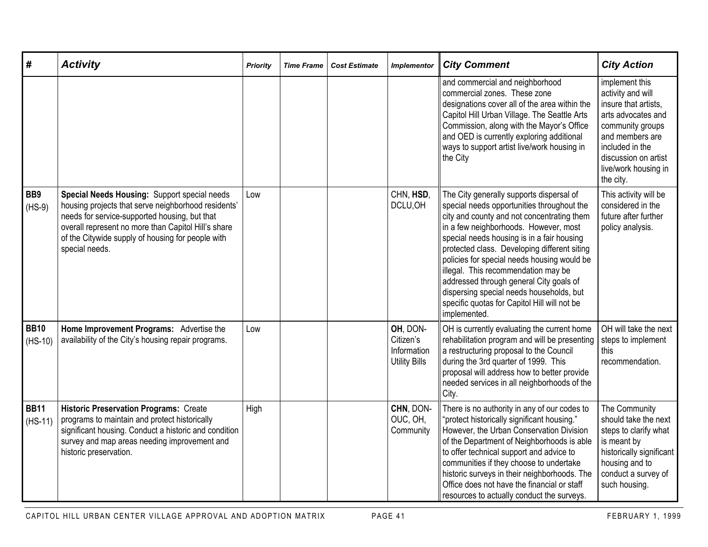| #                           | <b>Activity</b>                                                                                                                                                                                                                                                                    | <b>Priority</b> | <b>Time Frame</b> | Cost Estimate | <b>Implementor</b>                                           | <b>City Comment</b>                                                                                                                                                                                                                                                                                                                                                                                                                                                                                                      | <b>City Action</b>                                                                                                                                                                                       |
|-----------------------------|------------------------------------------------------------------------------------------------------------------------------------------------------------------------------------------------------------------------------------------------------------------------------------|-----------------|-------------------|---------------|--------------------------------------------------------------|--------------------------------------------------------------------------------------------------------------------------------------------------------------------------------------------------------------------------------------------------------------------------------------------------------------------------------------------------------------------------------------------------------------------------------------------------------------------------------------------------------------------------|----------------------------------------------------------------------------------------------------------------------------------------------------------------------------------------------------------|
|                             |                                                                                                                                                                                                                                                                                    |                 |                   |               |                                                              | and commercial and neighborhood<br>commercial zones. These zone<br>designations cover all of the area within the<br>Capitol Hill Urban Village. The Seattle Arts<br>Commission, along with the Mayor's Office<br>and OED is currently exploring additional<br>ways to support artist live/work housing in<br>the City                                                                                                                                                                                                    | implement this<br>activity and will<br>insure that artists,<br>arts advocates and<br>community groups<br>and members are<br>included in the<br>discussion on artist<br>live/work housing in<br>the city. |
| BB <sub>9</sub><br>$(HS-9)$ | Special Needs Housing: Support special needs<br>housing projects that serve neighborhood residents'<br>needs for service-supported housing, but that<br>overall represent no more than Capitol Hill's share<br>of the Citywide supply of housing for people with<br>special needs. | Low             |                   |               | CHN, HSD,<br>DCLU, OH                                        | The City generally supports dispersal of<br>special needs opportunities throughout the<br>city and county and not concentrating them<br>in a few neighborhoods. However, most<br>special needs housing is in a fair housing<br>protected class. Developing different siting<br>policies for special needs housing would be<br>illegal. This recommendation may be<br>addressed through general City goals of<br>dispersing special needs households, but<br>specific quotas for Capitol Hill will not be<br>implemented. | This activity will be<br>considered in the<br>future after further<br>policy analysis.                                                                                                                   |
| <b>BB10</b><br>$(HS-10)$    | Home Improvement Programs: Advertise the<br>availability of the City's housing repair programs.                                                                                                                                                                                    | Low             |                   |               | OH, DON-<br>Citizen's<br>Information<br><b>Utility Bills</b> | OH is currently evaluating the current home<br>rehabilitation program and will be presenting<br>a restructuring proposal to the Council<br>during the 3rd quarter of 1999. This<br>proposal will address how to better provide<br>needed services in all neighborhoods of the<br>City.                                                                                                                                                                                                                                   | OH will take the next<br>steps to implement<br>this<br>recommendation.                                                                                                                                   |
| <b>BB11</b><br>$(HS-11)$    | <b>Historic Preservation Programs: Create</b><br>programs to maintain and protect historically<br>significant housing. Conduct a historic and condition<br>survey and map areas needing improvement and<br>historic preservation.                                                  | High            |                   |               | CHN, DON-<br>OUC, OH,<br>Community                           | There is no authority in any of our codes to<br>"protect historically significant housing."<br>However, the Urban Conservation Division<br>of the Department of Neighborhoods is able<br>to offer technical support and advice to<br>communities if they choose to undertake<br>historic surveys in their neighborhoods. The<br>Office does not have the financial or staff<br>resources to actually conduct the surveys.                                                                                                | The Community<br>should take the next<br>steps to clarify what<br>is meant by<br>historically significant<br>housing and to<br>conduct a survey of<br>such housing.                                      |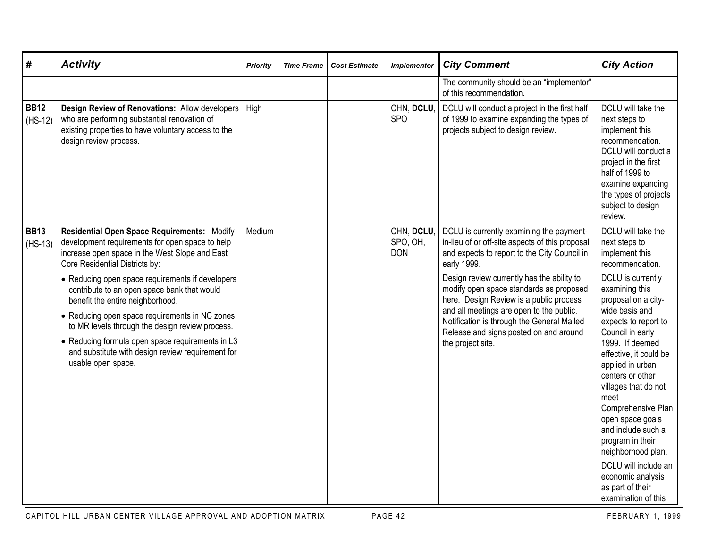| #                        | <b>Activity</b>                                                                                                                                                                                                                                                                                                                                                                                                                                                                                                                                               | <b>Priority</b> | <b>Time Frame</b> | <b>Cost Estimate</b> | <b>Implementor</b>                   | <b>City Comment</b>                                                                                                                                                                                                                                                                                                                                                                                                                                     | <b>City Action</b>                                                                                                                                                                                                                                                                                                                                                                                                                                                                                                          |
|--------------------------|---------------------------------------------------------------------------------------------------------------------------------------------------------------------------------------------------------------------------------------------------------------------------------------------------------------------------------------------------------------------------------------------------------------------------------------------------------------------------------------------------------------------------------------------------------------|-----------------|-------------------|----------------------|--------------------------------------|---------------------------------------------------------------------------------------------------------------------------------------------------------------------------------------------------------------------------------------------------------------------------------------------------------------------------------------------------------------------------------------------------------------------------------------------------------|-----------------------------------------------------------------------------------------------------------------------------------------------------------------------------------------------------------------------------------------------------------------------------------------------------------------------------------------------------------------------------------------------------------------------------------------------------------------------------------------------------------------------------|
|                          |                                                                                                                                                                                                                                                                                                                                                                                                                                                                                                                                                               |                 |                   |                      |                                      | The community should be an "implementor"<br>of this recommendation.                                                                                                                                                                                                                                                                                                                                                                                     |                                                                                                                                                                                                                                                                                                                                                                                                                                                                                                                             |
| <b>BB12</b><br>$(HS-12)$ | Design Review of Renovations: Allow developers<br>who are performing substantial renovation of<br>existing properties to have voluntary access to the<br>design review process.                                                                                                                                                                                                                                                                                                                                                                               | High            |                   |                      | CHN, DCLU,<br><b>SPO</b>             | DCLU will conduct a project in the first half<br>of 1999 to examine expanding the types of<br>projects subject to design review.                                                                                                                                                                                                                                                                                                                        | DCLU will take the<br>next steps to<br>implement this<br>recommendation.<br>DCLU will conduct a<br>project in the first<br>half of 1999 to<br>examine expanding<br>the types of projects<br>subject to design<br>review.                                                                                                                                                                                                                                                                                                    |
| <b>BB13</b><br>$(HS-13)$ | Residential Open Space Requirements: Modify<br>development requirements for open space to help<br>increase open space in the West Slope and East<br>Core Residential Districts by:<br>• Reducing open space requirements if developers<br>contribute to an open space bank that would<br>benefit the entire neighborhood.<br>• Reducing open space requirements in NC zones<br>to MR levels through the design review process.<br>• Reducing formula open space requirements in L3<br>and substitute with design review requirement for<br>usable open space. | Medium          |                   |                      | CHN, DCLU,<br>SPO, OH,<br><b>DON</b> | DCLU is currently examining the payment-<br>in-lieu of or off-site aspects of this proposal<br>and expects to report to the City Council in<br>early 1999.<br>Design review currently has the ability to<br>modify open space standards as proposed<br>here. Design Review is a public process<br>and all meetings are open to the public.<br>Notification is through the General Mailed<br>Release and signs posted on and around<br>the project site. | DCLU will take the<br>next steps to<br>implement this<br>recommendation.<br>DCLU is currently<br>examining this<br>proposal on a city-<br>wide basis and<br>expects to report to<br>Council in early<br>1999. If deemed<br>effective, it could be<br>applied in urban<br>centers or other<br>villages that do not<br>meet<br>Comprehensive Plan<br>open space goals<br>and include such a<br>program in their<br>neighborhood plan.<br>DCLU will include an<br>economic analysis<br>as part of their<br>examination of this |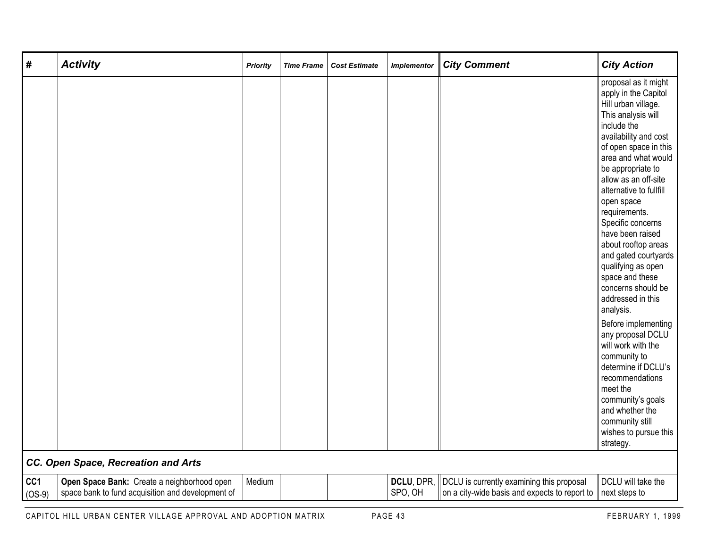| #               | <b>Activity</b>                                                                                  | <b>Priority</b> | <b>Time Frame</b> | <b>Cost Estimate</b> | <b>Implementor</b>    | <b>City Comment</b>                                                                        | <b>City Action</b>                                                                                                                                                                                                                                                                                                                                                                                                                                                                                                                                                                                                                                                                                                         |
|-----------------|--------------------------------------------------------------------------------------------------|-----------------|-------------------|----------------------|-----------------------|--------------------------------------------------------------------------------------------|----------------------------------------------------------------------------------------------------------------------------------------------------------------------------------------------------------------------------------------------------------------------------------------------------------------------------------------------------------------------------------------------------------------------------------------------------------------------------------------------------------------------------------------------------------------------------------------------------------------------------------------------------------------------------------------------------------------------------|
|                 |                                                                                                  |                 |                   |                      |                       |                                                                                            | proposal as it might<br>apply in the Capitol<br>Hill urban village.<br>This analysis will<br>include the<br>availability and cost<br>of open space in this<br>area and what would<br>be appropriate to<br>allow as an off-site<br>alternative to fullfill<br>open space<br>requirements.<br>Specific concerns<br>have been raised<br>about rooftop areas<br>and gated courtyards<br>qualifying as open<br>space and these<br>concerns should be<br>addressed in this<br>analysis.<br>Before implementing<br>any proposal DCLU<br>will work with the<br>community to<br>determine if DCLU's<br>recommendations<br>meet the<br>community's goals<br>and whether the<br>community still<br>wishes to pursue this<br>strategy. |
|                 | CC. Open Space, Recreation and Arts                                                              |                 |                   |                      |                       |                                                                                            |                                                                                                                                                                                                                                                                                                                                                                                                                                                                                                                                                                                                                                                                                                                            |
| CC1<br>$(OS-9)$ | Open Space Bank: Create a neighborhood open<br>space bank to fund acquisition and development of | Medium          |                   |                      | DCLU, DPR,<br>SPO, OH | DCLU is currently examining this proposal<br>on a city-wide basis and expects to report to | DCLU will take the<br>next steps to                                                                                                                                                                                                                                                                                                                                                                                                                                                                                                                                                                                                                                                                                        |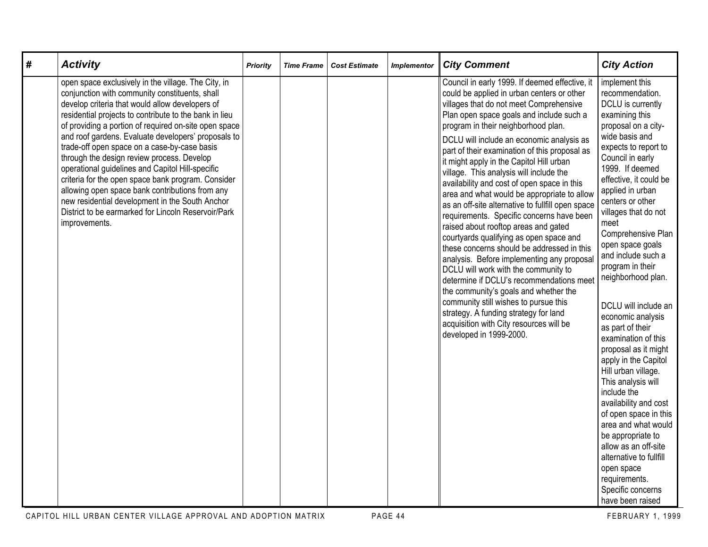| # | <b>Activity</b>                                                                                                                                                                                                                                                                                                                                                                                                                                                                                                                                                                                                                                                                                                          | <b>Priority</b> | <b>Time Frame</b> | <b>Cost Estimate</b> | <b>Implementor</b> | <b>City Comment</b>                                                                                                                                                                                                                                                                                                                                                                                                                                                                                                                                                                                                                                                                                                                                                                                                                                                                                                                                                                                                                                                                 | <b>City Action</b>                                                                                                                                                                                                                                                                                                                                                                                                                                                                                                                                                                                                                                                                                                                                                                                                        |
|---|--------------------------------------------------------------------------------------------------------------------------------------------------------------------------------------------------------------------------------------------------------------------------------------------------------------------------------------------------------------------------------------------------------------------------------------------------------------------------------------------------------------------------------------------------------------------------------------------------------------------------------------------------------------------------------------------------------------------------|-----------------|-------------------|----------------------|--------------------|-------------------------------------------------------------------------------------------------------------------------------------------------------------------------------------------------------------------------------------------------------------------------------------------------------------------------------------------------------------------------------------------------------------------------------------------------------------------------------------------------------------------------------------------------------------------------------------------------------------------------------------------------------------------------------------------------------------------------------------------------------------------------------------------------------------------------------------------------------------------------------------------------------------------------------------------------------------------------------------------------------------------------------------------------------------------------------------|---------------------------------------------------------------------------------------------------------------------------------------------------------------------------------------------------------------------------------------------------------------------------------------------------------------------------------------------------------------------------------------------------------------------------------------------------------------------------------------------------------------------------------------------------------------------------------------------------------------------------------------------------------------------------------------------------------------------------------------------------------------------------------------------------------------------------|
|   | open space exclusively in the village. The City, in<br>conjunction with community constituents, shall<br>develop criteria that would allow developers of<br>residential projects to contribute to the bank in lieu<br>of providing a portion of required on-site open space<br>and roof gardens. Evaluate developers' proposals to<br>trade-off open space on a case-by-case basis<br>through the design review process. Develop<br>operational guidelines and Capitol Hill-specific<br>criteria for the open space bank program. Consider<br>allowing open space bank contributions from any<br>new residential development in the South Anchor<br>District to be earmarked for Lincoln Reservoir/Park<br>improvements. |                 |                   |                      |                    | Council in early 1999. If deemed effective, it<br>could be applied in urban centers or other<br>villages that do not meet Comprehensive<br>Plan open space goals and include such a<br>program in their neighborhood plan.<br>DCLU will include an economic analysis as<br>part of their examination of this proposal as<br>it might apply in the Capitol Hill urban<br>village. This analysis will include the<br>availability and cost of open space in this<br>area and what would be appropriate to allow<br>as an off-site alternative to fullfill open space<br>requirements. Specific concerns have been<br>raised about rooftop areas and gated<br>courtyards qualifying as open space and<br>these concerns should be addressed in this<br>analysis. Before implementing any proposal<br>DCLU will work with the community to<br>determine if DCLU's recommendations meet<br>the community's goals and whether the<br>community still wishes to pursue this<br>strategy. A funding strategy for land<br>acquisition with City resources will be<br>developed in 1999-2000. | implement this<br>recommendation.<br>DCLU is currently<br>examining this<br>proposal on a city-<br>wide basis and<br>expects to report to<br>Council in early<br>1999. If deemed<br>effective, it could be<br>applied in urban<br>centers or other<br>villages that do not<br>meet<br>Comprehensive Plan<br>open space goals<br>and include such a<br>program in their<br>neighborhood plan.<br>DCLU will include an<br>economic analysis<br>as part of their<br>examination of this<br>proposal as it might<br>apply in the Capitol<br>Hill urban village.<br>This analysis will<br>include the<br>availability and cost<br>of open space in this<br>area and what would<br>be appropriate to<br>allow as an off-site<br>alternative to fullfill<br>open space<br>requirements.<br>Specific concerns<br>have been raised |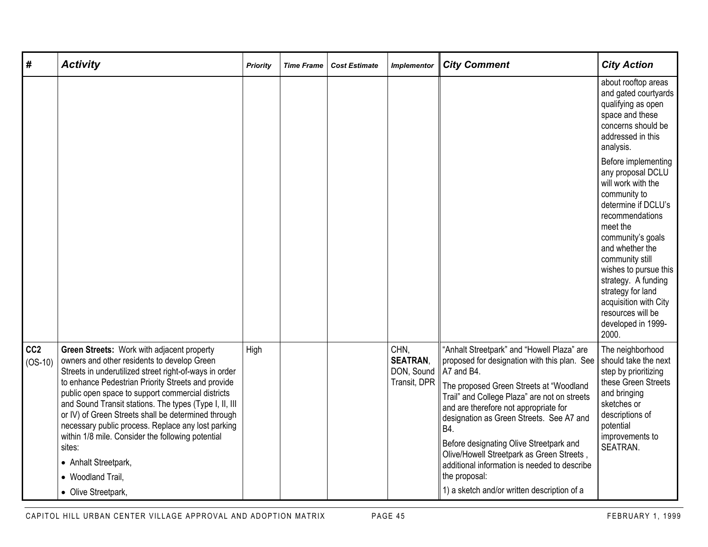| #                            | <b>Activity</b>                                                                                                                                                                                                                                                                                                                                                                                                                                                                                                                                                          | <b>Priority</b> | <b>Time Frame</b> | <b>Cost Estimate</b> | <b>Implementor</b>                                    | <b>City Comment</b>                                                                                                                                                                                                                                                                                                                                                                                                                                                                                     | <b>City Action</b>                                                                                                                                                                                                                                                                                                                                |
|------------------------------|--------------------------------------------------------------------------------------------------------------------------------------------------------------------------------------------------------------------------------------------------------------------------------------------------------------------------------------------------------------------------------------------------------------------------------------------------------------------------------------------------------------------------------------------------------------------------|-----------------|-------------------|----------------------|-------------------------------------------------------|---------------------------------------------------------------------------------------------------------------------------------------------------------------------------------------------------------------------------------------------------------------------------------------------------------------------------------------------------------------------------------------------------------------------------------------------------------------------------------------------------------|---------------------------------------------------------------------------------------------------------------------------------------------------------------------------------------------------------------------------------------------------------------------------------------------------------------------------------------------------|
|                              |                                                                                                                                                                                                                                                                                                                                                                                                                                                                                                                                                                          |                 |                   |                      |                                                       |                                                                                                                                                                                                                                                                                                                                                                                                                                                                                                         | about rooftop areas<br>and gated courtyards<br>qualifying as open<br>space and these<br>concerns should be<br>addressed in this<br>analysis.                                                                                                                                                                                                      |
|                              |                                                                                                                                                                                                                                                                                                                                                                                                                                                                                                                                                                          |                 |                   |                      |                                                       |                                                                                                                                                                                                                                                                                                                                                                                                                                                                                                         | Before implementing<br>any proposal DCLU<br>will work with the<br>community to<br>determine if DCLU's<br>recommendations<br>meet the<br>community's goals<br>and whether the<br>community still<br>wishes to pursue this<br>strategy. A funding<br>strategy for land<br>acquisition with City<br>resources will be<br>developed in 1999-<br>2000. |
| CC <sub>2</sub><br>$(OS-10)$ | Green Streets: Work with adjacent property<br>owners and other residents to develop Green<br>Streets in underutilized street right-of-ways in order<br>to enhance Pedestrian Priority Streets and provide<br>public open space to support commercial districts<br>and Sound Transit stations. The types (Type I, II, III<br>or IV) of Green Streets shall be determined through<br>necessary public process. Replace any lost parking<br>within 1/8 mile. Consider the following potential<br>sites:<br>• Anhalt Streetpark,<br>• Woodland Trail,<br>• Olive Streetpark, | High            |                   |                      | CHN,<br><b>SEATRAN,</b><br>DON, Sound<br>Transit, DPR | "Anhalt Streetpark" and "Howell Plaza" are<br>proposed for designation with this plan. See<br>A7 and B4.<br>The proposed Green Streets at "Woodland<br>Trail" and College Plaza" are not on streets<br>and are therefore not appropriate for<br>designation as Green Streets. See A7 and<br>B4.<br>Before designating Olive Streetpark and<br>Olive/Howell Streetpark as Green Streets,<br>additional information is needed to describe<br>the proposal:<br>1) a sketch and/or written description of a | The neighborhood<br>should take the next<br>step by prioritizing<br>these Green Streets<br>and bringing<br>sketches or<br>descriptions of<br>potential<br>improvements to<br>SEATRAN.                                                                                                                                                             |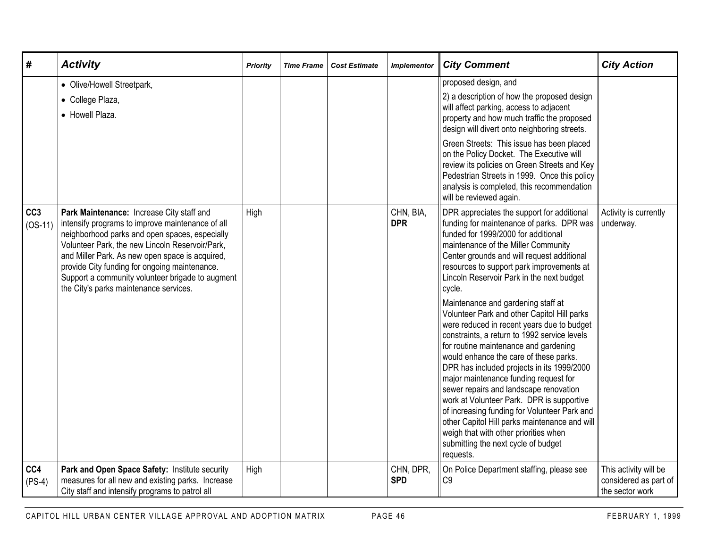| #                            | <b>Activity</b>                                                                                                                                                                                                                                                                                                                                                                                      | <b>Priority</b> | <b>Time Frame</b> | <b>Cost Estimate</b> | <b>Implementor</b>      | <b>City Comment</b>                                                                                                                                                                                                                                                                                                                                                                                                                                                                                                                                                                                                                                                                                                                                                                                                                                                                                                                                                       | <b>City Action</b>                                                |
|------------------------------|------------------------------------------------------------------------------------------------------------------------------------------------------------------------------------------------------------------------------------------------------------------------------------------------------------------------------------------------------------------------------------------------------|-----------------|-------------------|----------------------|-------------------------|---------------------------------------------------------------------------------------------------------------------------------------------------------------------------------------------------------------------------------------------------------------------------------------------------------------------------------------------------------------------------------------------------------------------------------------------------------------------------------------------------------------------------------------------------------------------------------------------------------------------------------------------------------------------------------------------------------------------------------------------------------------------------------------------------------------------------------------------------------------------------------------------------------------------------------------------------------------------------|-------------------------------------------------------------------|
|                              | • Olive/Howell Streetpark,<br>• College Plaza,<br>• Howell Plaza.                                                                                                                                                                                                                                                                                                                                    |                 |                   |                      |                         | proposed design, and<br>2) a description of how the proposed design<br>will affect parking, access to adjacent<br>property and how much traffic the proposed<br>design will divert onto neighboring streets.<br>Green Streets: This issue has been placed<br>on the Policy Docket. The Executive will<br>review its policies on Green Streets and Key<br>Pedestrian Streets in 1999. Once this policy<br>analysis is completed, this recommendation<br>will be reviewed again.                                                                                                                                                                                                                                                                                                                                                                                                                                                                                            |                                                                   |
| CC <sub>3</sub><br>$(OS-11)$ | Park Maintenance: Increase City staff and<br>intensify programs to improve maintenance of all<br>neighborhood parks and open spaces, especially<br>Volunteer Park, the new Lincoln Reservoir/Park,<br>and Miller Park. As new open space is acquired,<br>provide City funding for ongoing maintenance.<br>Support a community volunteer brigade to augment<br>the City's parks maintenance services. | High            |                   |                      | CHN, BIA,<br><b>DPR</b> | DPR appreciates the support for additional<br>funding for maintenance of parks. DPR was<br>funded for 1999/2000 for additional<br>maintenance of the Miller Community<br>Center grounds and will request additional<br>resources to support park improvements at<br>Lincoln Reservoir Park in the next budget<br>cycle.<br>Maintenance and gardening staff at<br>Volunteer Park and other Capitol Hill parks<br>were reduced in recent years due to budget<br>constraints, a return to 1992 service levels<br>for routine maintenance and gardening<br>would enhance the care of these parks.<br>DPR has included projects in its 1999/2000<br>major maintenance funding request for<br>sewer repairs and landscape renovation<br>work at Volunteer Park. DPR is supportive<br>of increasing funding for Volunteer Park and<br>other Capitol Hill parks maintenance and will<br>weigh that with other priorities when<br>submitting the next cycle of budget<br>requests. | Activity is currently<br>underway.                                |
| CC4<br>$(PS-4)$              | Park and Open Space Safety: Institute security<br>measures for all new and existing parks. Increase<br>City staff and intensify programs to patrol all                                                                                                                                                                                                                                               | High            |                   |                      | CHN, DPR,<br><b>SPD</b> | On Police Department staffing, please see<br>C <sub>9</sub>                                                                                                                                                                                                                                                                                                                                                                                                                                                                                                                                                                                                                                                                                                                                                                                                                                                                                                               | This activity will be<br>considered as part of<br>the sector work |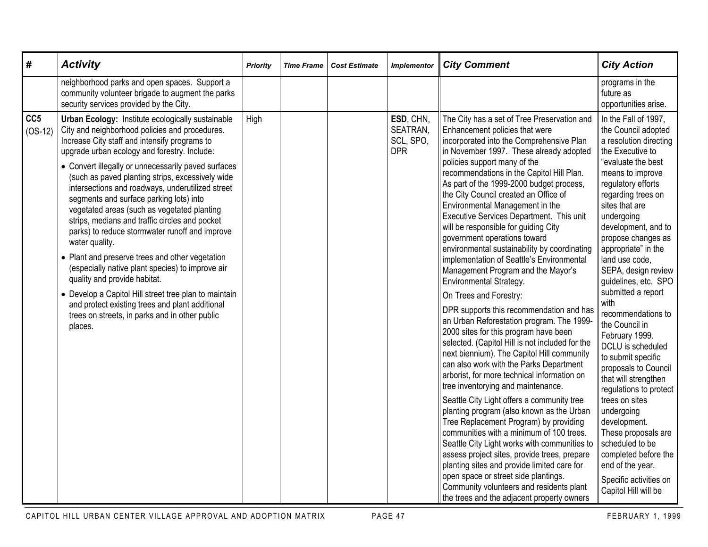| #                            | <b>Activity</b>                                                                                                                                                                                                                                                                                                                                                             | Priority | <b>Time Frame</b> | <b>Cost Estimate</b> | <b>Implementor</b>                               | <b>City Comment</b>                                                                                                                                                                                                                                                                                                                                                                                                                                            | <b>City Action</b>                                                                                                                                                                                        |
|------------------------------|-----------------------------------------------------------------------------------------------------------------------------------------------------------------------------------------------------------------------------------------------------------------------------------------------------------------------------------------------------------------------------|----------|-------------------|----------------------|--------------------------------------------------|----------------------------------------------------------------------------------------------------------------------------------------------------------------------------------------------------------------------------------------------------------------------------------------------------------------------------------------------------------------------------------------------------------------------------------------------------------------|-----------------------------------------------------------------------------------------------------------------------------------------------------------------------------------------------------------|
|                              | neighborhood parks and open spaces. Support a<br>community volunteer brigade to augment the parks<br>security services provided by the City.                                                                                                                                                                                                                                |          |                   |                      |                                                  |                                                                                                                                                                                                                                                                                                                                                                                                                                                                | programs in the<br>future as<br>opportunities arise.                                                                                                                                                      |
| CC <sub>5</sub><br>$(OS-12)$ | Urban Ecology: Institute ecologically sustainable<br>City and neighborhood policies and procedures.<br>Increase City staff and intensify programs to<br>upgrade urban ecology and forestry. Include:                                                                                                                                                                        | High     |                   |                      | ESD, CHN,<br>SEATRAN,<br>SCL, SPO,<br><b>DPR</b> | The City has a set of Tree Preservation and<br>Enhancement policies that were<br>incorporated into the Comprehensive Plan<br>in November 1997. These already adopted                                                                                                                                                                                                                                                                                           | In the Fall of 1997,<br>the Council adopted<br>a resolution directing<br>the Executive to                                                                                                                 |
|                              | • Convert illegally or unnecessarily paved surfaces<br>(such as paved planting strips, excessively wide<br>intersections and roadways, underutilized street<br>segments and surface parking lots) into<br>vegetated areas (such as vegetated planting<br>strips, medians and traffic circles and pocket<br>parks) to reduce stormwater runoff and improve<br>water quality. |          |                   |                      |                                                  | policies support many of the<br>recommendations in the Capitol Hill Plan.<br>As part of the 1999-2000 budget process,<br>the City Council created an Office of<br>Environmental Management in the<br>Executive Services Department. This unit<br>will be responsible for guiding City<br>government operations toward                                                                                                                                          | "evaluate the best<br>means to improve<br>regulatory efforts<br>regarding trees on<br>sites that are<br>undergoing<br>development, and to<br>propose changes as                                           |
|                              | • Plant and preserve trees and other vegetation<br>(especially native plant species) to improve air<br>quality and provide habitat.                                                                                                                                                                                                                                         |          |                   |                      |                                                  | environmental sustainability by coordinating<br>implementation of Seattle's Environmental<br>Management Program and the Mayor's<br>Environmental Strategy.                                                                                                                                                                                                                                                                                                     | appropriate" in the<br>land use code,<br>SEPA, design review<br>guidelines, etc. SPO                                                                                                                      |
|                              | • Develop a Capitol Hill street tree plan to maintain<br>and protect existing trees and plant additional<br>trees on streets, in parks and in other public<br>places.                                                                                                                                                                                                       |          |                   |                      |                                                  | On Trees and Forestry:<br>DPR supports this recommendation and has<br>an Urban Reforestation program. The 1999-<br>2000 sites for this program have been<br>selected. (Capitol Hill is not included for the<br>next biennium). The Capitol Hill community<br>can also work with the Parks Department<br>arborist, for more technical information on<br>tree inventorying and maintenance.                                                                      | submitted a report<br>with<br>recommendations to<br>the Council in<br>February 1999.<br>DCLU is scheduled<br>to submit specific<br>proposals to Council<br>that will strengthen<br>regulations to protect |
|                              |                                                                                                                                                                                                                                                                                                                                                                             |          |                   |                      |                                                  | Seattle City Light offers a community tree<br>planting program (also known as the Urban<br>Tree Replacement Program) by providing<br>communities with a minimum of 100 trees.<br>Seattle City Light works with communities to<br>assess project sites, provide trees, prepare<br>planting sites and provide limited care for<br>open space or street side plantings.<br>Community volunteers and residents plant<br>the trees and the adjacent property owners | trees on sites<br>undergoing<br>development.<br>These proposals are<br>scheduled to be<br>completed before the<br>end of the year.<br>Specific activities on<br>Capitol Hill will be                      |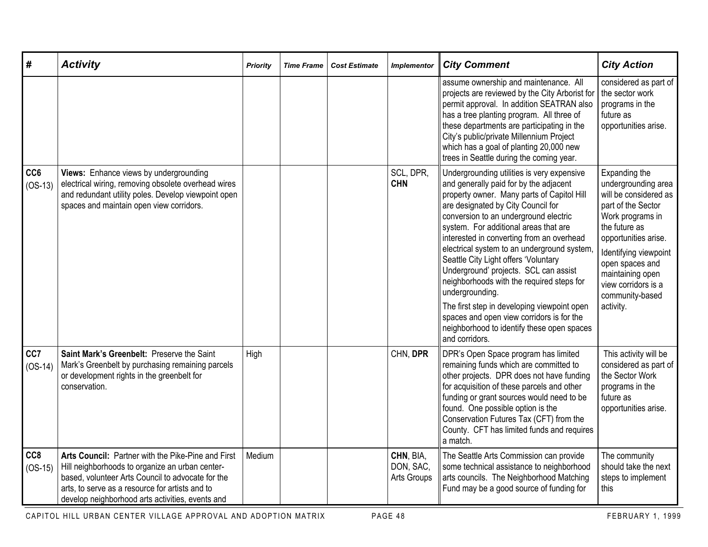| #                | <b>Activity</b>                                                                                                                                                                                                                                                   | <b>Priority</b> | <b>Time Frame</b> | <b>Cost Estimate</b> | <b>Implementor</b>                           | <b>City Comment</b>                                                                                                                                                                                                                                                                                                                                                                                                                                                                                                                                                                                                                                                 | <b>City Action</b>                                                                                                                                                                                                                                                      |
|------------------|-------------------------------------------------------------------------------------------------------------------------------------------------------------------------------------------------------------------------------------------------------------------|-----------------|-------------------|----------------------|----------------------------------------------|---------------------------------------------------------------------------------------------------------------------------------------------------------------------------------------------------------------------------------------------------------------------------------------------------------------------------------------------------------------------------------------------------------------------------------------------------------------------------------------------------------------------------------------------------------------------------------------------------------------------------------------------------------------------|-------------------------------------------------------------------------------------------------------------------------------------------------------------------------------------------------------------------------------------------------------------------------|
|                  |                                                                                                                                                                                                                                                                   |                 |                   |                      |                                              | assume ownership and maintenance. All<br>projects are reviewed by the City Arborist for<br>permit approval. In addition SEATRAN also<br>has a tree planting program. All three of<br>these departments are participating in the<br>City's public/private Millennium Project<br>which has a goal of planting 20,000 new<br>trees in Seattle during the coming year.                                                                                                                                                                                                                                                                                                  | considered as part of<br>the sector work<br>programs in the<br>future as<br>opportunities arise.                                                                                                                                                                        |
| CC6<br>$(OS-13)$ | Views: Enhance views by undergrounding<br>electrical wiring, removing obsolete overhead wires<br>and redundant utility poles. Develop viewpoint open<br>spaces and maintain open view corridors.                                                                  |                 |                   |                      | SCL, DPR,<br><b>CHN</b>                      | Undergrounding utilities is very expensive<br>and generally paid for by the adjacent<br>property owner. Many parts of Capitol Hill<br>are designated by City Council for<br>conversion to an underground electric<br>system. For additional areas that are<br>interested in converting from an overhead<br>electrical system to an underground system,<br>Seattle City Light offers 'Voluntary<br>Underground' projects. SCL can assist<br>neighborhoods with the required steps for<br>undergrounding.<br>The first step in developing viewpoint open<br>spaces and open view corridors is for the<br>neighborhood to identify these open spaces<br>and corridors. | Expanding the<br>undergrounding area<br>will be considered as<br>part of the Sector<br>Work programs in<br>the future as<br>opportunities arise.<br>Identifying viewpoint<br>open spaces and<br>maintaining open<br>view corridors is a<br>community-based<br>activity. |
| CC7<br>$(OS-14)$ | Saint Mark's Greenbelt: Preserve the Saint<br>Mark's Greenbelt by purchasing remaining parcels<br>or development rights in the greenbelt for<br>conservation.                                                                                                     | High            |                   |                      | CHN, DPR                                     | DPR's Open Space program has limited<br>remaining funds which are committed to<br>other projects. DPR does not have funding<br>for acquisition of these parcels and other<br>funding or grant sources would need to be<br>found. One possible option is the<br>Conservation Futures Tax (CFT) from the<br>County. CFT has limited funds and requires<br>a match.                                                                                                                                                                                                                                                                                                    | This activity will be<br>considered as part of<br>the Sector Work<br>programs in the<br>future as<br>opportunities arise.                                                                                                                                               |
| CC8<br>$(OS-15)$ | Arts Council: Partner with the Pike-Pine and First<br>Hill neighborhoods to organize an urban center-<br>based, volunteer Arts Council to advocate for the<br>arts, to serve as a resource for artists and to<br>develop neighborhood arts activities, events and | Medium          |                   |                      | CHN, BIA,<br>DON, SAC,<br><b>Arts Groups</b> | The Seattle Arts Commission can provide<br>some technical assistance to neighborhood<br>arts councils. The Neighborhood Matching<br>Fund may be a good source of funding for                                                                                                                                                                                                                                                                                                                                                                                                                                                                                        | The community<br>should take the next<br>steps to implement<br>this                                                                                                                                                                                                     |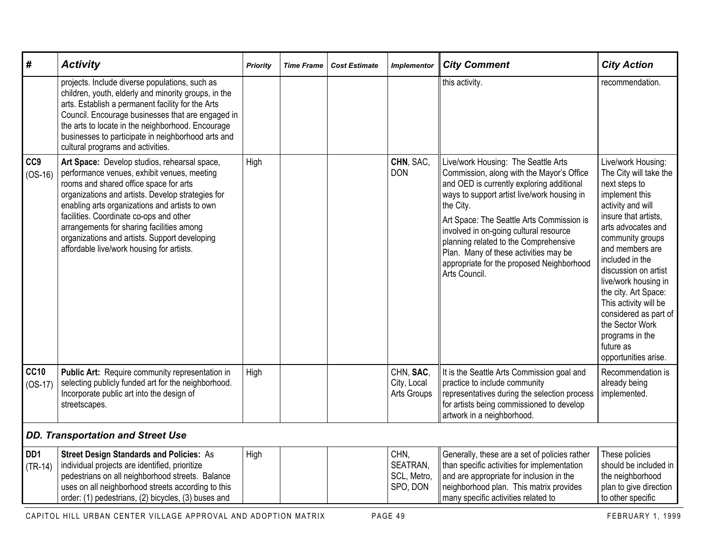| #                            | <b>Activity</b>                                                                                                                                                                                                                                                                                                                                                                                                                    | Priority | <b>Time Frame</b> | <b>Cost Estimate</b> | <b>Implementor</b>                          | <b>City Comment</b>                                                                                                                                                                                                                                                                                                                                                                                                              | <b>City Action</b>                                                                                                                                                                                                                                                                                                                                                                                                |
|------------------------------|------------------------------------------------------------------------------------------------------------------------------------------------------------------------------------------------------------------------------------------------------------------------------------------------------------------------------------------------------------------------------------------------------------------------------------|----------|-------------------|----------------------|---------------------------------------------|----------------------------------------------------------------------------------------------------------------------------------------------------------------------------------------------------------------------------------------------------------------------------------------------------------------------------------------------------------------------------------------------------------------------------------|-------------------------------------------------------------------------------------------------------------------------------------------------------------------------------------------------------------------------------------------------------------------------------------------------------------------------------------------------------------------------------------------------------------------|
|                              | projects. Include diverse populations, such as<br>children, youth, elderly and minority groups, in the<br>arts. Establish a permanent facility for the Arts<br>Council. Encourage businesses that are engaged in<br>the arts to locate in the neighborhood. Encourage<br>businesses to participate in neighborhood arts and<br>cultural programs and activities.                                                                   |          |                   |                      |                                             | this activity.                                                                                                                                                                                                                                                                                                                                                                                                                   | recommendation.                                                                                                                                                                                                                                                                                                                                                                                                   |
| CC <sub>9</sub><br>$(OS-16)$ | Art Space: Develop studios, rehearsal space,<br>performance venues, exhibit venues, meeting<br>rooms and shared office space for arts<br>organizations and artists. Develop strategies for<br>enabling arts organizations and artists to own<br>facilities. Coordinate co-ops and other<br>arrangements for sharing facilities among<br>organizations and artists. Support developing<br>affordable live/work housing for artists. | High     |                   |                      | CHN, SAC,<br><b>DON</b>                     | Live/work Housing: The Seattle Arts<br>Commission, along with the Mayor's Office<br>and OED is currently exploring additional<br>ways to support artist live/work housing in<br>the City.<br>Art Space: The Seattle Arts Commission is<br>involved in on-going cultural resource<br>planning related to the Comprehensive<br>Plan. Many of these activities may be<br>appropriate for the proposed Neighborhood<br>Arts Council. | Live/work Housing:<br>The City will take the<br>next steps to<br>implement this<br>activity and will<br>insure that artists,<br>arts advocates and<br>community groups<br>and members are<br>included in the<br>discussion on artist<br>live/work housing in<br>the city. Art Space:<br>This activity will be<br>considered as part of<br>the Sector Work<br>programs in the<br>future as<br>opportunities arise. |
| <b>CC10</b><br>$(OS-17)$     | Public Art: Require community representation in<br>selecting publicly funded art for the neighborhood.<br>Incorporate public art into the design of<br>streetscapes.                                                                                                                                                                                                                                                               | High     |                   |                      | CHN, SAC,<br>City, Local<br>Arts Groups     | It is the Seattle Arts Commission goal and<br>practice to include community<br>representatives during the selection process<br>for artists being commissioned to develop<br>artwork in a neighborhood.                                                                                                                                                                                                                           | Recommendation is<br>already being<br>implemented.                                                                                                                                                                                                                                                                                                                                                                |
|                              | <b>DD. Transportation and Street Use</b>                                                                                                                                                                                                                                                                                                                                                                                           |          |                   |                      |                                             |                                                                                                                                                                                                                                                                                                                                                                                                                                  |                                                                                                                                                                                                                                                                                                                                                                                                                   |
| DD <sub>1</sub><br>$(TR-14)$ | <b>Street Design Standards and Policies: As</b><br>individual projects are identified, prioritize<br>pedestrians on all neighborhood streets. Balance<br>uses on all neighborhood streets according to this<br>order: (1) pedestrians, (2) bicycles, (3) buses and                                                                                                                                                                 | High     |                   |                      | CHN,<br>SEATRAN,<br>SCL, Metro,<br>SPO, DON | Generally, these are a set of policies rather<br>than specific activities for implementation<br>and are appropriate for inclusion in the<br>neighborhood plan. This matrix provides<br>many specific activities related to                                                                                                                                                                                                       | These policies<br>should be included in<br>the neighborhood<br>plan to give direction<br>to other specific                                                                                                                                                                                                                                                                                                        |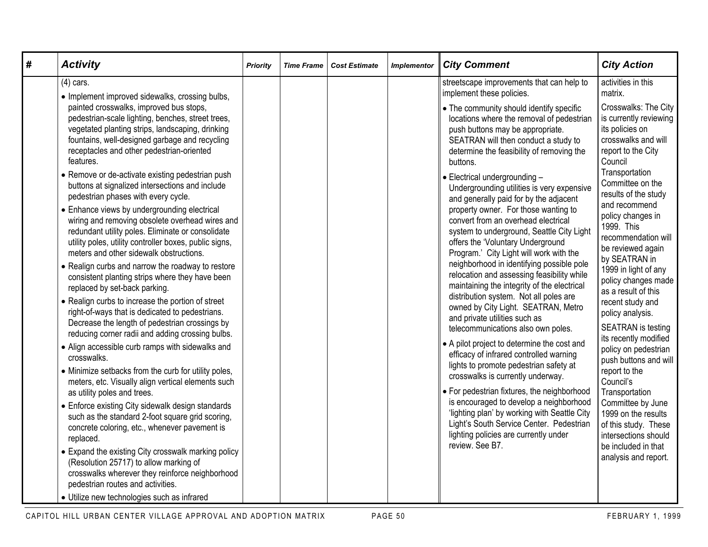| # | <b>Activity</b>                                                                                                                                                                                                                                                                                                                                                                                                                                                                                                                                                                                                                                                                                                                                                                                                                                                                                                                                                                                                                                                                                                                                                                                                                                                                                                                                                                               | <b>Priority</b> | <b>Time Frame</b> | <b>Cost Estimate</b> | <b>Implementor</b> | <b>City Comment</b>                                                                                                                                                                                                                                                                                                                                                                                                                                                                                                                                                                                                                                                                                                                                                                                                                                                                                                                                                                                                                                            | <b>City Action</b>                                                                                                                                                                                                                                                                                                                                                                                                                                                                                                                                                                          |
|---|-----------------------------------------------------------------------------------------------------------------------------------------------------------------------------------------------------------------------------------------------------------------------------------------------------------------------------------------------------------------------------------------------------------------------------------------------------------------------------------------------------------------------------------------------------------------------------------------------------------------------------------------------------------------------------------------------------------------------------------------------------------------------------------------------------------------------------------------------------------------------------------------------------------------------------------------------------------------------------------------------------------------------------------------------------------------------------------------------------------------------------------------------------------------------------------------------------------------------------------------------------------------------------------------------------------------------------------------------------------------------------------------------|-----------------|-------------------|----------------------|--------------------|----------------------------------------------------------------------------------------------------------------------------------------------------------------------------------------------------------------------------------------------------------------------------------------------------------------------------------------------------------------------------------------------------------------------------------------------------------------------------------------------------------------------------------------------------------------------------------------------------------------------------------------------------------------------------------------------------------------------------------------------------------------------------------------------------------------------------------------------------------------------------------------------------------------------------------------------------------------------------------------------------------------------------------------------------------------|---------------------------------------------------------------------------------------------------------------------------------------------------------------------------------------------------------------------------------------------------------------------------------------------------------------------------------------------------------------------------------------------------------------------------------------------------------------------------------------------------------------------------------------------------------------------------------------------|
|   | $(4)$ cars.<br>• Implement improved sidewalks, crossing bulbs,                                                                                                                                                                                                                                                                                                                                                                                                                                                                                                                                                                                                                                                                                                                                                                                                                                                                                                                                                                                                                                                                                                                                                                                                                                                                                                                                |                 |                   |                      |                    | streetscape improvements that can help to<br>implement these policies.                                                                                                                                                                                                                                                                                                                                                                                                                                                                                                                                                                                                                                                                                                                                                                                                                                                                                                                                                                                         | activities in this<br>matrix.                                                                                                                                                                                                                                                                                                                                                                                                                                                                                                                                                               |
|   | painted crosswalks, improved bus stops,<br>pedestrian-scale lighting, benches, street trees,<br>vegetated planting strips, landscaping, drinking<br>fountains, well-designed garbage and recycling<br>receptacles and other pedestrian-oriented<br>features.                                                                                                                                                                                                                                                                                                                                                                                                                                                                                                                                                                                                                                                                                                                                                                                                                                                                                                                                                                                                                                                                                                                                  |                 |                   |                      |                    | • The community should identify specific<br>locations where the removal of pedestrian<br>push buttons may be appropriate.<br>SEATRAN will then conduct a study to<br>determine the feasibility of removing the<br>buttons.                                                                                                                                                                                                                                                                                                                                                                                                                                                                                                                                                                                                                                                                                                                                                                                                                                     | Crosswalks: The City<br>is currently reviewing<br>its policies on<br>crosswalks and will<br>report to the City<br>Council                                                                                                                                                                                                                                                                                                                                                                                                                                                                   |
|   | • Remove or de-activate existing pedestrian push<br>buttons at signalized intersections and include<br>pedestrian phases with every cycle.<br>• Enhance views by undergrounding electrical<br>wiring and removing obsolete overhead wires and<br>redundant utility poles. Eliminate or consolidate<br>utility poles, utility controller boxes, public signs,<br>meters and other sidewalk obstructions.<br>• Realign curbs and narrow the roadway to restore<br>consistent planting strips where they have been<br>replaced by set-back parking.<br>• Realign curbs to increase the portion of street<br>right-of-ways that is dedicated to pedestrians.<br>Decrease the length of pedestrian crossings by<br>reducing corner radii and adding crossing bulbs.<br>• Align accessible curb ramps with sidewalks and<br>crosswalks.<br>• Minimize setbacks from the curb for utility poles,<br>meters, etc. Visually align vertical elements such<br>as utility poles and trees.<br>• Enforce existing City sidewalk design standards<br>such as the standard 2-foot square grid scoring,<br>concrete coloring, etc., whenever pavement is<br>replaced.<br>• Expand the existing City crosswalk marking policy<br>(Resolution 25717) to allow marking of<br>crosswalks wherever they reinforce neighborhood<br>pedestrian routes and activities.<br>• Utilize new technologies such as infrared |                 |                   |                      |                    | · Electrical undergrounding -<br>Undergrounding utilities is very expensive<br>and generally paid for by the adjacent<br>property owner. For those wanting to<br>convert from an overhead electrical<br>system to underground, Seattle City Light<br>offers the 'Voluntary Underground<br>Program.' City Light will work with the<br>neighborhood in identifying possible pole<br>relocation and assessing feasibility while<br>maintaining the integrity of the electrical<br>distribution system. Not all poles are<br>owned by City Light. SEATRAN, Metro<br>and private utilities such as<br>telecommunications also own poles.<br>• A pilot project to determine the cost and<br>efficacy of infrared controlled warning<br>lights to promote pedestrian safety at<br>crosswalks is currently underway.<br>• For pedestrian fixtures, the neighborhood<br>is encouraged to develop a neighborhood<br>'lighting plan' by working with Seattle City<br>Light's South Service Center. Pedestrian<br>lighting policies are currently under<br>review. See B7. | Transportation<br>Committee on the<br>results of the study<br>and recommend<br>policy changes in<br>1999. This<br>recommendation will<br>be reviewed again<br>by SEATRAN in<br>1999 in light of any<br>policy changes made<br>as a result of this<br>recent study and<br>policy analysis.<br><b>SEATRAN</b> is testing<br>its recently modified<br>policy on pedestrian<br>push buttons and will<br>report to the<br>Council's<br>Transportation<br>Committee by June<br>1999 on the results<br>of this study. These<br>intersections should<br>be included in that<br>analysis and report. |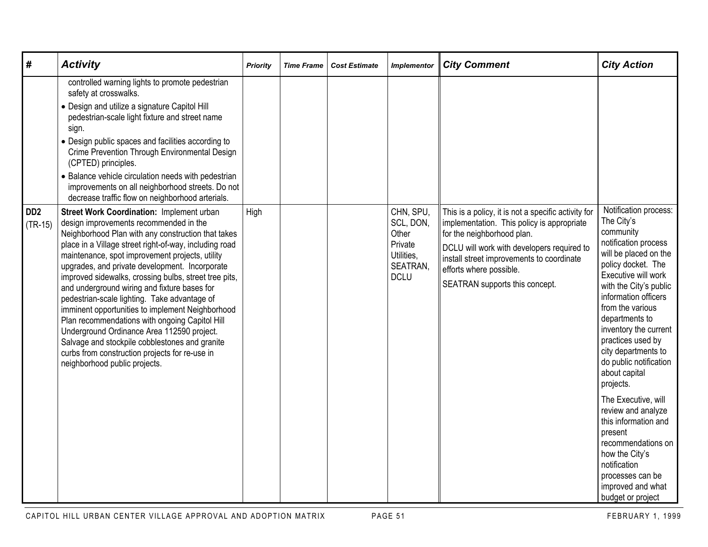| #                                        | <b>Activity</b>                                                                                                                                                                                                                                                                                                                                                                                                                                                                                                                                                                                                                                                                                                                                                                                                | <b>Priority</b> | <b>Time Frame</b> | <b>Cost Estimate</b> | <b>Implementor</b>                                                                  | <b>City Comment</b>                                                                                                                                                                                                                                                                     | <b>City Action</b>                                                                                                                                                                                                                                                                                                                                                                                                                                                                                                                                                        |
|------------------------------------------|----------------------------------------------------------------------------------------------------------------------------------------------------------------------------------------------------------------------------------------------------------------------------------------------------------------------------------------------------------------------------------------------------------------------------------------------------------------------------------------------------------------------------------------------------------------------------------------------------------------------------------------------------------------------------------------------------------------------------------------------------------------------------------------------------------------|-----------------|-------------------|----------------------|-------------------------------------------------------------------------------------|-----------------------------------------------------------------------------------------------------------------------------------------------------------------------------------------------------------------------------------------------------------------------------------------|---------------------------------------------------------------------------------------------------------------------------------------------------------------------------------------------------------------------------------------------------------------------------------------------------------------------------------------------------------------------------------------------------------------------------------------------------------------------------------------------------------------------------------------------------------------------------|
|                                          | controlled warning lights to promote pedestrian<br>safety at crosswalks.<br>• Design and utilize a signature Capitol Hill<br>pedestrian-scale light fixture and street name<br>sign.<br>• Design public spaces and facilities according to<br>Crime Prevention Through Environmental Design<br>(CPTED) principles.<br>• Balance vehicle circulation needs with pedestrian<br>improvements on all neighborhood streets. Do not                                                                                                                                                                                                                                                                                                                                                                                  |                 |                   |                      |                                                                                     |                                                                                                                                                                                                                                                                                         |                                                                                                                                                                                                                                                                                                                                                                                                                                                                                                                                                                           |
| D <sub>D</sub> <sub>2</sub><br>$(TR-15)$ | decrease traffic flow on neighborhood arterials.<br>Street Work Coordination: Implement urban<br>design improvements recommended in the<br>Neighborhood Plan with any construction that takes<br>place in a Village street right-of-way, including road<br>maintenance, spot improvement projects, utility<br>upgrades, and private development. Incorporate<br>improved sidewalks, crossing bulbs, street tree pits,<br>and underground wiring and fixture bases for<br>pedestrian-scale lighting. Take advantage of<br>imminent opportunities to implement Neighborhood<br>Plan recommendations with ongoing Capitol Hill<br>Underground Ordinance Area 112590 project.<br>Salvage and stockpile cobblestones and granite<br>curbs from construction projects for re-use in<br>neighborhood public projects. | High            |                   |                      | CHN, SPU,<br>SCL, DON,<br>Other<br>Private<br>Utilities,<br>SEATRAN,<br><b>DCLU</b> | This is a policy, it is not a specific activity for<br>implementation. This policy is appropriate<br>for the neighborhood plan.<br>DCLU will work with developers required to<br>install street improvements to coordinate<br>efforts where possible.<br>SEATRAN supports this concept. | Notification process:<br>The City's<br>community<br>notification process<br>will be placed on the<br>policy docket. The<br>Executive will work<br>with the City's public<br>information officers<br>from the various<br>departments to<br>inventory the current<br>practices used by<br>city departments to<br>do public notification<br>about capital<br>projects.<br>The Executive, will<br>review and analyze<br>this information and<br>present<br>recommendations on<br>how the City's<br>notification<br>processes can be<br>improved and what<br>budget or project |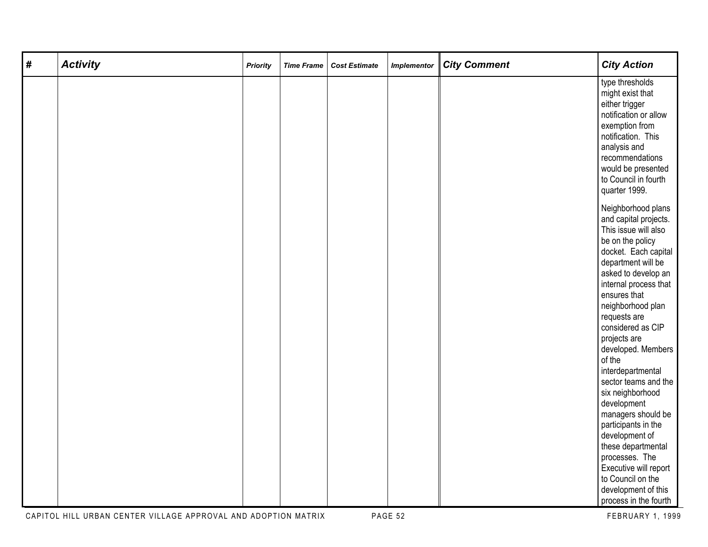| # | <b>Activity</b> | <b>Priority</b> | <b>Time Frame</b> | <b>Cost Estimate</b> | <b>Implementor</b> | <b>City Comment</b> | <b>City Action</b>                                                                                                                                                                                                                                                                                                                                                                                                                           |
|---|-----------------|-----------------|-------------------|----------------------|--------------------|---------------------|----------------------------------------------------------------------------------------------------------------------------------------------------------------------------------------------------------------------------------------------------------------------------------------------------------------------------------------------------------------------------------------------------------------------------------------------|
|   |                 |                 |                   |                      |                    |                     | type thresholds<br>might exist that<br>either trigger<br>notification or allow<br>exemption from<br>notification. This<br>analysis and<br>recommendations<br>would be presented<br>to Council in fourth<br>quarter 1999.                                                                                                                                                                                                                     |
|   |                 |                 |                   |                      |                    |                     | Neighborhood plans<br>and capital projects.<br>This issue will also<br>be on the policy<br>docket. Each capital<br>department will be<br>asked to develop an<br>internal process that<br>ensures that<br>neighborhood plan<br>requests are<br>considered as CIP<br>projects are<br>developed. Members<br>of the<br>interdepartmental<br>sector teams and the<br>six neighborhood<br>development<br>managers should be<br>participants in the |
|   |                 |                 |                   |                      |                    |                     | development of<br>these departmental<br>processes. The<br>Executive will report<br>to Council on the<br>development of this<br>process in the fourth                                                                                                                                                                                                                                                                                         |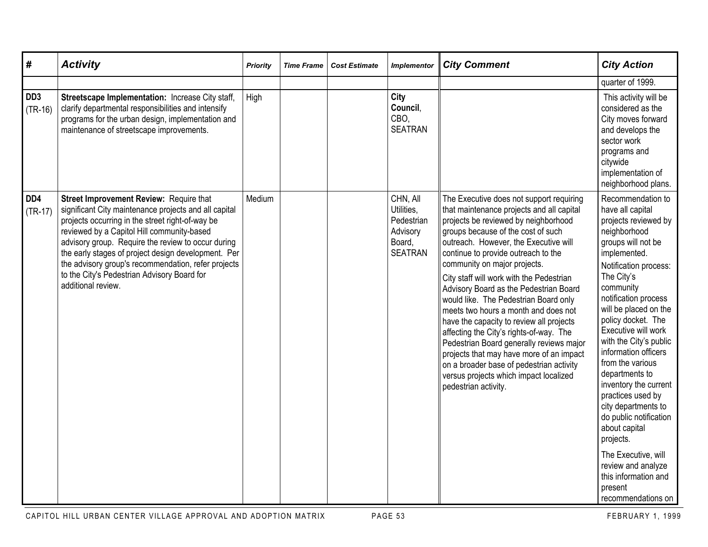| $\#$                         | <b>Activity</b>                                                                                                                                                                                                                                                                                                                                                                                                                             | <b>Priority</b> | <b>Time Frame</b> | <b>Cost Estimate</b> | <b>Implementor</b>                                                           | <b>City Comment</b>                                                                                                                                                                                                                                                                                                                                                                                                                                                                                                                                                                                                                                                                                                                                     | <b>City Action</b>                                                                                                                                                                                                                                                                                                                                                                                                                                                                                                                                                                               |
|------------------------------|---------------------------------------------------------------------------------------------------------------------------------------------------------------------------------------------------------------------------------------------------------------------------------------------------------------------------------------------------------------------------------------------------------------------------------------------|-----------------|-------------------|----------------------|------------------------------------------------------------------------------|---------------------------------------------------------------------------------------------------------------------------------------------------------------------------------------------------------------------------------------------------------------------------------------------------------------------------------------------------------------------------------------------------------------------------------------------------------------------------------------------------------------------------------------------------------------------------------------------------------------------------------------------------------------------------------------------------------------------------------------------------------|--------------------------------------------------------------------------------------------------------------------------------------------------------------------------------------------------------------------------------------------------------------------------------------------------------------------------------------------------------------------------------------------------------------------------------------------------------------------------------------------------------------------------------------------------------------------------------------------------|
|                              |                                                                                                                                                                                                                                                                                                                                                                                                                                             |                 |                   |                      |                                                                              |                                                                                                                                                                                                                                                                                                                                                                                                                                                                                                                                                                                                                                                                                                                                                         | quarter of 1999.                                                                                                                                                                                                                                                                                                                                                                                                                                                                                                                                                                                 |
| DD <sub>3</sub><br>$(TR-16)$ | Streetscape Implementation: Increase City staff,<br>clarify departmental responsibilities and intensify<br>programs for the urban design, implementation and<br>maintenance of streetscape improvements.                                                                                                                                                                                                                                    | High            |                   |                      | City<br>Council.<br>CBO.<br><b>SEATRAN</b>                                   |                                                                                                                                                                                                                                                                                                                                                                                                                                                                                                                                                                                                                                                                                                                                                         | This activity will be<br>considered as the<br>City moves forward<br>and develops the<br>sector work<br>programs and<br>citywide<br>implementation of<br>neighborhood plans.                                                                                                                                                                                                                                                                                                                                                                                                                      |
| DD <sub>4</sub><br>$(TR-17)$ | Street Improvement Review: Require that<br>significant City maintenance projects and all capital<br>projects occurring in the street right-of-way be<br>reviewed by a Capitol Hill community-based<br>advisory group. Require the review to occur during<br>the early stages of project design development. Per<br>the advisory group's recommendation, refer projects<br>to the City's Pedestrian Advisory Board for<br>additional review. | Medium          |                   |                      | CHN, All<br>Utilities,<br>Pedestrian<br>Advisory<br>Board,<br><b>SEATRAN</b> | The Executive does not support requiring<br>that maintenance projects and all capital<br>projects be reviewed by neighborhood<br>groups because of the cost of such<br>outreach. However, the Executive will<br>continue to provide outreach to the<br>community on major projects.<br>City staff will work with the Pedestrian<br>Advisory Board as the Pedestrian Board<br>would like. The Pedestrian Board only<br>meets two hours a month and does not<br>have the capacity to review all projects<br>affecting the City's rights-of-way. The<br>Pedestrian Board generally reviews major<br>projects that may have more of an impact<br>on a broader base of pedestrian activity<br>versus projects which impact localized<br>pedestrian activity. | Recommendation to<br>have all capital<br>projects reviewed by<br>neighborhood<br>groups will not be<br>implemented.<br>Notification process:<br>The City's<br>community<br>notification process<br>will be placed on the<br>policy docket. The<br>Executive will work<br>with the City's public<br>information officers<br>from the various<br>departments to<br>inventory the current<br>practices used by<br>city departments to<br>do public notification<br>about capital<br>projects.<br>The Executive, will<br>review and analyze<br>this information and<br>present<br>recommendations on |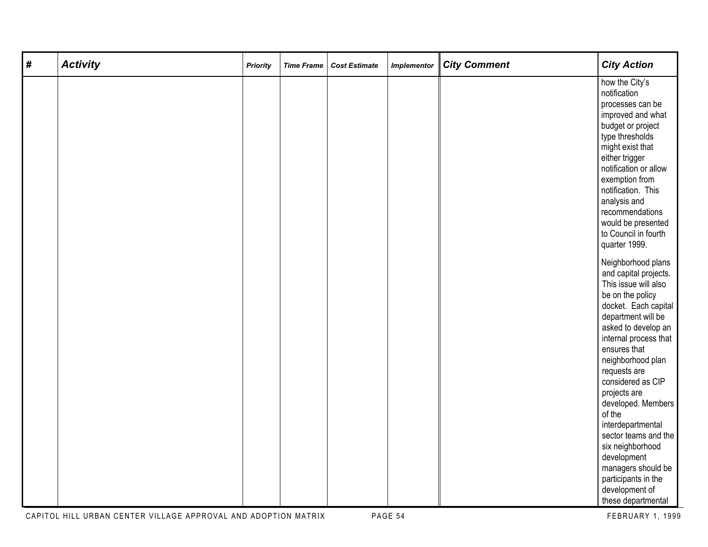| # | <b>Activity</b> | <b>Priority</b> | <b>Time Frame</b> | <b>Cost Estimate</b> | <b>Implementor</b> | <b>City Comment</b> | <b>City Action</b>                |
|---|-----------------|-----------------|-------------------|----------------------|--------------------|---------------------|-----------------------------------|
|   |                 |                 |                   |                      |                    |                     | how the City's<br>notification    |
|   |                 |                 |                   |                      |                    |                     | processes can be                  |
|   |                 |                 |                   |                      |                    |                     | improved and what                 |
|   |                 |                 |                   |                      |                    |                     | budget or project                 |
|   |                 |                 |                   |                      |                    |                     | type thresholds                   |
|   |                 |                 |                   |                      |                    |                     | might exist that                  |
|   |                 |                 |                   |                      |                    |                     | either trigger                    |
|   |                 |                 |                   |                      |                    |                     | notification or allow             |
|   |                 |                 |                   |                      |                    |                     | exemption from                    |
|   |                 |                 |                   |                      |                    |                     | notification. This                |
|   |                 |                 |                   |                      |                    |                     | analysis and<br>recommendations   |
|   |                 |                 |                   |                      |                    |                     | would be presented                |
|   |                 |                 |                   |                      |                    |                     | to Council in fourth              |
|   |                 |                 |                   |                      |                    |                     | quarter 1999.                     |
|   |                 |                 |                   |                      |                    |                     |                                   |
|   |                 |                 |                   |                      |                    |                     | Neighborhood plans                |
|   |                 |                 |                   |                      |                    |                     | and capital projects.             |
|   |                 |                 |                   |                      |                    |                     | This issue will also              |
|   |                 |                 |                   |                      |                    |                     | be on the policy                  |
|   |                 |                 |                   |                      |                    |                     | docket. Each capital              |
|   |                 |                 |                   |                      |                    |                     | department will be                |
|   |                 |                 |                   |                      |                    |                     | asked to develop an               |
|   |                 |                 |                   |                      |                    |                     | internal process that             |
|   |                 |                 |                   |                      |                    |                     | ensures that<br>neighborhood plan |
|   |                 |                 |                   |                      |                    |                     | requests are                      |
|   |                 |                 |                   |                      |                    |                     | considered as CIP                 |
|   |                 |                 |                   |                      |                    |                     | projects are                      |
|   |                 |                 |                   |                      |                    |                     | developed. Members                |
|   |                 |                 |                   |                      |                    |                     | of the                            |
|   |                 |                 |                   |                      |                    |                     | interdepartmental                 |
|   |                 |                 |                   |                      |                    |                     | sector teams and the              |
|   |                 |                 |                   |                      |                    |                     | six neighborhood                  |
|   |                 |                 |                   |                      |                    |                     | development                       |
|   |                 |                 |                   |                      |                    |                     | managers should be                |
|   |                 |                 |                   |                      |                    |                     | participants in the               |
|   |                 |                 |                   |                      |                    |                     | development of                    |
|   |                 |                 |                   |                      |                    |                     | these departmental                |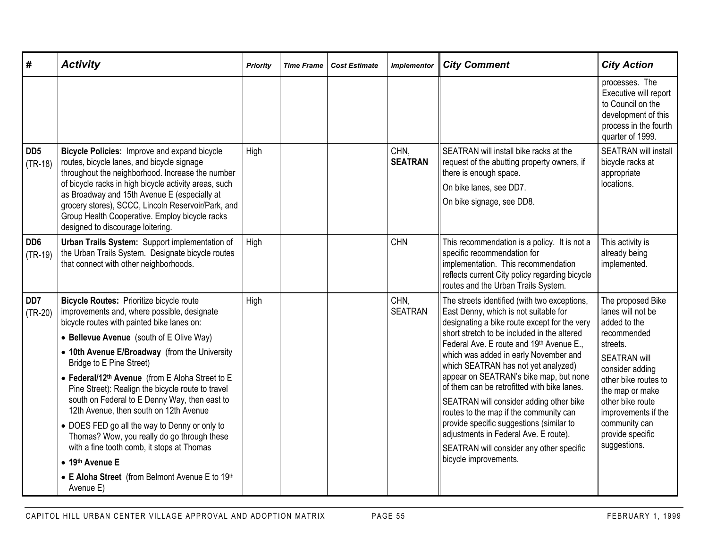| #                            | <b>Activity</b>                                                                                                                                                                                                                                                                                                                                                                                                                                                                                                                                                                                                                                                                                                       | Priority | <b>Time Frame</b> | <b>Cost Estimate</b> | <b>Implementor</b>     | <b>City Comment</b>                                                                                                                                                                                                                                                                                                                                                                                                                                                                                                                                                                                                                                      | <b>City Action</b>                                                                                                                                                                                                                                                     |
|------------------------------|-----------------------------------------------------------------------------------------------------------------------------------------------------------------------------------------------------------------------------------------------------------------------------------------------------------------------------------------------------------------------------------------------------------------------------------------------------------------------------------------------------------------------------------------------------------------------------------------------------------------------------------------------------------------------------------------------------------------------|----------|-------------------|----------------------|------------------------|----------------------------------------------------------------------------------------------------------------------------------------------------------------------------------------------------------------------------------------------------------------------------------------------------------------------------------------------------------------------------------------------------------------------------------------------------------------------------------------------------------------------------------------------------------------------------------------------------------------------------------------------------------|------------------------------------------------------------------------------------------------------------------------------------------------------------------------------------------------------------------------------------------------------------------------|
|                              |                                                                                                                                                                                                                                                                                                                                                                                                                                                                                                                                                                                                                                                                                                                       |          |                   |                      |                        |                                                                                                                                                                                                                                                                                                                                                                                                                                                                                                                                                                                                                                                          | processes. The<br>Executive will report<br>to Council on the<br>development of this<br>process in the fourth<br>quarter of 1999.                                                                                                                                       |
| DD <sub>5</sub><br>$(TR-18)$ | Bicycle Policies: Improve and expand bicycle<br>routes, bicycle lanes, and bicycle signage<br>throughout the neighborhood. Increase the number<br>of bicycle racks in high bicycle activity areas, such<br>as Broadway and 15th Avenue E (especially at<br>grocery stores), SCCC, Lincoln Reservoir/Park, and<br>Group Health Cooperative. Employ bicycle racks<br>designed to discourage loitering.                                                                                                                                                                                                                                                                                                                  | High     |                   |                      | CHN,<br><b>SEATRAN</b> | SEATRAN will install bike racks at the<br>request of the abutting property owners, if<br>there is enough space.<br>On bike lanes, see DD7.<br>On bike signage, see DD8.                                                                                                                                                                                                                                                                                                                                                                                                                                                                                  | <b>SEATRAN will install</b><br>bicycle racks at<br>appropriate<br>locations.                                                                                                                                                                                           |
| DD <sub>6</sub><br>$(TR-19)$ | Urban Trails System: Support implementation of<br>the Urban Trails System. Designate bicycle routes<br>that connect with other neighborhoods.                                                                                                                                                                                                                                                                                                                                                                                                                                                                                                                                                                         | High     |                   |                      | <b>CHN</b>             | This recommendation is a policy. It is not a<br>specific recommendation for<br>implementation. This recommendation<br>reflects current City policy regarding bicycle<br>routes and the Urban Trails System.                                                                                                                                                                                                                                                                                                                                                                                                                                              | This activity is<br>already being<br>implemented.                                                                                                                                                                                                                      |
| DD <sub>7</sub><br>$(TR-20)$ | <b>Bicycle Routes: Prioritize bicycle route</b><br>improvements and, where possible, designate<br>bicycle routes with painted bike lanes on:<br>• Bellevue Avenue (south of E Olive Way)<br>• 10th Avenue E/Broadway (from the University<br>Bridge to E Pine Street)<br>• Federal/12 <sup>th</sup> Avenue (from E Aloha Street to E<br>Pine Street): Realign the bicycle route to travel<br>south on Federal to E Denny Way, then east to<br>12th Avenue, then south on 12th Avenue<br>• DOES FED go all the way to Denny or only to<br>Thomas? Wow, you really do go through these<br>with a fine tooth comb, it stops at Thomas<br>• 19th Avenue E<br>• E Aloha Street (from Belmont Avenue E to 19th<br>Avenue E) | High     |                   |                      | CHN,<br><b>SEATRAN</b> | The streets identified (with two exceptions,<br>East Denny, which is not suitable for<br>designating a bike route except for the very<br>short stretch to be included in the altered<br>Federal Ave. E route and 19th Avenue E.,<br>which was added in early November and<br>which SEATRAN has not yet analyzed)<br>appear on SEATRAN's bike map, but none<br>of them can be retrofitted with bike lanes.<br>SEATRAN will consider adding other bike<br>routes to the map if the community can<br>provide specific suggestions (similar to<br>adjustments in Federal Ave. E route).<br>SEATRAN will consider any other specific<br>bicycle improvements. | The proposed Bike<br>lanes will not be<br>added to the<br>recommended<br>streets.<br><b>SEATRAN will</b><br>consider adding<br>other bike routes to<br>the map or make<br>other bike route<br>improvements if the<br>community can<br>provide specific<br>suggestions. |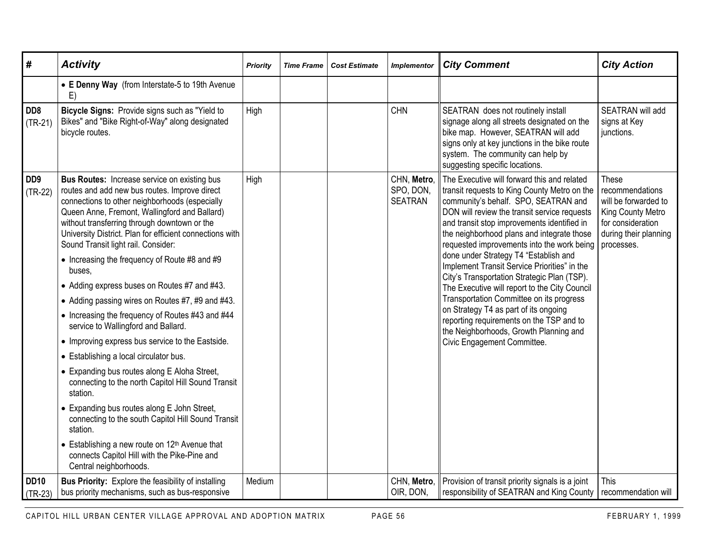| #                            | <b>Activity</b>                                                                                                                                                                                                                                                                                                                                                                                                                                                                                                                                                                                                                                                                                                                                                                                                                                                                                                                                                                                                                                         | <b>Priority</b> | <b>Time Frame</b> | <b>Cost Estimate</b> | <b>Implementor</b>                         | <b>City Comment</b>                                                                                                                                                                                                                                                                                                                                                                                                                                                                                                                                                                                                                                                                                                               | <b>City Action</b>                                                                                                                |
|------------------------------|---------------------------------------------------------------------------------------------------------------------------------------------------------------------------------------------------------------------------------------------------------------------------------------------------------------------------------------------------------------------------------------------------------------------------------------------------------------------------------------------------------------------------------------------------------------------------------------------------------------------------------------------------------------------------------------------------------------------------------------------------------------------------------------------------------------------------------------------------------------------------------------------------------------------------------------------------------------------------------------------------------------------------------------------------------|-----------------|-------------------|----------------------|--------------------------------------------|-----------------------------------------------------------------------------------------------------------------------------------------------------------------------------------------------------------------------------------------------------------------------------------------------------------------------------------------------------------------------------------------------------------------------------------------------------------------------------------------------------------------------------------------------------------------------------------------------------------------------------------------------------------------------------------------------------------------------------------|-----------------------------------------------------------------------------------------------------------------------------------|
|                              | • E Denny Way (from Interstate-5 to 19th Avenue<br>E)                                                                                                                                                                                                                                                                                                                                                                                                                                                                                                                                                                                                                                                                                                                                                                                                                                                                                                                                                                                                   |                 |                   |                      |                                            |                                                                                                                                                                                                                                                                                                                                                                                                                                                                                                                                                                                                                                                                                                                                   |                                                                                                                                   |
| DD8<br>$(TR-21)$             | Bicycle Signs: Provide signs such as "Yield to<br>Bikes" and "Bike Right-of-Way" along designated<br>bicycle routes.                                                                                                                                                                                                                                                                                                                                                                                                                                                                                                                                                                                                                                                                                                                                                                                                                                                                                                                                    | High            |                   |                      | <b>CHN</b>                                 | SEATRAN does not routinely install<br>signage along all streets designated on the<br>bike map. However, SEATRAN will add<br>signs only at key junctions in the bike route<br>system. The community can help by<br>suggesting specific locations.                                                                                                                                                                                                                                                                                                                                                                                                                                                                                  | SEATRAN will add<br>signs at Key<br>junctions.                                                                                    |
| DD <sub>9</sub><br>$(TR-22)$ | <b>Bus Routes:</b> Increase service on existing bus<br>routes and add new bus routes. Improve direct<br>connections to other neighborhoods (especially<br>Queen Anne, Fremont, Wallingford and Ballard)<br>without transferring through downtown or the<br>University District. Plan for efficient connections with<br>Sound Transit light rail. Consider:<br>• Increasing the frequency of Route #8 and #9<br>buses,<br>• Adding express buses on Routes #7 and #43.<br>• Adding passing wires on Routes #7, #9 and #43.<br>• Increasing the frequency of Routes #43 and #44<br>service to Wallingford and Ballard.<br>• Improving express bus service to the Eastside.<br>• Establishing a local circulator bus.<br>• Expanding bus routes along E Aloha Street,<br>connecting to the north Capitol Hill Sound Transit<br>station.<br>• Expanding bus routes along E John Street,<br>connecting to the south Capitol Hill Sound Transit<br>station.<br>• Establishing a new route on 12th Avenue that<br>connects Capitol Hill with the Pike-Pine and | High            |                   |                      | CHN, Metro,<br>SPO, DON,<br><b>SEATRAN</b> | The Executive will forward this and related<br>transit requests to King County Metro on the<br>community's behalf. SPO, SEATRAN and<br>DON will review the transit service requests<br>and transit stop improvements identified in<br>the neighborhood plans and integrate those<br>requested improvements into the work being<br>done under Strategy T4 "Establish and<br>Implement Transit Service Priorities" in the<br>City's Transportation Strategic Plan (TSP).<br>The Executive will report to the City Council<br>Transportation Committee on its progress<br>on Strategy T4 as part of its ongoing<br>reporting requirements on the TSP and to<br>the Neighborhoods, Growth Planning and<br>Civic Engagement Committee. | These<br>recommendations<br>will be forwarded to<br>King County Metro<br>for consideration<br>during their planning<br>processes. |
|                              | Central neighborhoods.                                                                                                                                                                                                                                                                                                                                                                                                                                                                                                                                                                                                                                                                                                                                                                                                                                                                                                                                                                                                                                  |                 |                   |                      |                                            |                                                                                                                                                                                                                                                                                                                                                                                                                                                                                                                                                                                                                                                                                                                                   |                                                                                                                                   |
| <b>DD10</b><br>$(TR-23)$     | <b>Bus Priority:</b> Explore the feasibility of installing<br>bus priority mechanisms, such as bus-responsive                                                                                                                                                                                                                                                                                                                                                                                                                                                                                                                                                                                                                                                                                                                                                                                                                                                                                                                                           | Medium          |                   |                      | CHN, Metro,<br>OIR, DON,                   | Provision of transit priority signals is a joint<br>responsibility of SEATRAN and King County                                                                                                                                                                                                                                                                                                                                                                                                                                                                                                                                                                                                                                     | This<br>recommendation will                                                                                                       |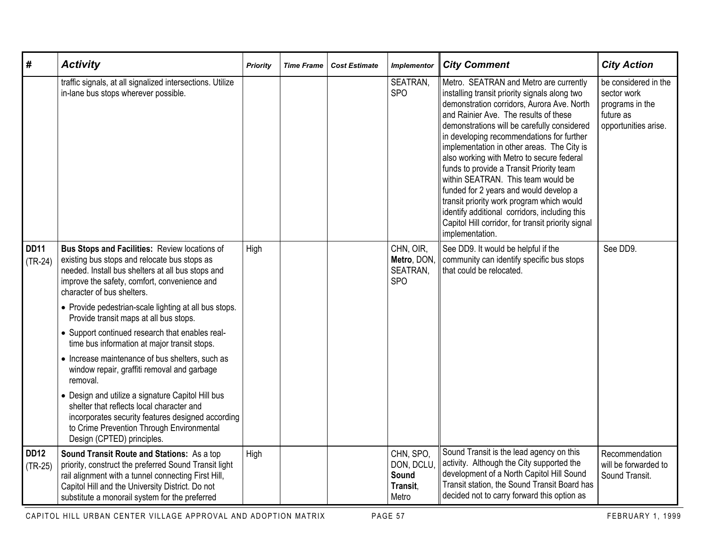| #                        | <b>Activity</b>                                                                                                                                                                                                                                                  | <b>Priority</b> | <b>Time Frame</b> | <b>Cost Estimate</b> | <b>Implementor</b>                                   | <b>City Comment</b>                                                                                                                                                                                                                                                                                                                                                                                                                                                                                                                                                                                                                                                      | <b>City Action</b>                                                                          |
|--------------------------|------------------------------------------------------------------------------------------------------------------------------------------------------------------------------------------------------------------------------------------------------------------|-----------------|-------------------|----------------------|------------------------------------------------------|--------------------------------------------------------------------------------------------------------------------------------------------------------------------------------------------------------------------------------------------------------------------------------------------------------------------------------------------------------------------------------------------------------------------------------------------------------------------------------------------------------------------------------------------------------------------------------------------------------------------------------------------------------------------------|---------------------------------------------------------------------------------------------|
|                          | traffic signals, at all signalized intersections. Utilize<br>in-lane bus stops wherever possible.                                                                                                                                                                |                 |                   |                      | SEATRAN,<br><b>SPO</b>                               | Metro. SEATRAN and Metro are currently<br>installing transit priority signals along two<br>demonstration corridors, Aurora Ave. North<br>and Rainier Ave. The results of these<br>demonstrations will be carefully considered<br>in developing recommendations for further<br>implementation in other areas. The City is<br>also working with Metro to secure federal<br>funds to provide a Transit Priority team<br>within SEATRAN. This team would be<br>funded for 2 years and would develop a<br>transit priority work program which would<br>identify additional corridors, including this<br>Capitol Hill corridor, for transit priority signal<br>implementation. | be considered in the<br>sector work<br>programs in the<br>future as<br>opportunities arise. |
| <b>DD11</b><br>$(TR-24)$ | <b>Bus Stops and Facilities: Review locations of</b><br>existing bus stops and relocate bus stops as<br>needed. Install bus shelters at all bus stops and<br>improve the safety, comfort, convenience and<br>character of bus shelters.                          | High            |                   |                      | CHN, OIR,<br>Metro, DON,<br>SEATRAN,<br><b>SPO</b>   | See DD9. It would be helpful if the<br>community can identify specific bus stops<br>that could be relocated.                                                                                                                                                                                                                                                                                                                                                                                                                                                                                                                                                             | See DD9.                                                                                    |
|                          | • Provide pedestrian-scale lighting at all bus stops.<br>Provide transit maps at all bus stops.                                                                                                                                                                  |                 |                   |                      |                                                      |                                                                                                                                                                                                                                                                                                                                                                                                                                                                                                                                                                                                                                                                          |                                                                                             |
|                          | • Support continued research that enables real-<br>time bus information at major transit stops.                                                                                                                                                                  |                 |                   |                      |                                                      |                                                                                                                                                                                                                                                                                                                                                                                                                                                                                                                                                                                                                                                                          |                                                                                             |
|                          | • Increase maintenance of bus shelters, such as<br>window repair, graffiti removal and garbage<br>removal.                                                                                                                                                       |                 |                   |                      |                                                      |                                                                                                                                                                                                                                                                                                                                                                                                                                                                                                                                                                                                                                                                          |                                                                                             |
|                          | • Design and utilize a signature Capitol Hill bus<br>shelter that reflects local character and<br>incorporates security features designed according<br>to Crime Prevention Through Environmental<br>Design (CPTED) principles.                                   |                 |                   |                      |                                                      |                                                                                                                                                                                                                                                                                                                                                                                                                                                                                                                                                                                                                                                                          |                                                                                             |
| <b>DD12</b><br>$(TR-25)$ | Sound Transit Route and Stations: As a top<br>priority, construct the preferred Sound Transit light<br>rail alignment with a tunnel connecting First Hill,<br>Capitol Hill and the University District. Do not<br>substitute a monorail system for the preferred | High            |                   |                      | CHN, SPO,<br>DON, DCLU<br>Sound<br>Transit,<br>Metro | Sound Transit is the lead agency on this<br>activity. Although the City supported the<br>development of a North Capitol Hill Sound<br>Transit station, the Sound Transit Board has<br>decided not to carry forward this option as                                                                                                                                                                                                                                                                                                                                                                                                                                        | Recommendation<br>will be forwarded to<br>Sound Transit.                                    |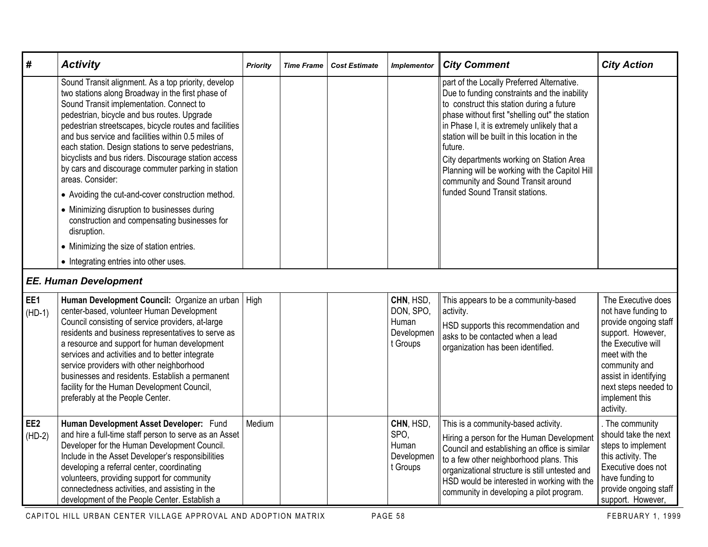| #                           | <b>Activity</b>                                                                                                                                                                                                                                                                                                                                                                                                                                                                                                                                                                                                                                                                                                                                                         | Priority | <b>Time Frame</b> | <b>Cost Estimate</b> | <b>Implementor</b>                                        | <b>City Comment</b>                                                                                                                                                                                                                                                                                                                                                                                                                                                        | <b>City Action</b>                                                                                                                                                                                                              |
|-----------------------------|-------------------------------------------------------------------------------------------------------------------------------------------------------------------------------------------------------------------------------------------------------------------------------------------------------------------------------------------------------------------------------------------------------------------------------------------------------------------------------------------------------------------------------------------------------------------------------------------------------------------------------------------------------------------------------------------------------------------------------------------------------------------------|----------|-------------------|----------------------|-----------------------------------------------------------|----------------------------------------------------------------------------------------------------------------------------------------------------------------------------------------------------------------------------------------------------------------------------------------------------------------------------------------------------------------------------------------------------------------------------------------------------------------------------|---------------------------------------------------------------------------------------------------------------------------------------------------------------------------------------------------------------------------------|
|                             | Sound Transit alignment. As a top priority, develop<br>two stations along Broadway in the first phase of<br>Sound Transit implementation. Connect to<br>pedestrian, bicycle and bus routes. Upgrade<br>pedestrian streetscapes, bicycle routes and facilities<br>and bus service and facilities within 0.5 miles of<br>each station. Design stations to serve pedestrians,<br>bicyclists and bus riders. Discourage station access<br>by cars and discourage commuter parking in station<br>areas. Consider:<br>• Avoiding the cut-and-cover construction method.<br>• Minimizing disruption to businesses during<br>construction and compensating businesses for<br>disruption.<br>• Minimizing the size of station entries.<br>• Integrating entries into other uses. |          |                   |                      |                                                           | part of the Locally Preferred Alternative.<br>Due to funding constraints and the inability<br>to construct this station during a future<br>phase without first "shelling out" the station<br>in Phase I, it is extremely unlikely that a<br>station will be built in this location in the<br>future.<br>City departments working on Station Area<br>Planning will be working with the Capitol Hill<br>community and Sound Transit around<br>funded Sound Transit stations. |                                                                                                                                                                                                                                 |
|                             | <b>EE. Human Development</b>                                                                                                                                                                                                                                                                                                                                                                                                                                                                                                                                                                                                                                                                                                                                            |          |                   |                      |                                                           |                                                                                                                                                                                                                                                                                                                                                                                                                                                                            |                                                                                                                                                                                                                                 |
| EE1<br>$(HD-1)$             | Human Development Council: Organize an urban   High<br>center-based, volunteer Human Development<br>Council consisting of service providers, at-large<br>residents and business representatives to serve as<br>a resource and support for human development<br>services and activities and to better integrate<br>service providers with other neighborhood<br>businesses and residents. Establish a permanent<br>facility for the Human Development Council,<br>preferably at the People Center.                                                                                                                                                                                                                                                                       |          |                   |                      | CHN, HSD,<br>DON, SPO,<br>Human<br>Developmen<br>t Groups | This appears to be a community-based<br>activity.<br>HSD supports this recommendation and<br>asks to be contacted when a lead<br>organization has been identified.                                                                                                                                                                                                                                                                                                         | The Executive does<br>not have funding to<br>provide ongoing staff<br>support. However,<br>the Executive will<br>meet with the<br>community and<br>assist in identifying<br>next steps needed to<br>implement this<br>activity. |
| EE <sub>2</sub><br>$(HD-2)$ | Human Development Asset Developer: Fund<br>and hire a full-time staff person to serve as an Asset<br>Developer for the Human Development Council.<br>Include in the Asset Developer's responsibilities<br>developing a referral center, coordinating<br>volunteers, providing support for community<br>connectedness activities, and assisting in the<br>development of the People Center. Establish a                                                                                                                                                                                                                                                                                                                                                                  | Medium   |                   |                      | CHN, HSD,<br>SPO,<br>Human<br>Developmen<br>t Groups      | This is a community-based activity.<br>Hiring a person for the Human Development<br>Council and establishing an office is similar<br>to a few other neighborhood plans. This<br>organizational structure is still untested and<br>HSD would be interested in working with the<br>community in developing a pilot program.                                                                                                                                                  | . The community<br>should take the next<br>steps to implement<br>this activity. The<br>Executive does not<br>have funding to<br>provide ongoing staff<br>support. However,                                                      |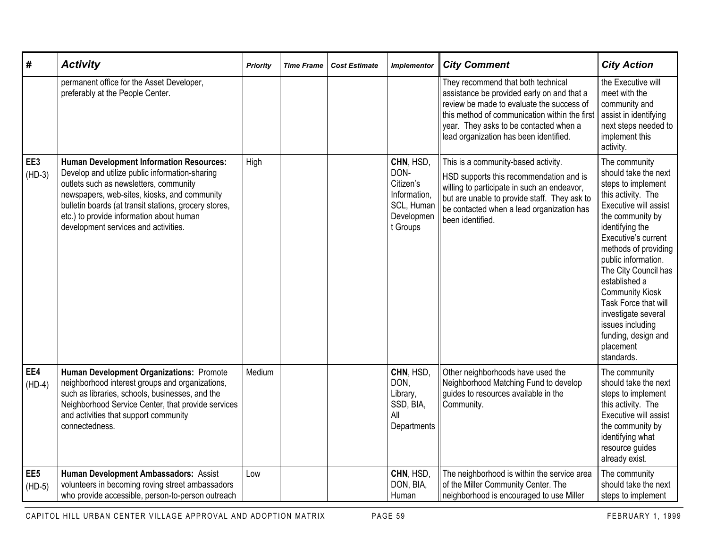| #                           | <b>Activity</b>                                                                                                                                                                                                                                                                                                                          | <b>Priority</b> | <b>Time Frame</b> | <b>Cost Estimate</b> | <b>Implementor</b>                                                                     | <b>City Comment</b>                                                                                                                                                                                                                                                | <b>City Action</b>                                                                                                                                                                                                                                                                                                                                                                                              |
|-----------------------------|------------------------------------------------------------------------------------------------------------------------------------------------------------------------------------------------------------------------------------------------------------------------------------------------------------------------------------------|-----------------|-------------------|----------------------|----------------------------------------------------------------------------------------|--------------------------------------------------------------------------------------------------------------------------------------------------------------------------------------------------------------------------------------------------------------------|-----------------------------------------------------------------------------------------------------------------------------------------------------------------------------------------------------------------------------------------------------------------------------------------------------------------------------------------------------------------------------------------------------------------|
|                             | permanent office for the Asset Developer,<br>preferably at the People Center.                                                                                                                                                                                                                                                            |                 |                   |                      |                                                                                        | They recommend that both technical<br>assistance be provided early on and that a<br>review be made to evaluate the success of<br>this method of communication within the first<br>year. They asks to be contacted when a<br>lead organization has been identified. | the Executive will<br>meet with the<br>community and<br>assist in identifying<br>next steps needed to<br>implement this<br>activity.                                                                                                                                                                                                                                                                            |
| EE3<br>$(HD-3)$             | <b>Human Development Information Resources:</b><br>Develop and utilize public information-sharing<br>outlets such as newsletters, community<br>newspapers, web-sites, kiosks, and community<br>bulletin boards (at transit stations, grocery stores,<br>etc.) to provide information about human<br>development services and activities. | High            |                   |                      | CHN, HSD,<br>DON-<br>Citizen's<br>Information,<br>SCL, Human<br>Developmen<br>t Groups | This is a community-based activity.<br>HSD supports this recommendation and is<br>willing to participate in such an endeavor,<br>but are unable to provide staff. They ask to<br>be contacted when a lead organization has<br>been identified.                     | The community<br>should take the next<br>steps to implement<br>this activity. The<br>Executive will assist<br>the community by<br>identifying the<br>Executive's current<br>methods of providing<br>public information.<br>The City Council has<br>established a<br><b>Community Kiosk</b><br>Task Force that will<br>investigate several<br>issues including<br>funding, design and<br>placement<br>standards. |
| EE4<br>$(HD-4)$             | Human Development Organizations: Promote<br>neighborhood interest groups and organizations,<br>such as libraries, schools, businesses, and the<br>Neighborhood Service Center, that provide services<br>and activities that support community<br>connectedness.                                                                          | Medium          |                   |                      | CHN, HSD,<br>DON,<br>Library,<br>SSD, BIA,<br>All<br>Departments                       | Other neighborhoods have used the<br>Neighborhood Matching Fund to develop<br>guides to resources available in the<br>Community.                                                                                                                                   | The community<br>should take the next<br>steps to implement<br>this activity. The<br>Executive will assist<br>the community by<br>identifying what<br>resource guides<br>already exist.                                                                                                                                                                                                                         |
| EE <sub>5</sub><br>$(HD-5)$ | Human Development Ambassadors: Assist<br>volunteers in becoming roving street ambassadors<br>who provide accessible, person-to-person outreach                                                                                                                                                                                           | Low             |                   |                      | CHN, HSD,<br>DON, BIA,<br>Human                                                        | The neighborhood is within the service area<br>of the Miller Community Center. The<br>neighborhood is encouraged to use Miller                                                                                                                                     | The community<br>should take the next<br>steps to implement                                                                                                                                                                                                                                                                                                                                                     |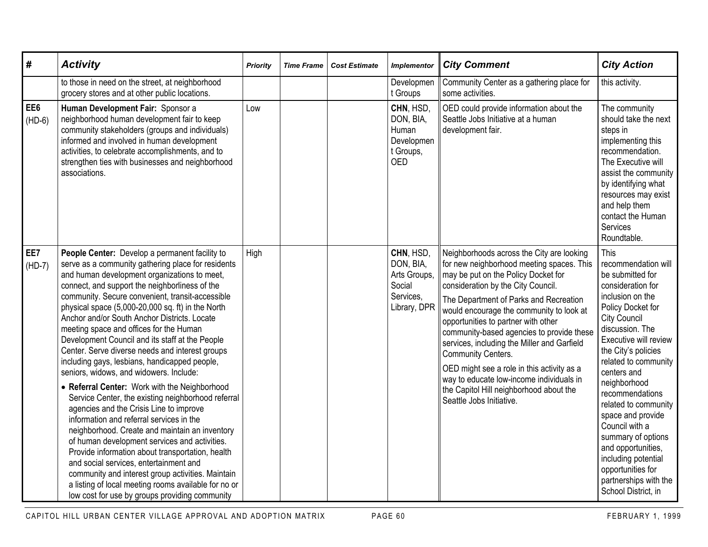| #               | <b>Activity</b>                                                                                                                                                                                                                                                                                                                                                                                                                                                                                                                                                                                                                                                                                                                                                                                                                                                                                                                                                                                                                                                                                                                                                            | <b>Priority</b> | <b>Time Frame</b> | <b>Cost Estimate</b> | <b>Implementor</b>                                                            | <b>City Comment</b>                                                                                                                                                                                                                                                                                                                                                                                                                                                                                                                                                                        | <b>City Action</b>                                                                                                                                                                                                                                                                                                                                                                                                                                                                       |
|-----------------|----------------------------------------------------------------------------------------------------------------------------------------------------------------------------------------------------------------------------------------------------------------------------------------------------------------------------------------------------------------------------------------------------------------------------------------------------------------------------------------------------------------------------------------------------------------------------------------------------------------------------------------------------------------------------------------------------------------------------------------------------------------------------------------------------------------------------------------------------------------------------------------------------------------------------------------------------------------------------------------------------------------------------------------------------------------------------------------------------------------------------------------------------------------------------|-----------------|-------------------|----------------------|-------------------------------------------------------------------------------|--------------------------------------------------------------------------------------------------------------------------------------------------------------------------------------------------------------------------------------------------------------------------------------------------------------------------------------------------------------------------------------------------------------------------------------------------------------------------------------------------------------------------------------------------------------------------------------------|------------------------------------------------------------------------------------------------------------------------------------------------------------------------------------------------------------------------------------------------------------------------------------------------------------------------------------------------------------------------------------------------------------------------------------------------------------------------------------------|
|                 | to those in need on the street, at neighborhood<br>grocery stores and at other public locations.                                                                                                                                                                                                                                                                                                                                                                                                                                                                                                                                                                                                                                                                                                                                                                                                                                                                                                                                                                                                                                                                           |                 |                   |                      | Developmen<br>t Groups                                                        | Community Center as a gathering place for<br>some activities.                                                                                                                                                                                                                                                                                                                                                                                                                                                                                                                              | this activity.                                                                                                                                                                                                                                                                                                                                                                                                                                                                           |
| EE6<br>$(HD-6)$ | Human Development Fair: Sponsor a<br>neighborhood human development fair to keep<br>community stakeholders (groups and individuals)<br>informed and involved in human development<br>activities, to celebrate accomplishments, and to<br>strengthen ties with businesses and neighborhood<br>associations.                                                                                                                                                                                                                                                                                                                                                                                                                                                                                                                                                                                                                                                                                                                                                                                                                                                                 | Low             |                   |                      | CHN, HSD,<br>DON, BIA,<br>Human<br>Developmen<br>t Groups,<br><b>OED</b>      | OED could provide information about the<br>Seattle Jobs Initiative at a human<br>development fair.                                                                                                                                                                                                                                                                                                                                                                                                                                                                                         | The community<br>should take the next<br>steps in<br>implementing this<br>recommendation.<br>The Executive will<br>assist the community<br>by identifying what<br>resources may exist<br>and help them<br>contact the Human<br><b>Services</b><br>Roundtable.                                                                                                                                                                                                                            |
| EE7<br>$(HD-7)$ | People Center: Develop a permanent facility to<br>serve as a community gathering place for residents<br>and human development organizations to meet,<br>connect, and support the neighborliness of the<br>community. Secure convenient, transit-accessible<br>physical space (5,000-20,000 sq. ft) in the North<br>Anchor and/or South Anchor Districts. Locate<br>meeting space and offices for the Human<br>Development Council and its staff at the People<br>Center. Serve diverse needs and interest groups<br>including gays, lesbians, handicapped people,<br>seniors, widows, and widowers. Include:<br>• Referral Center: Work with the Neighborhood<br>Service Center, the existing neighborhood referral<br>agencies and the Crisis Line to improve<br>information and referral services in the<br>neighborhood. Create and maintain an inventory<br>of human development services and activities.<br>Provide information about transportation, health<br>and social services, entertainment and<br>community and interest group activities. Maintain<br>a listing of local meeting rooms available for no or<br>low cost for use by groups providing community | High            |                   |                      | CHN, HSD,<br>DON, BIA,<br>Arts Groups,<br>Social<br>Services,<br>Library, DPR | Neighborhoods across the City are looking<br>for new neighborhood meeting spaces. This<br>may be put on the Policy Docket for<br>consideration by the City Council.<br>The Department of Parks and Recreation<br>would encourage the community to look at<br>opportunities to partner with other<br>community-based agencies to provide these<br>services, including the Miller and Garfield<br><b>Community Centers.</b><br>OED might see a role in this activity as a<br>way to educate low-income individuals in<br>the Capitol Hill neighborhood about the<br>Seattle Jobs Initiative. | This<br>recommendation will<br>be submitted for<br>consideration for<br>inclusion on the<br>Policy Docket for<br><b>City Council</b><br>discussion. The<br>Executive will review<br>the City's policies<br>related to community<br>centers and<br>neighborhood<br>recommendations<br>related to community<br>space and provide<br>Council with a<br>summary of options<br>and opportunities,<br>including potential<br>opportunities for<br>partnerships with the<br>School District, in |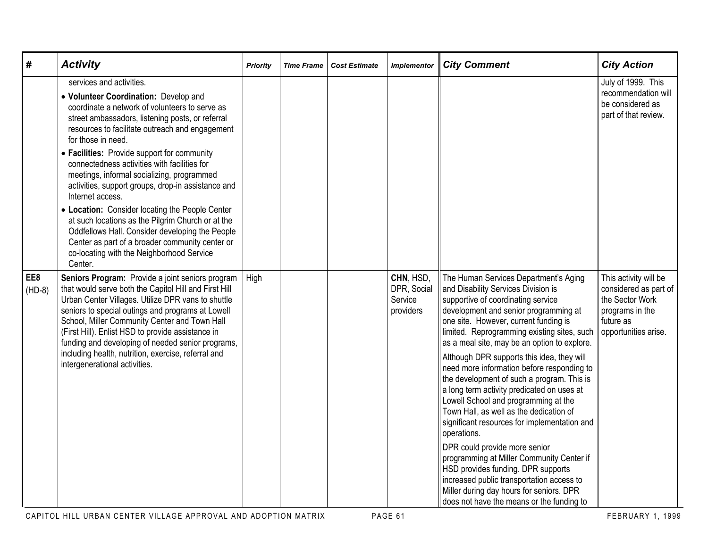| #               | <b>Activity</b>                                                                                                                                                                                                                                                                                                                                                                                                                                                                                                                                                                                                                                                                                                                               | <b>Priority</b> | <b>Time Frame</b> | <b>Cost Estimate</b> | <b>Implementor</b>                               | <b>City Comment</b>                                                                                                                                                                                                                                                                                                                                                                                                                                                                                                                                                                                                                                                                                                                                                                                                                                                                                     | <b>City Action</b>                                                                                                        |
|-----------------|-----------------------------------------------------------------------------------------------------------------------------------------------------------------------------------------------------------------------------------------------------------------------------------------------------------------------------------------------------------------------------------------------------------------------------------------------------------------------------------------------------------------------------------------------------------------------------------------------------------------------------------------------------------------------------------------------------------------------------------------------|-----------------|-------------------|----------------------|--------------------------------------------------|---------------------------------------------------------------------------------------------------------------------------------------------------------------------------------------------------------------------------------------------------------------------------------------------------------------------------------------------------------------------------------------------------------------------------------------------------------------------------------------------------------------------------------------------------------------------------------------------------------------------------------------------------------------------------------------------------------------------------------------------------------------------------------------------------------------------------------------------------------------------------------------------------------|---------------------------------------------------------------------------------------------------------------------------|
|                 | services and activities.<br>• Volunteer Coordination: Develop and<br>coordinate a network of volunteers to serve as<br>street ambassadors, listening posts, or referral<br>resources to facilitate outreach and engagement<br>for those in need.<br>• Facilities: Provide support for community<br>connectedness activities with facilities for<br>meetings, informal socializing, programmed<br>activities, support groups, drop-in assistance and<br>Internet access.<br>• Location: Consider locating the People Center<br>at such locations as the Pilgrim Church or at the<br>Oddfellows Hall. Consider developing the People<br>Center as part of a broader community center or<br>co-locating with the Neighborhood Service<br>Center. |                 |                   |                      |                                                  |                                                                                                                                                                                                                                                                                                                                                                                                                                                                                                                                                                                                                                                                                                                                                                                                                                                                                                         | July of 1999. This<br>recommendation will<br>be considered as<br>part of that review.                                     |
| EE8<br>$(HD-8)$ | Seniors Program: Provide a joint seniors program<br>that would serve both the Capitol Hill and First Hill<br>Urban Center Villages. Utilize DPR vans to shuttle<br>seniors to special outings and programs at Lowell<br>School, Miller Community Center and Town Hall<br>(First Hill). Enlist HSD to provide assistance in<br>funding and developing of needed senior programs,<br>including health, nutrition, exercise, referral and<br>intergenerational activities.                                                                                                                                                                                                                                                                       | High            |                   |                      | CHN, HSD,<br>DPR, Social<br>Service<br>providers | The Human Services Department's Aging<br>and Disability Services Division is<br>supportive of coordinating service<br>development and senior programming at<br>one site. However, current funding is<br>limited. Reprogramming existing sites, such<br>as a meal site, may be an option to explore.<br>Although DPR supports this idea, they will<br>need more information before responding to<br>the development of such a program. This is<br>a long term activity predicated on uses at<br>Lowell School and programming at the<br>Town Hall, as well as the dedication of<br>significant resources for implementation and<br>operations.<br>DPR could provide more senior<br>programming at Miller Community Center if<br>HSD provides funding. DPR supports<br>increased public transportation access to<br>Miller during day hours for seniors. DPR<br>does not have the means or the funding to | This activity will be<br>considered as part of<br>the Sector Work<br>programs in the<br>future as<br>opportunities arise. |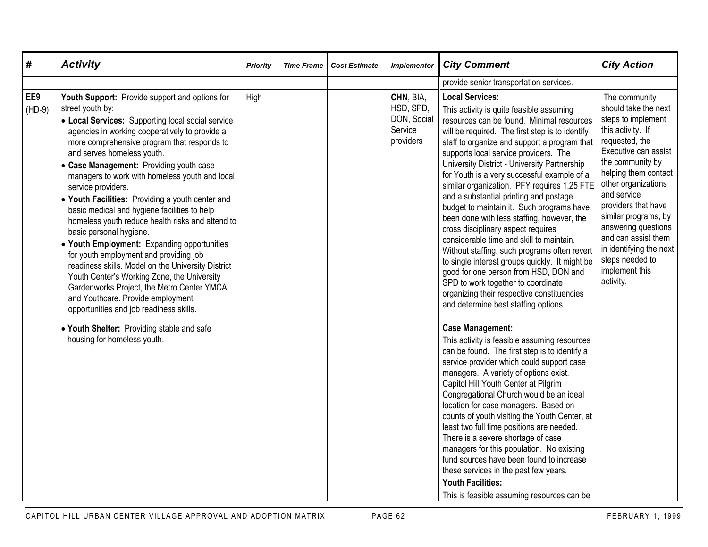| #               | <b>Activity</b>                                                                                                                                                                                                                                                                                                                                                                                                                                                                                                                                                                                                                                                                                                                                                                                                                                                                                                                                                       | <b>Priority</b> | <b>Time Frame</b> | <b>Cost Estimate</b> | <b>Implementor</b>                                            | <b>City Comment</b>                                                                                                                                                                                                                                                                                                                                                                                                                                                                                                                                                                                                                                                                                                                                                                                                                                                                                                                                                                                                                                                                                                                                                                                                                                                                                                                                                                                                                                                                                                                                                                                  | <b>City Action</b>                                                                                                                                                                                                                                                                                                                                                                     |
|-----------------|-----------------------------------------------------------------------------------------------------------------------------------------------------------------------------------------------------------------------------------------------------------------------------------------------------------------------------------------------------------------------------------------------------------------------------------------------------------------------------------------------------------------------------------------------------------------------------------------------------------------------------------------------------------------------------------------------------------------------------------------------------------------------------------------------------------------------------------------------------------------------------------------------------------------------------------------------------------------------|-----------------|-------------------|----------------------|---------------------------------------------------------------|------------------------------------------------------------------------------------------------------------------------------------------------------------------------------------------------------------------------------------------------------------------------------------------------------------------------------------------------------------------------------------------------------------------------------------------------------------------------------------------------------------------------------------------------------------------------------------------------------------------------------------------------------------------------------------------------------------------------------------------------------------------------------------------------------------------------------------------------------------------------------------------------------------------------------------------------------------------------------------------------------------------------------------------------------------------------------------------------------------------------------------------------------------------------------------------------------------------------------------------------------------------------------------------------------------------------------------------------------------------------------------------------------------------------------------------------------------------------------------------------------------------------------------------------------------------------------------------------------|----------------------------------------------------------------------------------------------------------------------------------------------------------------------------------------------------------------------------------------------------------------------------------------------------------------------------------------------------------------------------------------|
|                 |                                                                                                                                                                                                                                                                                                                                                                                                                                                                                                                                                                                                                                                                                                                                                                                                                                                                                                                                                                       |                 |                   |                      |                                                               | provide senior transportation services.                                                                                                                                                                                                                                                                                                                                                                                                                                                                                                                                                                                                                                                                                                                                                                                                                                                                                                                                                                                                                                                                                                                                                                                                                                                                                                                                                                                                                                                                                                                                                              |                                                                                                                                                                                                                                                                                                                                                                                        |
| EE9<br>$(HD-9)$ | Youth Support: Provide support and options for<br>street youth by:<br>• Local Services: Supporting local social service<br>agencies in working cooperatively to provide a<br>more comprehensive program that responds to<br>and serves homeless youth.<br>• Case Management: Providing youth case<br>managers to work with homeless youth and local<br>service providers.<br>• Youth Facilities: Providing a youth center and<br>basic medical and hygiene facilities to help<br>homeless youth reduce health risks and attend to<br>basic personal hygiene.<br>• Youth Employment: Expanding opportunities<br>for youth employment and providing job<br>readiness skills. Model on the University District<br>Youth Center's Working Zone, the University<br>Gardenworks Project, the Metro Center YMCA<br>and Youthcare. Provide employment<br>opportunities and job readiness skills.<br>. Youth Shelter: Providing stable and safe<br>housing for homeless youth. | High            |                   |                      | CHN, BIA,<br>HSD, SPD,<br>DON, Social<br>Service<br>providers | <b>Local Services:</b><br>This activity is quite feasible assuming<br>resources can be found. Minimal resources<br>will be required. The first step is to identify<br>staff to organize and support a program that<br>supports local service providers. The<br>University District - University Partnership<br>for Youth is a very successful example of a<br>similar organization. PFY requires 1.25 FTE<br>and a substantial printing and postage<br>budget to maintain it. Such programs have<br>been done with less staffing, however, the<br>cross disciplinary aspect requires<br>considerable time and skill to maintain.<br>Without staffing, such programs often revert<br>to single interest groups quickly. It might be<br>good for one person from HSD, DON and<br>SPD to work together to coordinate<br>organizing their respective constituencies<br>and determine best staffing options.<br><b>Case Management:</b><br>This activity is feasible assuming resources<br>can be found. The first step is to identify a<br>service provider which could support case<br>managers. A variety of options exist.<br>Capitol Hill Youth Center at Pilgrim<br>Congregational Church would be an ideal<br>location for case managers. Based on<br>counts of youth visiting the Youth Center, at<br>least two full time positions are needed.<br>There is a severe shortage of case<br>managers for this population. No existing<br>fund sources have been found to increase<br>these services in the past few years.<br><b>Youth Facilities:</b><br>This is feasible assuming resources can be | The community<br>should take the next<br>steps to implement<br>this activity. If<br>requested, the<br>Executive can assist<br>the community by<br>helping them contact<br>other organizations<br>and service<br>providers that have<br>similar programs, by<br>answering questions<br>and can assist them<br>in identifying the next<br>steps needed to<br>implement this<br>activity. |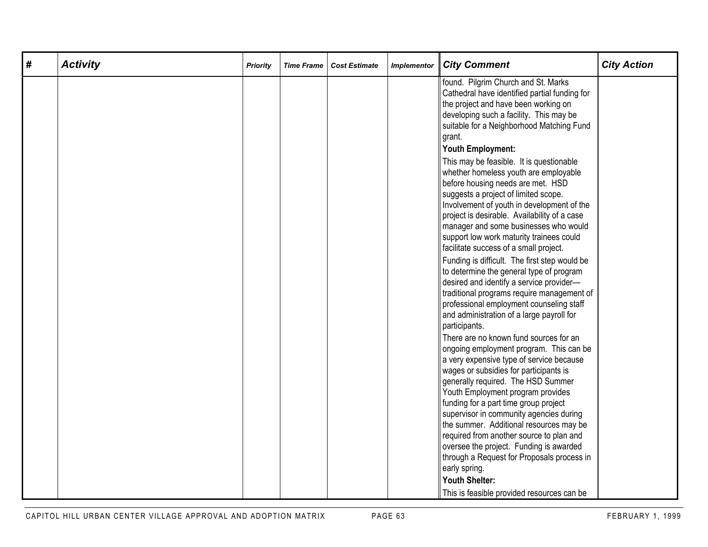| # | <b>Activity</b> | Priority | <b>Time Frame</b> | <b>Cost Estimate</b> | <b>Implementor</b> | <b>City Comment</b>                                                                                                                                                                                                                                                                                                                                                                                                                                                                                                                                                                                                                                                                                                                                                                                | <b>City Action</b> |
|---|-----------------|----------|-------------------|----------------------|--------------------|----------------------------------------------------------------------------------------------------------------------------------------------------------------------------------------------------------------------------------------------------------------------------------------------------------------------------------------------------------------------------------------------------------------------------------------------------------------------------------------------------------------------------------------------------------------------------------------------------------------------------------------------------------------------------------------------------------------------------------------------------------------------------------------------------|--------------------|
|   |                 |          |                   |                      |                    | found. Pilgrim Church and St. Marks<br>Cathedral have identified partial funding for<br>the project and have been working on<br>developing such a facility. This may be<br>suitable for a Neighborhood Matching Fund<br>grant.<br><b>Youth Employment:</b><br>This may be feasible. It is questionable<br>whether homeless youth are employable<br>before housing needs are met. HSD<br>suggests a project of limited scope.<br>Involvement of youth in development of the<br>project is desirable. Availability of a case<br>manager and some businesses who would<br>support low work maturity trainees could<br>facilitate success of a small project.<br>Funding is difficult. The first step would be<br>to determine the general type of program<br>desired and identify a service provider- |                    |
|   |                 |          |                   |                      |                    | traditional programs require management of<br>professional employment counseling staff<br>and administration of a large payroll for<br>participants.<br>There are no known fund sources for an<br>ongoing employment program. This can be<br>a very expensive type of service because<br>wages or subsidies for participants is<br>generally required. The HSD Summer<br>Youth Employment program provides<br>funding for a part time group project<br>supervisor in community agencies during<br>the summer. Additional resources may be<br>required from another source to plan and<br>oversee the project. Funding is awarded<br>through a Request for Proposals process in<br>early spring.<br><b>Youth Shelter:</b><br>This is feasible provided resources can be                             |                    |